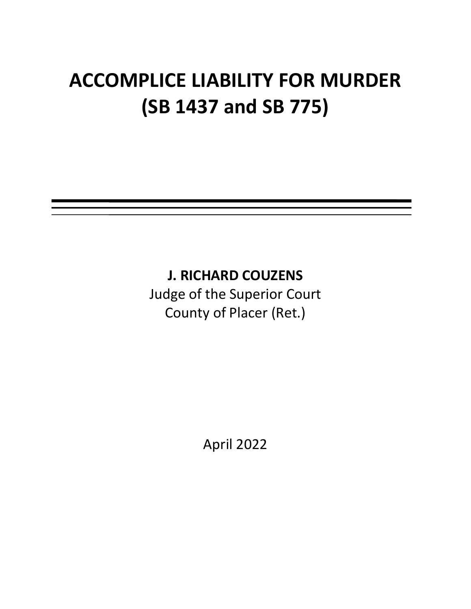# **ACCOMPLICE LIABILITY FOR MURDER (SB 1437 and SB 775)**

# **J. RICHARD COUZENS**

Judge of the Superior Court County of Placer (Ret.)

April 2022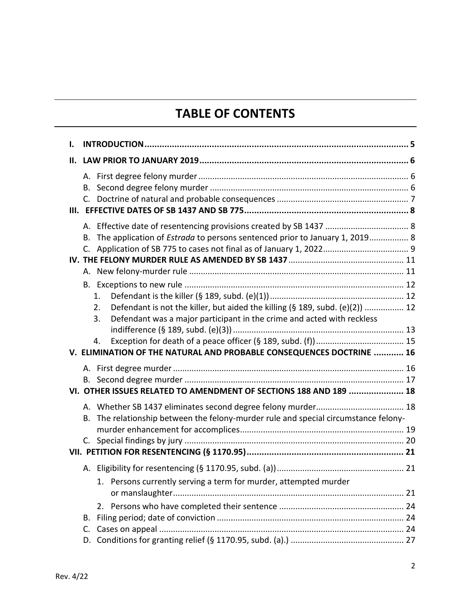# **TABLE OF CONTENTS**

| Ι. |                                                                                                                                                                          |  |  |  |  |
|----|--------------------------------------------------------------------------------------------------------------------------------------------------------------------------|--|--|--|--|
| П. |                                                                                                                                                                          |  |  |  |  |
|    | В.<br>$C_{1}$                                                                                                                                                            |  |  |  |  |
|    | The application of <i>Estrada</i> to persons sentenced prior to January 1, 2019 8<br>В.<br>$C_{\cdot}$                                                                   |  |  |  |  |
|    | 1.<br>Defendant is not the killer, but aided the killing (§ 189, subd. (e)(2))  12<br>2.<br>Defendant was a major participant in the crime and acted with reckless<br>3. |  |  |  |  |
|    | 4.                                                                                                                                                                       |  |  |  |  |
|    | V. ELIMINATION OF THE NATURAL AND PROBABLE CONSEQUENCES DOCTRINE  16                                                                                                     |  |  |  |  |
|    | VI. OTHER ISSUES RELATED TO AMENDMENT OF SECTIONS 188 AND 189  18                                                                                                        |  |  |  |  |
|    | The relationship between the felony-murder rule and special circumstance felony-<br>В.                                                                                   |  |  |  |  |
|    |                                                                                                                                                                          |  |  |  |  |
|    | 1. Persons currently serving a term for murder, attempted murder                                                                                                         |  |  |  |  |
|    |                                                                                                                                                                          |  |  |  |  |
|    | В.<br>C.                                                                                                                                                                 |  |  |  |  |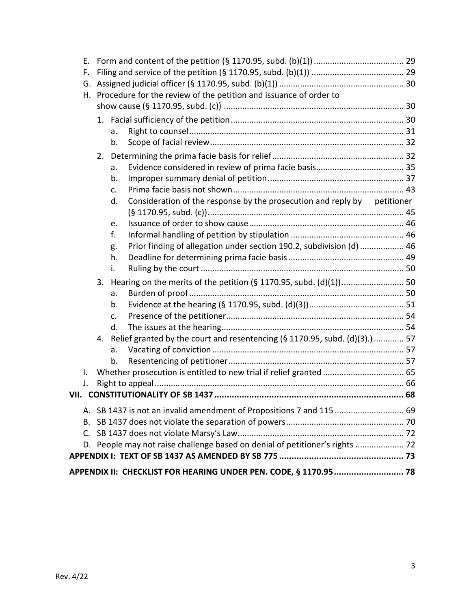| Е. |    |                                                                                |  |  |
|----|----|--------------------------------------------------------------------------------|--|--|
| F. |    |                                                                                |  |  |
| G. |    |                                                                                |  |  |
| Н. |    | Procedure for the review of the petition and issuance of order to              |  |  |
|    |    |                                                                                |  |  |
|    |    |                                                                                |  |  |
|    |    | a.                                                                             |  |  |
|    |    | b.                                                                             |  |  |
|    | 2. |                                                                                |  |  |
|    |    | a.                                                                             |  |  |
|    |    | b.                                                                             |  |  |
|    |    | $C_{\cdot}$                                                                    |  |  |
|    |    | Consideration of the response by the prosecution and reply by petitioner<br>d. |  |  |
|    |    |                                                                                |  |  |
|    |    | e.                                                                             |  |  |
|    |    | f.                                                                             |  |  |
|    |    | Prior finding of allegation under section 190.2, subdivision (d)  46<br>g.     |  |  |
|    |    | h.                                                                             |  |  |
|    |    | i.                                                                             |  |  |
|    | 3. | Hearing on the merits of the petition (§ 1170.95, subd. (d)(1)) 50             |  |  |
|    |    | a.                                                                             |  |  |
|    |    | b.                                                                             |  |  |
|    |    | C <sub>1</sub>                                                                 |  |  |
|    |    | d.                                                                             |  |  |
|    | 4. | Relief granted by the court and resentencing (§ 1170.95, subd. (d)(3).)  57    |  |  |
|    |    | a.                                                                             |  |  |
|    |    | b.                                                                             |  |  |
| I. |    |                                                                                |  |  |
| J. |    |                                                                                |  |  |
|    |    |                                                                                |  |  |
|    |    | A. SB 1437 is not an invalid amendment of Propositions 7 and 115  69           |  |  |
| В. |    |                                                                                |  |  |
|    |    |                                                                                |  |  |
|    |    | D. People may not raise challenge based on denial of petitioner's rights  72   |  |  |
|    |    |                                                                                |  |  |
|    |    | APPENDIX II: CHECKLIST FOR HEARING UNDER PEN. CODE, § 1170.95 78               |  |  |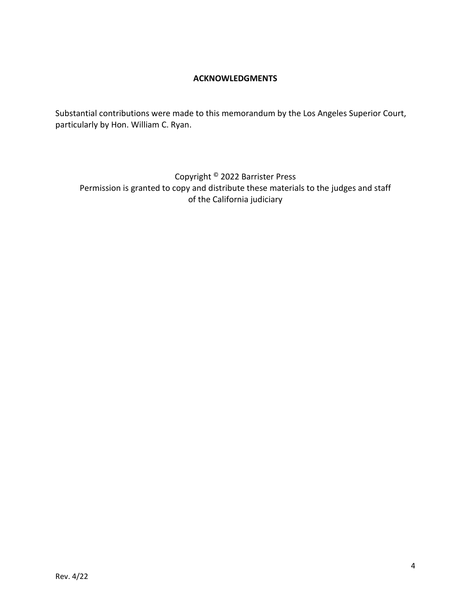#### **ACKNOWLEDGMENTS**

Substantial contributions were made to this memorandum by the Los Angeles Superior Court, particularly by Hon. William C. Ryan.

Copyright © 2022 Barrister Press Permission is granted to copy and distribute these materials to the judges and staff of the California judiciary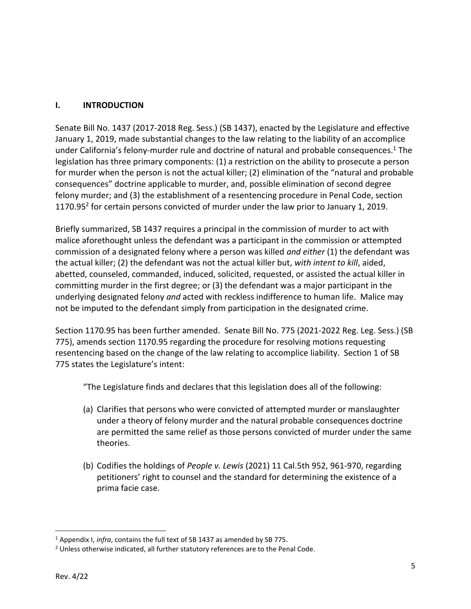#### **I. INTRODUCTION**

Senate Bill No. 1437 (2017-2018 Reg. Sess.) (SB 1437), enacted by the Legislature and effective January 1, 2019, made substantial changes to the law relating to the liability of an accomplice under California's felony-murder rule and doctrine of natural and probable consequences. <sup>1</sup> The legislation has three primary components: (1) a restriction on the ability to prosecute a person for murder when the person is not the actual killer; (2) elimination of the "natural and probable consequences" doctrine applicable to murder, and, possible elimination of second degree felony murder; and (3) the establishment of a resentencing procedure in Penal Code, section 1170.95<sup>2</sup> for certain persons convicted of murder under the law prior to January 1, 2019.

Briefly summarized, SB 1437 requires a principal in the commission of murder to act with malice aforethought unless the defendant was a participant in the commission or attempted commission of a designated felony where a person was killed *and either* (1) the defendant was the actual killer; (2) the defendant was not the actual killer but, *with intent to kill*, aided, abetted, counseled, commanded, induced, solicited, requested, or assisted the actual killer in committing murder in the first degree; or (3) the defendant was a major participant in the underlying designated felony *and* acted with reckless indifference to human life. Malice may not be imputed to the defendant simply from participation in the designated crime.

Section 1170.95 has been further amended. Senate Bill No. 775 (2021-2022 Reg. Leg. Sess.) (SB 775), amends section 1170.95 regarding the procedure for resolving motions requesting resentencing based on the change of the law relating to accomplice liability. Section 1 of SB 775 states the Legislature's intent:

"The Legislature finds and declares that this legislation does all of the following:

- (a) Clarifies that persons who were convicted of attempted murder or manslaughter under a theory of felony murder and the natural probable consequences doctrine are permitted the same relief as those persons convicted of murder under the same theories.
- (b) Codifies the holdings of *People v. Lewis* (2021) 11 Cal.5th 952, 961-970, regarding petitioners' right to counsel and the standard for determining the existence of a prima facie case.

<sup>1</sup> Appendix I, *infra*, contains the full text of SB 1437 as amended by SB 775.

<sup>&</sup>lt;sup>2</sup> Unless otherwise indicated, all further statutory references are to the Penal Code.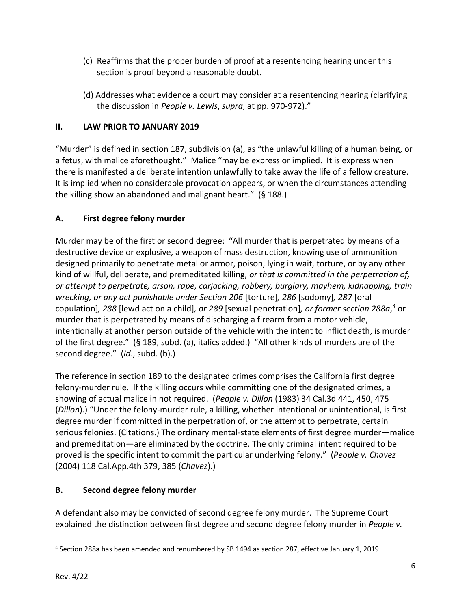- (c) Reaffirms that the proper burden of proof at a resentencing hearing under this section is proof beyond a reasonable doubt.
- (d) Addresses what evidence a court may consider at a resentencing hearing (clarifying the discussion in *People v. Lewis*, *supra*, at pp. 970-972)."

# **II. LAW PRIOR TO JANUARY 2019**

"Murder" is defined in section 187, subdivision (a), as "the unlawful killing of a human being, or a fetus, with malice aforethought." Malice "may be express or implied. It is express when there is manifested a deliberate intention unlawfully to take away the life of a fellow creature. It is implied when no considerable provocation appears, or when the circumstances attending the killing show an abandoned and malignant heart." (§ 188.)

# **A. First degree felony murder**

Murder may be of the first or second degree: "All murder that is perpetrated by means of a destructive device or explosive, a weapon of mass destruction, knowing use of ammunition designed primarily to penetrate metal or armor, poison, lying in wait, torture, or by any other kind of willful, deliberate, and premeditated killing, *or that is committed in the perpetration of, or attempt to perpetrate, arson, rape, carjacking, robbery, burglary, mayhem, kidnapping, train wrecking, or any act punishable under Section 206* [torture]*, 286* [sodomy]*, 287* [oral copulation]*, 288* [lewd act on a child]*, or 289* [sexual penetration]*, or former section 288a*, *<sup>4</sup>* or murder that is perpetrated by means of discharging a firearm from a motor vehicle, intentionally at another person outside of the vehicle with the intent to inflict death, is murder of the first degree." (§ 189, subd. (a), italics added.) "All other kinds of murders are of the second degree." (*Id*., subd. (b).)

The reference in section 189 to the designated crimes comprises the California first degree felony-murder rule. If the killing occurs while committing one of the designated crimes, a showing of actual malice in not required. (*People v. Dillon* (1983) 34 Cal.3d 441, 450, 475 (*Dillon*).) "Under the felony-murder rule, a killing, whether intentional or unintentional, is first degree murder if committed in the perpetration of, or the attempt to perpetrate, certain serious felonies. (Citations.) The ordinary mental-state elements of first degree murder—malice and premeditation—are eliminated by the doctrine. The only criminal intent required to be proved is the specific intent to commit the particular underlying felony." (*People v. Chavez* (2004) 118 Cal.App.4th 379, 385 (*Chavez*).)

# **B. Second degree felony murder**

A defendant also may be convicted of second degree felony murder. The Supreme Court explained the distinction between first degree and second degree felony murder in *People v.* 

<sup>4</sup> Section 288a has been amended and renumbered by SB 1494 as section 287, effective January 1, 2019.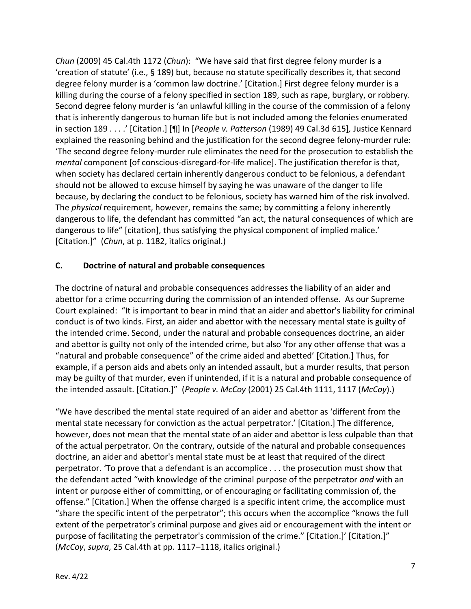*Chun* (2009) 45 Cal.4th 1172 (*Chun*): "We have said that first degree felony murder is a 'creation of statute' (i.e., § 189) but, because no statute specifically describes it, that second degree felony murder is a 'common law doctrine.' [Citation.] First degree felony murder is a killing during the course of a felony specified in section 189, such as rape, burglary, or robbery. Second degree felony murder is 'an unlawful killing in the course of the commission of a felony that is inherently dangerous to human life but is not included among the felonies enumerated in section 189 . . . .' [Citation.] [¶] In [*People v. Patterson* (1989) 49 Cal.3d 615]*,* Justice Kennard explained the reasoning behind and the justification for the second degree felony-murder rule: 'The second degree felony-murder rule eliminates the need for the prosecution to establish the *mental* component [of conscious-disregard-for-life malice]. The justification therefor is that, when society has declared certain inherently dangerous conduct to be felonious, a defendant should not be allowed to excuse himself by saying he was unaware of the danger to life because, by declaring the conduct to be felonious, society has warned him of the risk involved. The *physical* requirement, however, remains the same; by committing a felony inherently dangerous to life, the defendant has committed "an act, the natural consequences of which are dangerous to life" [citation], thus satisfying the physical component of implied malice.' [Citation.]" (*Chun*, at p. 1182, italics original.)

#### **C. Doctrine of natural and probable consequences**

The doctrine of natural and probable consequences addresses the liability of an aider and abettor for a crime occurring during the commission of an intended offense. As our Supreme Court explained: "It is important to bear in mind that an aider and abettor's liability for criminal conduct is of two kinds. First, an aider and abettor with the necessary mental state is guilty of the intended crime. Second, under the natural and probable consequences doctrine, an aider and abettor is guilty not only of the intended crime, but also 'for any other offense that was a "natural and probable consequence" of the crime aided and abetted' [Citation.] Thus, for example, if a person aids and abets only an intended assault, but a murder results, that person may be guilty of that murder, even if unintended, if it is a natural and probable consequence of the intended assault. [Citation.]" (*People v. McCoy* (2001) 25 Cal.4th 1111, 1117 (*McCoy*).)

"We have described the mental state required of an aider and abettor as 'different from the mental state necessary for conviction as the actual perpetrator.' [Citation.] The difference, however, does not mean that the mental state of an aider and abettor is less culpable than that of the actual perpetrator. On the contrary, outside of the natural and probable consequences doctrine, an aider and abettor's mental state must be at least that required of the direct perpetrator. 'To prove that a defendant is an accomplice . . . the prosecution must show that the defendant acted "with knowledge of the criminal purpose of the perpetrator *and* with an intent or purpose either of committing, or of encouraging or facilitating commission of, the offense." [Citation.] When the offense charged is a specific intent crime, the accomplice must "share the specific intent of the perpetrator"; this occurs when the accomplice "knows the full extent of the perpetrator's criminal purpose and gives aid or encouragement with the intent or purpose of facilitating the perpetrator's commission of the crime." [Citation.]' [Citation.]" (*McCoy*, *supra*, 25 Cal.4th at pp. 1117–1118, italics original.)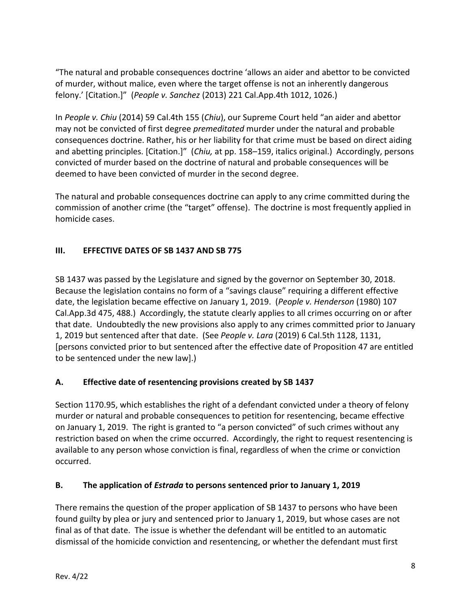"The natural and probable consequences doctrine 'allows an aider and abettor to be convicted of murder, without malice, even where the target offense is not an inherently dangerous felony.' [Citation.]" (*People v. Sanchez* (2013) 221 Cal.App.4th 1012, 1026.)

In *People v. Chiu* (2014) 59 Cal.4th 155 (*Chiu*), our Supreme Court held "an aider and abettor may not be convicted of first degree *premeditated* murder under the natural and probable consequences doctrine. Rather, his or her liability for that crime must be based on direct aiding and abetting principles. [Citation.]" (*Chiu,* at pp. 158–159, italics original.) Accordingly, persons convicted of murder based on the doctrine of natural and probable consequences will be deemed to have been convicted of murder in the second degree.

The natural and probable consequences doctrine can apply to any crime committed during the commission of another crime (the "target" offense). The doctrine is most frequently applied in homicide cases.

# **III. EFFECTIVE DATES OF SB 1437 AND SB 775**

SB 1437 was passed by the Legislature and signed by the governor on September 30, 2018. Because the legislation contains no form of a "savings clause" requiring a different effective date, the legislation became effective on January 1, 2019. (*People v. Henderson* (1980) 107 Cal.App.3d 475, 488.) Accordingly, the statute clearly applies to all crimes occurring on or after that date. Undoubtedly the new provisions also apply to any crimes committed prior to January 1, 2019 but sentenced after that date. (See *People v. Lara* (2019) 6 Cal.5th 1128, 1131, [persons convicted prior to but sentenced after the effective date of Proposition 47 are entitled to be sentenced under the new law].)

#### **A. Effective date of resentencing provisions created by SB 1437**

Section 1170.95, which establishes the right of a defendant convicted under a theory of felony murder or natural and probable consequences to petition for resentencing, became effective on January 1, 2019. The right is granted to "a person convicted" of such crimes without any restriction based on when the crime occurred. Accordingly, the right to request resentencing is available to any person whose conviction is final, regardless of when the crime or conviction occurred.

#### **B. The application of** *Estrada* **to persons sentenced prior to January 1, 2019**

There remains the question of the proper application of SB 1437 to persons who have been found guilty by plea or jury and sentenced prior to January 1, 2019, but whose cases are not final as of that date. The issue is whether the defendant will be entitled to an automatic dismissal of the homicide conviction and resentencing, or whether the defendant must first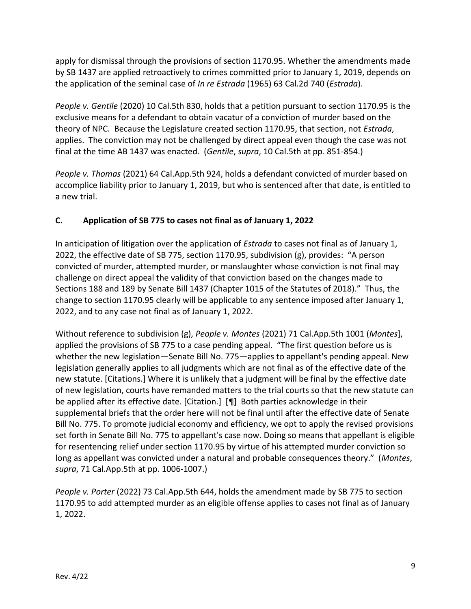apply for dismissal through the provisions of section 1170.95. Whether the amendments made by SB 1437 are applied retroactively to crimes committed prior to January 1, 2019, depends on the application of the seminal case of *In re Estrada* (1965) 63 Cal.2d 740 (*Estrada*).

*People v. Gentile* (2020) 10 Cal.5th 830, holds that a petition pursuant to section 1170.95 is the exclusive means for a defendant to obtain vacatur of a conviction of murder based on the theory of NPC. Because the Legislature created section 1170.95, that section, not *Estrada*, applies. The conviction may not be challenged by direct appeal even though the case was not final at the time AB 1437 was enacted. (*Gentile*, *supra*, 10 Cal.5th at pp. 851-854.)

*People v. Thomas* (2021) 64 Cal.App.5th 924, holds a defendant convicted of murder based on accomplice liability prior to January 1, 2019, but who is sentenced after that date, is entitled to a new trial.

# **C. Application of SB 775 to cases not final as of January 1, 2022**

In anticipation of litigation over the application of *Estrada* to cases not final as of January 1, 2022, the effective date of SB 775, section 1170.95, subdivision (g), provides: "A person convicted of murder, attempted murder, or manslaughter whose conviction is not final may challenge on direct appeal the validity of that conviction based on the changes made to Sections 188 and 189 by Senate Bill 1437 (Chapter 1015 of the Statutes of 2018)." Thus, the change to section 1170.95 clearly will be applicable to any sentence imposed after January 1, 2022, and to any case not final as of January 1, 2022.

Without reference to subdivision (g), *People v. Montes* (2021) 71 Cal.App.5th 1001 (*Montes*], applied the provisions of SB 775 to a case pending appeal. "The first question before us is whether the new legislation—Senate Bill No. 775—applies to appellant's pending appeal. New legislation generally applies to all judgments which are not final as of the effective date of the new statute. [Citations.] Where it is unlikely that a judgment will be final by the effective date of new legislation, courts have remanded matters to the trial courts so that the new statute can be applied after its effective date. [Citation.] [¶] Both parties acknowledge in their supplemental briefs that the order here will not be final until after the effective date of Senate Bill No. 775. To promote judicial economy and efficiency, we opt to apply the revised provisions set forth in Senate Bill No. 775 to appellant's case now. Doing so means that appellant is eligible for resentencing relief under section 1170.95 by virtue of his attempted murder conviction so long as appellant was convicted under a natural and probable consequences theory." (*Montes*, *supra*, 71 Cal.App.5th at pp. 1006-1007.)

*People v. Porter* (2022) 73 Cal.App.5th 644, holds the amendment made by SB 775 to section 1170.95 to add attempted murder as an eligible offense applies to cases not final as of January 1, 2022.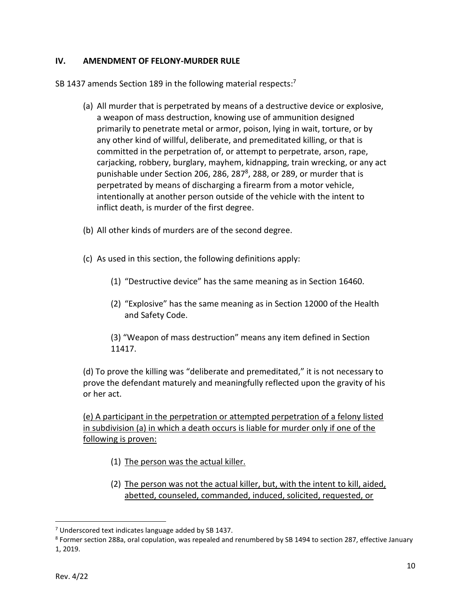#### **IV. AMENDMENT OF FELONY-MURDER RULE**

SB 1437 amends Section 189 in the following material respects:<sup>7</sup>

- (a) All murder that is perpetrated by means of a destructive device or explosive, a weapon of mass destruction, knowing use of ammunition designed primarily to penetrate metal or armor, poison, lying in wait, torture, or by any other kind of willful, deliberate, and premeditated killing, or that is committed in the perpetration of, or attempt to perpetrate, arson, rape, carjacking, robbery, burglary, mayhem, kidnapping, train wrecking, or any act punishable under Section 206, 286, 287<sup>8</sup>, 288, or 289, or murder that is perpetrated by means of discharging a firearm from a motor vehicle, intentionally at another person outside of the vehicle with the intent to inflict death, is murder of the first degree.
- (b) All other kinds of murders are of the second degree.
- (c) As used in this section, the following definitions apply:
	- (1) "Destructive device" has the same meaning as in Section 16460.
	- (2) "Explosive" has the same meaning as in Section 12000 of the Health and Safety Code.

(3) "Weapon of mass destruction" means any item defined in Section 11417.

(d) To prove the killing was "deliberate and premeditated," it is not necessary to prove the defendant maturely and meaningfully reflected upon the gravity of his or her act.

(e) A participant in the perpetration or attempted perpetration of a felony listed in subdivision (a) in which a death occurs is liable for murder only if one of the following is proven:

- (1) The person was the actual killer.
- (2) The person was not the actual killer, but, with the intent to kill, aided, abetted, counseled, commanded, induced, solicited, requested, or

 $7$  Underscored text indicates language added by SB 1437.

<sup>&</sup>lt;sup>8</sup> Former section 288a, oral copulation, was repealed and renumbered by SB 1494 to section 287, effective January 1, 2019.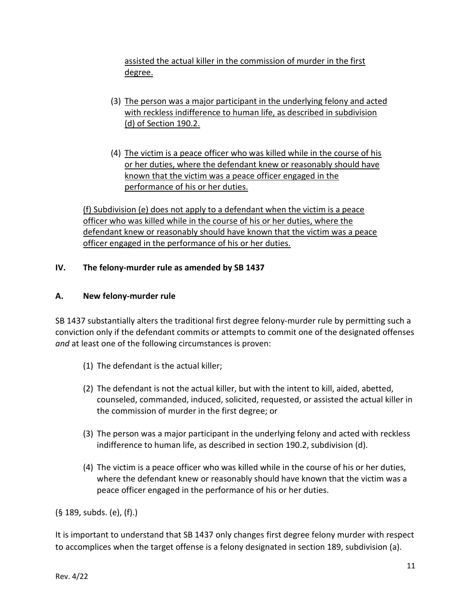assisted the actual killer in the commission of murder in the first degree.

- (3) The person was a major participant in the underlying felony and acted with reckless indifference to human life, as described in subdivision (d) of Section 190.2.
- (4) The victim is a peace officer who was killed while in the course of his or her duties, where the defendant knew or reasonably should have known that the victim was a peace officer engaged in the performance of his or her duties.

(f) Subdivision (e) does not apply to a defendant when the victim is a peace officer who was killed while in the course of his or her duties, where the defendant knew or reasonably should have known that the victim was a peace officer engaged in the performance of his or her duties.

#### **IV. The felony-murder rule as amended by SB 1437**

#### **A. New felony-murder rule**

SB 1437 substantially alters the traditional first degree felony-murder rule by permitting such a conviction only if the defendant commits or attempts to commit one of the designated offenses *and* at least one of the following circumstances is proven:

- (1) The defendant is the actual killer;
- (2) The defendant is not the actual killer, but with the intent to kill, aided, abetted, counseled, commanded, induced, solicited, requested, or assisted the actual killer in the commission of murder in the first degree; or
- (3) The person was a major participant in the underlying felony and acted with reckless indifference to human life, as described in section 190.2, subdivision (d).
- (4) The victim is a peace officer who was killed while in the course of his or her duties, where the defendant knew or reasonably should have known that the victim was a peace officer engaged in the performance of his or her duties.

(§ 189, subds. (e), (f).)

It is important to understand that SB 1437 only changes first degree felony murder with respect to accomplices when the target offense is a felony designated in section 189, subdivision (a).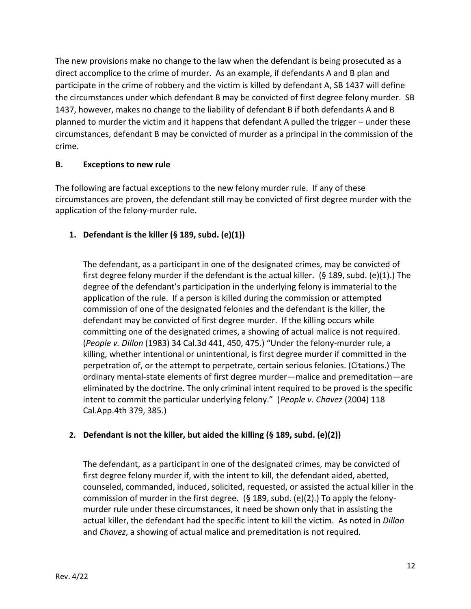The new provisions make no change to the law when the defendant is being prosecuted as a direct accomplice to the crime of murder. As an example, if defendants A and B plan and participate in the crime of robbery and the victim is killed by defendant A, SB 1437 will define the circumstances under which defendant B may be convicted of first degree felony murder. SB 1437, however, makes no change to the liability of defendant B if both defendants A and B planned to murder the victim and it happens that defendant A pulled the trigger – under these circumstances, defendant B may be convicted of murder as a principal in the commission of the crime.

#### **B. Exceptions to new rule**

The following are factual exceptions to the new felony murder rule. If any of these circumstances are proven, the defendant still may be convicted of first degree murder with the application of the felony-murder rule.

#### **1. Defendant is the killer (§ 189, subd. (e)(1))**

The defendant, as a participant in one of the designated crimes, may be convicted of first degree felony murder if the defendant is the actual killer. (§ 189, subd. (e)(1).) The degree of the defendant's participation in the underlying felony is immaterial to the application of the rule. If a person is killed during the commission or attempted commission of one of the designated felonies and the defendant is the killer, the defendant may be convicted of first degree murder. If the killing occurs while committing one of the designated crimes, a showing of actual malice is not required. (*People v. Dillon* (1983) 34 Cal.3d 441, 450, 475.) "Under the felony-murder rule, a killing, whether intentional or unintentional, is first degree murder if committed in the perpetration of, or the attempt to perpetrate, certain serious felonies. (Citations.) The ordinary mental-state elements of first degree murder—malice and premeditation—are eliminated by the doctrine. The only criminal intent required to be proved is the specific intent to commit the particular underlying felony." (*People v. Chavez* (2004) 118 Cal.App.4th 379, 385.)

#### **2. Defendant is not the killer, but aided the killing (§ 189, subd. (e)(2))**

The defendant, as a participant in one of the designated crimes, may be convicted of first degree felony murder if, with the intent to kill, the defendant aided, abetted, counseled, commanded, induced, solicited, requested, or assisted the actual killer in the commission of murder in the first degree. (§ 189, subd. (e)(2).) To apply the felonymurder rule under these circumstances, it need be shown only that in assisting the actual killer, the defendant had the specific intent to kill the victim. As noted in *Dillon* and *Chavez*, a showing of actual malice and premeditation is not required.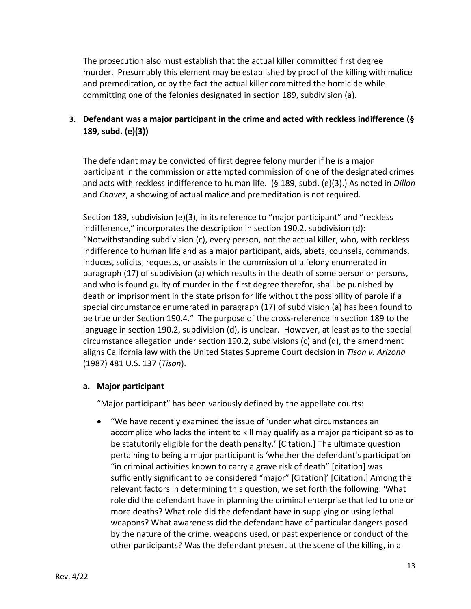The prosecution also must establish that the actual killer committed first degree murder. Presumably this element may be established by proof of the killing with malice and premeditation, or by the fact the actual killer committed the homicide while committing one of the felonies designated in section 189, subdivision (a).

# **3. Defendant was a major participant in the crime and acted with reckless indifference (§ 189, subd. (e)(3))**

The defendant may be convicted of first degree felony murder if he is a major participant in the commission or attempted commission of one of the designated crimes and acts with reckless indifference to human life. (§ 189, subd. (e)(3).) As noted in *Dillon* and *Chavez*, a showing of actual malice and premeditation is not required.

Section 189, subdivision (e)(3), in its reference to "major participant" and "reckless indifference," incorporates the description in section 190.2, subdivision (d): "Notwithstanding subdivision (c), every person, not the actual killer, who, with reckless indifference to human life and as a major participant, aids, abets, counsels, commands, induces, solicits, requests, or assists in the commission of a felony enumerated in paragraph (17) of subdivision (a) which results in the death of some person or persons, and who is found guilty of murder in the first degree therefor, shall be punished by death or imprisonment in the state prison for life without the possibility of parole if a special circumstance enumerated in paragraph (17) of subdivision (a) has been found to be true under Section 190.4." The purpose of the cross-reference in section 189 to the language in section 190.2, subdivision (d), is unclear. However, at least as to the special circumstance allegation under section 190.2, subdivisions (c) and (d), the amendment aligns California law with the United States Supreme Court decision in *Tison v. Arizona* (1987) 481 U.S. 137 (*Tison*).

#### **a. Major participant**

"Major participant" has been variously defined by the appellate courts:

• "We have recently examined the issue of 'under what circumstances an accomplice who lacks the intent to kill may qualify as a major participant so as to be statutorily eligible for the death penalty.' [Citation.] The ultimate question pertaining to being a major participant is 'whether the defendant's participation "in criminal activities known to carry a grave risk of death" [citation] was sufficiently significant to be considered "major" [Citation]' [Citation.] Among the relevant factors in determining this question, we set forth the following: 'What role did the defendant have in planning the criminal enterprise that led to one or more deaths? What role did the defendant have in supplying or using lethal weapons? What awareness did the defendant have of particular dangers posed by the nature of the crime, weapons used, or past experience or conduct of the other participants? Was the defendant present at the scene of the killing, in a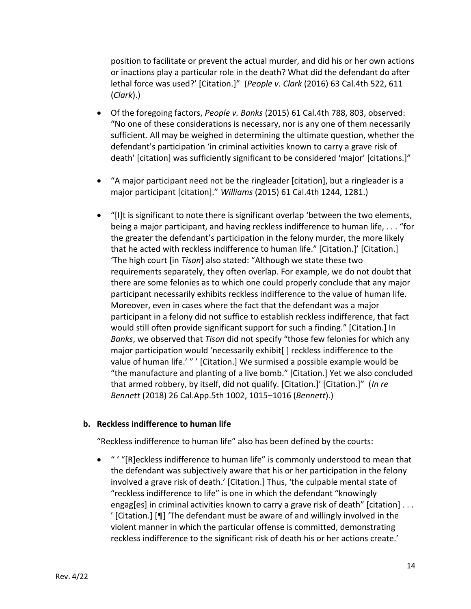position to facilitate or prevent the actual murder, and did his or her own actions or inactions play a particular role in the death? What did the defendant do after lethal force was used?' [Citation.]" (*People v. Clark* (2016) 63 Cal.4th 522, 611 (*Clark*).)

- Of the foregoing factors, *People v. Banks* (2015) 61 Cal.4th 788, 803, observed: "No one of these considerations is necessary, nor is any one of them necessarily sufficient. All may be weighed in determining the ultimate question, whether the defendant's participation 'in criminal activities known to carry a grave risk of death' [citation] was sufficiently significant to be considered 'major' [citations.]"
- "A major participant need not be the ringleader [citation], but a ringleader is a major participant [citation]." *Williams* (2015) 61 Cal.4th 1244, 1281.)
- "[I]t is significant to note there is significant overlap 'between the two elements, being a major participant, and having reckless indifference to human life, . . . "for the greater the defendant's participation in the felony murder, the more likely that he acted with reckless indifference to human life." [Citation.]' [Citation.] 'The high court [in *Tison*] also stated: "Although we state these two requirements separately, they often overlap. For example, we do not doubt that there are some felonies as to which one could properly conclude that any major participant necessarily exhibits reckless indifference to the value of human life. Moreover, even in cases where the fact that the defendant was a major participant in a felony did not suffice to establish reckless indifference, that fact would still often provide significant support for such a finding." [Citation.] In *Banks*, we observed that *Tison* did not specify "those few felonies for which any major participation would 'necessarily exhibit[ ] reckless indifference to the value of human life.' " ' [Citation.] We surmised a possible example would be "the manufacture and planting of a live bomb." [Citation.] Yet we also concluded that armed robbery, by itself, did not qualify. [Citation.]' [Citation.]" (*In re Bennett* (2018) 26 Cal.App.5th 1002, 1015–1016 (*Bennett*).)

#### **b. Reckless indifference to human life**

"Reckless indifference to human life" also has been defined by the courts:

• " ' "[R]eckless indifference to human life" is commonly understood to mean that the defendant was subjectively aware that his or her participation in the felony involved a grave risk of death.' [Citation.] Thus, 'the culpable mental state of "reckless indifference to life" is one in which the defendant "knowingly engag[es] in criminal activities known to carry a grave risk of death" [citation] . . . ' [Citation.] [¶] 'The defendant must be aware of and willingly involved in the violent manner in which the particular offense is committed, demonstrating reckless indifference to the significant risk of death his or her actions create.'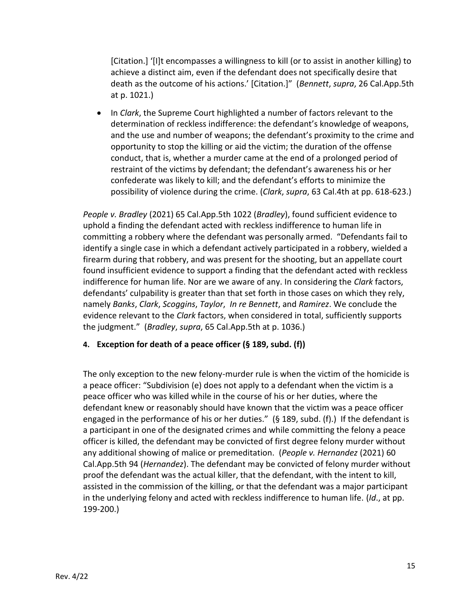[Citation.] '[I]t encompasses a willingness to kill (or to assist in another killing) to achieve a distinct aim, even if the defendant does not specifically desire that death as the outcome of his actions.' [Citation.]" (*Bennett*, *supra*, 26 Cal.App.5th at p. 1021.)

• In *Clark*, the Supreme Court highlighted a number of factors relevant to the determination of reckless indifference: the defendant's knowledge of weapons, and the use and number of weapons; the defendant's proximity to the crime and opportunity to stop the killing or aid the victim; the duration of the offense conduct, that is, whether a murder came at the end of a prolonged period of restraint of the victims by defendant; the defendant's awareness his or her confederate was likely to kill; and the defendant's efforts to minimize the possibility of violence during the crime. (*Clark*, *supra*, 63 Cal.4th at pp. 618-623.)

*People v. Bradley* (2021) 65 Cal.App.5th 1022 (*Bradley*), found sufficient evidence to uphold a finding the defendant acted with reckless indifference to human life in committing a robbery where the defendant was personally armed. "Defendants fail to identify a single case in which a defendant actively participated in a robbery, wielded a firearm during that robbery, and was present for the shooting, but an appellate court found insufficient evidence to support a finding that the defendant acted with reckless indifference for human life. Nor are we aware of any. In considering the *Clark* factors, defendants' culpability is greater than that set forth in those cases on which they rely, namely *Banks*, *Clark*, *Scoggins*, *Taylor*, *In re Bennett*, and *Ramirez*. We conclude the evidence relevant to the *Clark* factors, when considered in total, sufficiently supports the judgment." (*Bradley*, *supra*, 65 Cal.App.5th at p. 1036.)

#### **4. Exception for death of a peace officer (§ 189, subd. (f))**

The only exception to the new felony-murder rule is when the victim of the homicide is a peace officer: "Subdivision (e) does not apply to a defendant when the victim is a peace officer who was killed while in the course of his or her duties, where the defendant knew or reasonably should have known that the victim was a peace officer engaged in the performance of his or her duties." (§ 189, subd. (f).) If the defendant is a participant in one of the designated crimes and while committing the felony a peace officer is killed, the defendant may be convicted of first degree felony murder without any additional showing of malice or premeditation. (*People v. Hernandez* (2021) 60 Cal.App.5th 94 (*Hernandez*). The defendant may be convicted of felony murder without proof the defendant was the actual killer, that the defendant, with the intent to kill, assisted in the commission of the killing, or that the defendant was a major participant in the underlying felony and acted with reckless indifference to human life. (*Id*., at pp. 199-200.)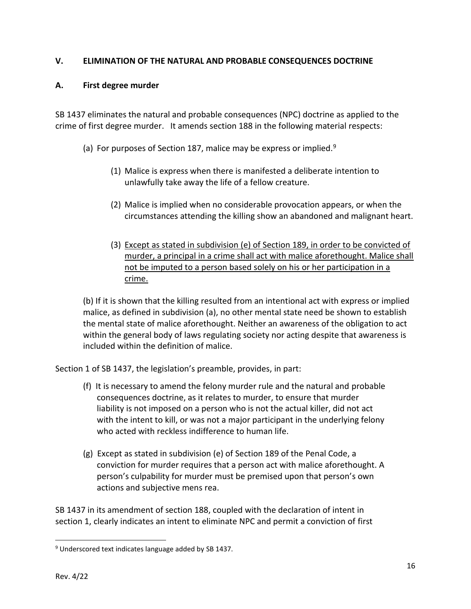#### **V. ELIMINATION OF THE NATURAL AND PROBABLE CONSEQUENCES DOCTRINE**

#### **A. First degree murder**

SB 1437 eliminates the natural and probable consequences (NPC) doctrine as applied to the crime of first degree murder. It amends section 188 in the following material respects:

- (a) For purposes of Section 187, malice may be express or implied.<sup>9</sup>
	- (1) Malice is express when there is manifested a deliberate intention to unlawfully take away the life of a fellow creature.
	- (2) Malice is implied when no considerable provocation appears, or when the circumstances attending the killing show an abandoned and malignant heart.
	- (3) Except as stated in subdivision (e) of Section 189, in order to be convicted of murder, a principal in a crime shall act with malice aforethought. Malice shall not be imputed to a person based solely on his or her participation in a crime.

(b) If it is shown that the killing resulted from an intentional act with express or implied malice, as defined in subdivision (a), no other mental state need be shown to establish the mental state of malice aforethought. Neither an awareness of the obligation to act within the general body of laws regulating society nor acting despite that awareness is included within the definition of malice.

Section 1 of SB 1437, the legislation's preamble, provides, in part:

- (f) It is necessary to amend the felony murder rule and the natural and probable consequences doctrine, as it relates to murder, to ensure that murder liability is not imposed on a person who is not the actual killer, did not act with the intent to kill, or was not a major participant in the underlying felony who acted with reckless indifference to human life.
- (g) Except as stated in subdivision (e) of Section 189 of the Penal Code, a conviction for murder requires that a person act with malice aforethought. A person's culpability for murder must be premised upon that person's own actions and subjective mens rea.

SB 1437 in its amendment of section 188, coupled with the declaration of intent in section 1, clearly indicates an intent to eliminate NPC and permit a conviction of first

<sup>&</sup>lt;sup>9</sup> Underscored text indicates language added by SB 1437.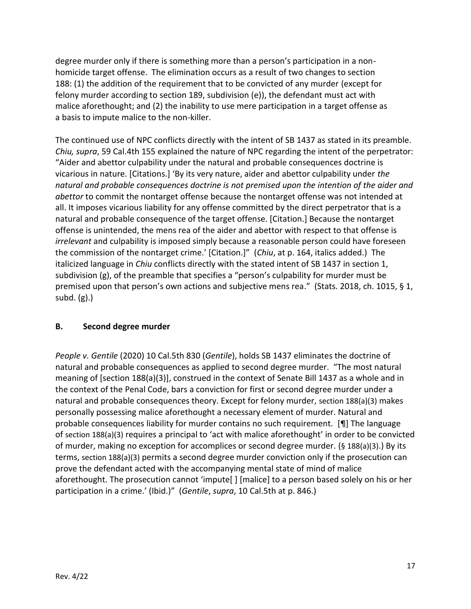degree murder only if there is something more than a person's participation in a nonhomicide target offense. The elimination occurs as a result of two changes to section 188: (1) the addition of the requirement that to be convicted of any murder (except for felony murder according to section 189, subdivision (e)), the defendant must act with malice aforethought; and (2) the inability to use mere participation in a target offense as a basis to impute malice to the non-killer.

The continued use of NPC conflicts directly with the intent of SB 1437 as stated in its preamble. *Chiu, supra*, 59 Cal.4th 155 explained the nature of NPC regarding the intent of the perpetrator: "Aider and abettor culpability under the natural and probable consequences doctrine is vicarious in nature. [Citations.] 'By its very nature, aider and abettor culpability under *the natural and probable consequences doctrine is not premised upon the intention of the aider and abettor* to commit the nontarget offense because the nontarget offense was not intended at all. It imposes vicarious liability for any offense committed by the direct perpetrator that is a natural and probable consequence of the target offense. [Citation.] Because the nontarget offense is unintended, the mens rea of the aider and abettor with respect to that offense is *irrelevant* and culpability is imposed simply because a reasonable person could have foreseen the commission of the nontarget crime.' [Citation.]" (*Chiu*, at p. 164, italics added.) The italicized language in *Chiu* conflicts directly with the stated intent of SB 1437 in section 1, subdivision (g), of the preamble that specifies a "person's culpability for murder must be premised upon that person's own actions and subjective mens rea." (Stats. 2018, ch. 1015, § 1, subd. (g).)

#### **B. Second degree murder**

*People v. Gentile* (2020) 10 Cal.5th 830 (*Gentile*), holds SB 1437 eliminates the doctrine of natural and probable consequences as applied to second degree murder. "The most natural meaning of [section 188(a)(3)], construed in the context of Senate Bill 1437 as a whole and in the context of the Penal Code, bars a conviction for first or second degree murder under a natural and probable consequences theory. Except for felony murder, section 188(a)(3) makes personally possessing malice aforethought a necessary element of murder. Natural and probable consequences liability for murder contains no such requirement. [¶] The language of section 188(a)(3) requires a principal to 'act with malice aforethought' in order to be convicted of murder, making no exception for accomplices or second degree murder. (§ 188(a)(3).) By its terms, section 188(a)(3) permits a second degree murder conviction only if the prosecution can prove the defendant acted with the accompanying mental state of mind of malice aforethought. The prosecution cannot 'impute[ ] [malice] to a person based solely on his or her participation in a crime.' (Ibid.)" (*Gentile*, *supra*, 10 Cal.5th at p. 846.)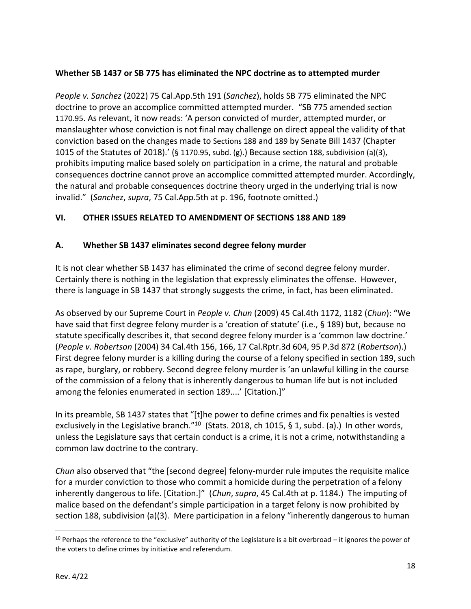#### **Whether SB 1437 or SB 775 has eliminated the NPC doctrine as to attempted murder**

*People v. Sanchez* (2022) 75 Cal.App.5th 191 (*Sanchez*), holds SB 775 eliminated the NPC doctrine to prove an accomplice committed attempted murder. "SB 775 amended section 1170.95. As relevant, it now reads: 'A person convicted of murder, attempted murder, or manslaughter whose conviction is not final may challenge on direct appeal the validity of that conviction based on the changes made to Sections 188 and 189 by Senate Bill 1437 (Chapter 1015 of the Statutes of 2018).' (§ 1170.95, subd. (g).) Because section 188, subdivision (a)(3), prohibits imputing malice based solely on participation in a crime, the natural and probable consequences doctrine cannot prove an accomplice committed attempted murder. Accordingly, the natural and probable consequences doctrine theory urged in the underlying trial is now invalid." (*Sanchez*, *supra*, 75 Cal.App.5th at p. 196, footnote omitted.)

# **VI. OTHER ISSUES RELATED TO AMENDMENT OF SECTIONS 188 AND 189**

#### **A. Whether SB 1437 eliminates second degree felony murder**

It is not clear whether SB 1437 has eliminated the crime of second degree felony murder. Certainly there is nothing in the legislation that expressly eliminates the offense. However, there is language in SB 1437 that strongly suggests the crime, in fact, has been eliminated.

As observed by our Supreme Court in *People v. Chun* (2009) 45 Cal.4th 1172, 1182 (*Chun*): "We have said that first degree felony murder is a 'creation of statute' (i.e., § 189) but, because no statute specifically describes it, that second degree felony murder is a 'common law doctrine.' (*People v. Robertson* (2004) 34 Cal.4th 156, 166, 17 Cal.Rptr.3d 604, 95 P.3d 872 (*Robertson*).) First degree felony murder is a killing during the course of a felony specified in section 189, such as rape, burglary, or robbery. Second degree felony murder is 'an unlawful killing in the course of the commission of a felony that is inherently dangerous to human life but is not included among the felonies enumerated in section 189....' [Citation.]"

In its preamble, SB 1437 states that "[t]he power to define crimes and fix penalties is vested exclusively in the Legislative branch."<sup>10</sup> (Stats. 2018, ch 1015, § 1, subd. (a).) In other words, unless the Legislature says that certain conduct is a crime, it is not a crime, notwithstanding a common law doctrine to the contrary.

*Chun* also observed that "the [second degree] felony-murder rule imputes the requisite malice for a murder conviction to those who commit a homicide during the perpetration of a felony inherently dangerous to life. [Citation.]" (*Chun*, *supra*, 45 Cal.4th at p. 1184.) The imputing of malice based on the defendant's simple participation in a target felony is now prohibited by section 188, subdivision (a)(3). Mere participation in a felony "inherently dangerous to human

 $10$  Perhaps the reference to the "exclusive" authority of the Legislature is a bit overbroad – it ignores the power of the voters to define crimes by initiative and referendum.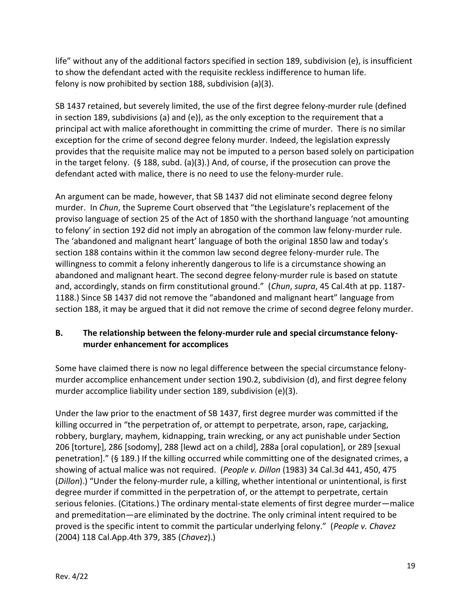life" without any of the additional factors specified in section 189, subdivision (e), is insufficient to show the defendant acted with the requisite reckless indifference to human life. felony is now prohibited by section 188, subdivision (a)(3).

SB 1437 retained, but severely limited, the use of the first degree felony-murder rule (defined in section 189, subdivisions (a) and (e)), as the only exception to the requirement that a principal act with malice aforethought in committing the crime of murder. There is no similar exception for the crime of second degree felony murder. Indeed, the legislation expressly provides that the requisite malice may not be imputed to a person based solely on participation in the target felony. (§ 188, subd. (a)(3).) And, of course, if the prosecution can prove the defendant acted with malice, there is no need to use the felony-murder rule.

An argument can be made, however, that SB 1437 did not eliminate second degree felony murder. In *Chun*, the Supreme Court observed that "the Legislature's replacement of the proviso language of section 25 of the Act of 1850 with the shorthand language 'not amounting to felony' in section 192 did not imply an abrogation of the common law felony-murder rule. The 'abandoned and malignant heart' language of both the original 1850 law and today's section 188 contains within it the common law second degree felony-murder rule. The willingness to commit a felony inherently dangerous to life is a circumstance showing an abandoned and malignant heart. The second degree felony-murder rule is based on statute and, accordingly, stands on firm constitutional ground." (*Chun*, *supra*, 45 Cal.4th at pp. 1187- 1188.) Since SB 1437 did not remove the "abandoned and malignant heart" language from section 188, it may be argued that it did not remove the crime of second degree felony murder.

# **B. The relationship between the felony-murder rule and special circumstance felonymurder enhancement for accomplices**

Some have claimed there is now no legal difference between the special circumstance felonymurder accomplice enhancement under section 190.2, subdivision (d), and first degree felony murder accomplice liability under section 189, subdivision (e)(3).

Under the law prior to the enactment of SB 1437, first degree murder was committed if the killing occurred in "the perpetration of, or attempt to perpetrate, arson, rape, carjacking, robbery, burglary, mayhem, kidnapping, train wrecking, or any act punishable under Section 206 [torture], 286 [sodomy], 288 [lewd act on a child], 288a [oral copulation], or 289 [sexual penetration]." (§ 189.) If the killing occurred while committing one of the designated crimes, a showing of actual malice was not required. (*People v. Dillon* (1983) 34 Cal.3d 441, 450, 475 (*Dillon*).) "Under the felony-murder rule, a killing, whether intentional or unintentional, is first degree murder if committed in the perpetration of, or the attempt to perpetrate, certain serious felonies. (Citations.) The ordinary mental-state elements of first degree murder—malice and premeditation—are eliminated by the doctrine. The only criminal intent required to be proved is the specific intent to commit the particular underlying felony." (*People v. Chavez* (2004) 118 Cal.App.4th 379, 385 (*Chavez*).)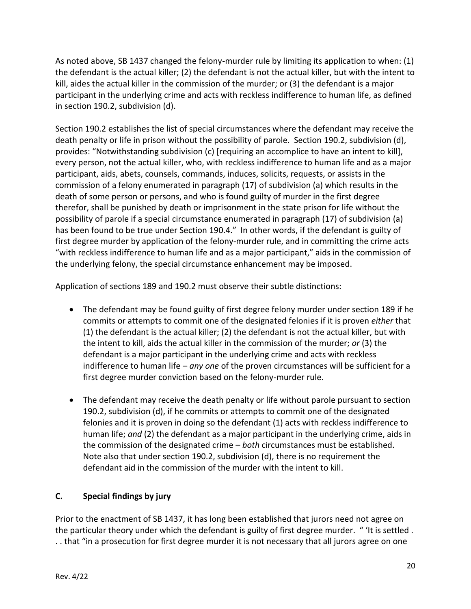As noted above, SB 1437 changed the felony-murder rule by limiting its application to when: (1) the defendant is the actual killer; (2) the defendant is not the actual killer, but with the intent to kill, aides the actual killer in the commission of the murder; or (3) the defendant is a major participant in the underlying crime and acts with reckless indifference to human life, as defined in section 190.2, subdivision (d).

Section 190.2 establishes the list of special circumstances where the defendant may receive the death penalty or life in prison without the possibility of parole. Section 190.2, subdivision (d), provides: "Notwithstanding subdivision (c) [requiring an accomplice to have an intent to kill], every person, not the actual killer, who, with reckless indifference to human life and as a major participant, aids, abets, counsels, commands, induces, solicits, requests, or assists in the commission of a felony enumerated in paragraph (17) of subdivision (a) which results in the death of some person or persons, and who is found guilty of murder in the first degree therefor, shall be punished by death or imprisonment in the state prison for life without the possibility of parole if a special circumstance enumerated in paragraph (17) of subdivision (a) has been found to be true under Section 190.4." In other words, if the defendant is guilty of first degree murder by application of the felony-murder rule, and in committing the crime acts "with reckless indifference to human life and as a major participant," aids in the commission of the underlying felony, the special circumstance enhancement may be imposed.

Application of sections 189 and 190.2 must observe their subtle distinctions:

- The defendant may be found guilty of first degree felony murder under section 189 if he commits or attempts to commit one of the designated felonies if it is proven *either* that (1) the defendant is the actual killer; (2) the defendant is not the actual killer, but with the intent to kill, aids the actual killer in the commission of the murder; *or* (3) the defendant is a major participant in the underlying crime and acts with reckless indifference to human life – *any one* of the proven circumstances will be sufficient for a first degree murder conviction based on the felony-murder rule.
- The defendant may receive the death penalty or life without parole pursuant to section 190.2, subdivision (d), if he commits or attempts to commit one of the designated felonies and it is proven in doing so the defendant (1) acts with reckless indifference to human life; *and* (2) the defendant as a major participant in the underlying crime, aids in the commission of the designated crime – *both* circumstances must be established. Note also that under section 190.2, subdivision (d), there is no requirement the defendant aid in the commission of the murder with the intent to kill.

# **C. Special findings by jury**

Prior to the enactment of SB 1437, it has long been established that jurors need not agree on the particular theory under which the defendant is guilty of first degree murder. " 'It is settled . . . that "in a prosecution for first degree murder it is not necessary that all jurors agree on one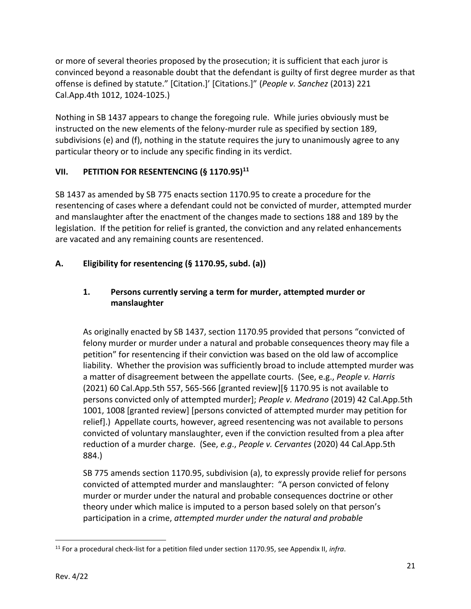or more of several theories proposed by the prosecution; it is sufficient that each juror is convinced beyond a reasonable doubt that the defendant is guilty of first degree murder as that offense is defined by statute." [Citation.]' [Citations.]" (*People v. Sanchez* (2013) 221 Cal.App.4th 1012, 1024-1025.)

Nothing in SB 1437 appears to change the foregoing rule. While juries obviously must be instructed on the new elements of the felony-murder rule as specified by section 189, subdivisions (e) and (f), nothing in the statute requires the jury to unanimously agree to any particular theory or to include any specific finding in its verdict.

# **VII. PETITION FOR RESENTENCING (§ 1170.95)<sup>11</sup>**

SB 1437 as amended by SB 775 enacts section 1170.95 to create a procedure for the resentencing of cases where a defendant could not be convicted of murder, attempted murder and manslaughter after the enactment of the changes made to sections 188 and 189 by the legislation. If the petition for relief is granted, the conviction and any related enhancements are vacated and any remaining counts are resentenced.

# **A. Eligibility for resentencing (§ 1170.95, subd. (a))**

# **1. Persons currently serving a term for murder, attempted murder or manslaughter**

As originally enacted by SB 1437, section 1170.95 provided that persons "convicted of felony murder or murder under a natural and probable consequences theory may file a petition" for resentencing if their conviction was based on the old law of accomplice liability. Whether the provision was sufficiently broad to include attempted murder was a matter of disagreement between the appellate courts. (See, e.g., *People v. Harris* (2021) 60 Cal.App.5th 557, 565-566 [granted review][§ 1170.95 is not available to persons convicted only of attempted murder]; *People v. Medrano* (2019) 42 Cal.App.5th 1001, 1008 [granted review] [persons convicted of attempted murder may petition for relief].) Appellate courts, however, agreed resentencing was not available to persons convicted of voluntary manslaughter, even if the conviction resulted from a plea after reduction of a murder charge. (See, *e.g*., *People v. Cervantes* (2020) 44 Cal.App.5th 884.)

SB 775 amends section 1170.95, subdivision (a), to expressly provide relief for persons convicted of attempted murder and manslaughter: "A person convicted of felony murder or murder under the natural and probable consequences doctrine or other theory under which malice is imputed to a person based solely on that person's participation in a crime, *attempted murder under the natural and probable* 

<sup>11</sup> For a procedural check-list for a petition filed under section 1170.95, see Appendix II, *infra*.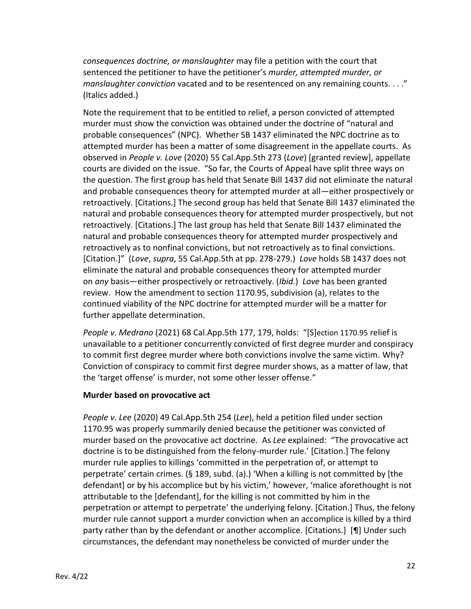*consequences doctrine, or manslaughter* may file a petition with the court that sentenced the petitioner to have the petitioner's *murder, attempted murder, or manslaughter conviction* vacated and to be resentenced on any remaining counts. . . ." (Italics added.)

Note the requirement that to be entitled to relief, a person convicted of attempted murder must show the conviction was obtained under the doctrine of "natural and probable consequences" (NPC). Whether SB 1437 eliminated the NPC doctrine as to attempted murder has been a matter of some disagreement in the appellate courts. As observed in *People v. Love* (2020) 55 Cal.App.5th 273 (*Love*) [granted review], appellate courts are divided on the issue. "So far, the Courts of Appeal have split three ways on the question. The first group has held that Senate Bill 1437 did not eliminate the natural and probable consequences theory for attempted murder at all—either prospectively or retroactively. [Citations.] The second group has held that Senate Bill 1437 eliminated the natural and probable consequences theory for attempted murder prospectively, but not retroactively. [Citations.] The last group has held that Senate Bill 1437 eliminated the natural and probable consequences theory for attempted murder prospectively and retroactively as to nonfinal convictions, but not retroactively as to final convictions. [Citation.]" (*Love*, *supra*, 55 Cal.App.5th at pp. 278-279.) *Love* holds SB 1437 does not eliminate the natural and probable consequences theory for attempted murder on *any* basis—either prospectively or retroactively. (*Ibid.*) *Love* has been granted review. How the amendment to section 1170.95, subdivision (a), relates to the continued viability of the NPC doctrine for attempted murder will be a matter for further appellate determination.

*People v. Medrano* (2021) 68 Cal.App.5th 177, 179, holds: "[S]ection 1170.95 relief is unavailable to a petitioner concurrently convicted of first degree murder and conspiracy to commit first degree murder where both convictions involve the same victim. Why? Conviction of conspiracy to commit first degree murder shows, as a matter of law, that the 'target offense' is murder, not some other lesser offense."

#### **Murder based on provocative act**

*People v. Lee* (2020) 49 Cal.App.5th 254 (*Lee*), held a petition filed under section 1170.95 was properly summarily denied because the petitioner was convicted of murder based on the provocative act doctrine. As *Lee* explained: "The provocative act doctrine is to be distinguished from the felony-murder rule.' [Citation.] The felony murder rule applies to killings 'committed in the perpetration of, or attempt to perpetrate' certain crimes. (§ 189, subd. (a).) 'When a killing is not committed by [the defendant] or by his accomplice but by his victim,' however, 'malice aforethought is not attributable to the [defendant], for the killing is not committed by him in the perpetration or attempt to perpetrate' the underlying felony. [Citation.] Thus, the felony murder rule cannot support a murder conviction when an accomplice is killed by a third party rather than by the defendant or another accomplice. [Citations.] [¶] Under such circumstances, the defendant may nonetheless be convicted of murder under the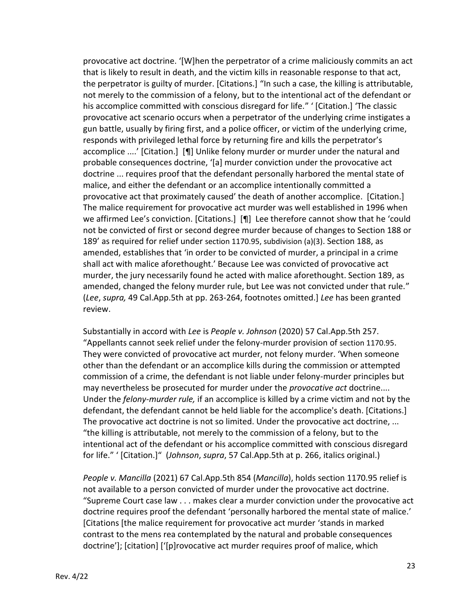provocative act doctrine. '[W]hen the perpetrator of a crime maliciously commits an act that is likely to result in death, and the victim kills in reasonable response to that act, the perpetrator is guilty of murder. [Citations.] "In such a case, the killing is attributable, not merely to the commission of a felony, but to the intentional act of the defendant or his accomplice committed with conscious disregard for life." ' [Citation.] 'The classic provocative act scenario occurs when a perpetrator of the underlying crime instigates a gun battle, usually by firing first, and a police officer, or victim of the underlying crime, responds with privileged lethal force by returning fire and kills the perpetrator's accomplice ....' [Citation.] [¶] Unlike felony murder or murder under the natural and probable consequences doctrine, '[a] murder conviction under the provocative act doctrine ... requires proof that the defendant personally harbored the mental state of malice, and either the defendant or an accomplice intentionally committed a provocative act that proximately caused' the death of another accomplice. [Citation.] The malice requirement for provocative act murder was well established in 1996 when we affirmed Lee's conviction. [Citations.] [¶] Lee therefore cannot show that he 'could not be convicted of first or second degree murder because of changes to Section 188 or 189' as required for relief under section 1170.95, subdivision (a)(3). Section 188, as amended, establishes that 'in order to be convicted of murder, a principal in a crime shall act with malice aforethought.' Because Lee was convicted of provocative act murder, the jury necessarily found he acted with malice aforethought. Section 189, as amended, changed the felony murder rule, but Lee was not convicted under that rule." (*Lee*, *supra,* 49 Cal.App.5th at pp. 263-264, footnotes omitted.] *Lee* has been granted review.

Substantially in accord with *Lee* is *People v. Johnson* (2020) 57 Cal.App.5th 257. "Appellants cannot seek relief under the felony-murder provision of section 1170.95. They were convicted of provocative act murder, not felony murder. 'When someone other than the defendant or an accomplice kills during the commission or attempted commission of a crime, the defendant is not liable under felony-murder principles but may nevertheless be prosecuted for murder under the *provocative act* doctrine.... Under the *felony-murder rule,* if an accomplice is killed by a crime victim and not by the defendant, the defendant cannot be held liable for the accomplice's death. [Citations.] The provocative act doctrine is not so limited. Under the provocative act doctrine, ... "the killing is attributable, not merely to the commission of a felony, but to the intentional act of the defendant or his accomplice committed with conscious disregard for life." ' [Citation.]" (*Johnson*, *supra*, 57 Cal.App.5th at p. 266, italics original.)

*People v. Mancilla* (2021) 67 Cal.App.5th 854 (*Mancilla*), holds section 1170.95 relief is not available to a person convicted of murder under the provocative act doctrine. "Supreme Court case law . . . makes clear a murder conviction under the provocative act doctrine requires proof the defendant 'personally harbored the mental state of malice.' [Citations [the malice requirement for provocative act murder 'stands in marked contrast to the mens rea contemplated by the natural and probable consequences doctrine']; [citation] ['[p]rovocative act murder requires proof of malice, which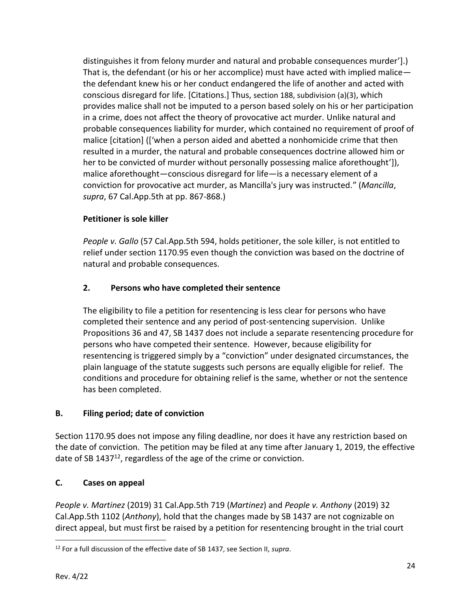distinguishes it from felony murder and natural and probable consequences murder'].) That is, the defendant (or his or her accomplice) must have acted with implied malice the defendant knew his or her conduct endangered the life of another and acted with conscious disregard for life. [Citations.] Thus, section 188, subdivision (a)(3), which provides malice shall not be imputed to a person based solely on his or her participation in a crime, does not affect the theory of provocative act murder. Unlike natural and probable consequences liability for murder, which contained no requirement of proof of malice [citation] (['when a person aided and abetted a nonhomicide crime that then resulted in a murder, the natural and probable consequences doctrine allowed him or her to be convicted of murder without personally possessing malice aforethought']), malice aforethought—conscious disregard for life—is a necessary element of a conviction for provocative act murder, as Mancilla's jury was instructed." (*Mancilla*, *supra*, 67 Cal.App.5th at pp. 867-868.)

# **Petitioner is sole killer**

*People v. Gallo* (57 Cal.App.5th 594, holds petitioner, the sole killer, is not entitled to relief under section 1170.95 even though the conviction was based on the doctrine of natural and probable consequences.

# **2. Persons who have completed their sentence**

The eligibility to file a petition for resentencing is less clear for persons who have completed their sentence and any period of post-sentencing supervision. Unlike Propositions 36 and 47, SB 1437 does not include a separate resentencing procedure for persons who have competed their sentence. However, because eligibility for resentencing is triggered simply by a "conviction" under designated circumstances, the plain language of the statute suggests such persons are equally eligible for relief. The conditions and procedure for obtaining relief is the same, whether or not the sentence has been completed.

#### **B. Filing period; date of conviction**

Section 1170.95 does not impose any filing deadline, nor does it have any restriction based on the date of conviction. The petition may be filed at any time after January 1, 2019, the effective date of SB 1437 $^{12}$ , regardless of the age of the crime or conviction.

# **C. Cases on appeal**

*People v. Martinez* (2019) 31 Cal.App.5th 719 (*Martinez*) and *People v. Anthony* (2019) 32 Cal.App.5th 1102 (*Anthony*), hold that the changes made by SB 1437 are not cognizable on direct appeal, but must first be raised by a petition for resentencing brought in the trial court

<sup>12</sup> For a full discussion of the effective date of SB 1437, see Section II, *supra*.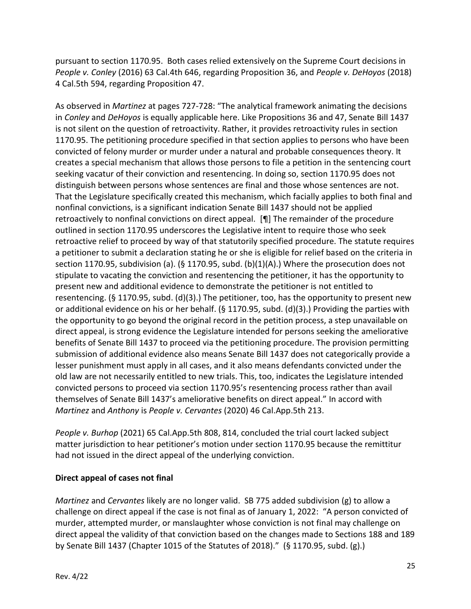pursuant to section 1170.95. Both cases relied extensively on the Supreme Court decisions in *People v. Conley* (2016) 63 Cal.4th 646, regarding Proposition 36, and *People v. DeHoyos* (2018) 4 Cal.5th 594, regarding Proposition 47.

As observed in *Martinez* at pages 727-728: "The analytical framework animating the decisions in *Conley* and *DeHoyos* is equally applicable here. Like Propositions 36 and 47, Senate Bill 1437 is not silent on the question of retroactivity. Rather, it provides retroactivity rules in section 1170.95. The petitioning procedure specified in that section applies to persons who have been convicted of felony murder or murder under a natural and probable consequences theory. It creates a special mechanism that allows those persons to file a petition in the sentencing court seeking vacatur of their conviction and resentencing. In doing so, section 1170.95 does not distinguish between persons whose sentences are final and those whose sentences are not. That the Legislature specifically created this mechanism, which facially applies to both final and nonfinal convictions, is a significant indication Senate Bill 1437 should not be applied retroactively to nonfinal convictions on direct appeal. [¶] The remainder of the procedure outlined in section 1170.95 underscores the Legislative intent to require those who seek retroactive relief to proceed by way of that statutorily specified procedure. The statute requires a petitioner to submit a declaration stating he or she is eligible for relief based on the criteria in section 1170.95, subdivision (a). (§ 1170.95, subd. (b)(1)(A).) Where the prosecution does not stipulate to vacating the conviction and resentencing the petitioner, it has the opportunity to present new and additional evidence to demonstrate the petitioner is not entitled to resentencing. (§ 1170.95, subd. (d)(3).) The petitioner, too, has the opportunity to present new or additional evidence on his or her behalf. (§ 1170.95, subd. (d)(3).) Providing the parties with the opportunity to go beyond the original record in the petition process, a step unavailable on direct appeal, is strong evidence the Legislature intended for persons seeking the ameliorative benefits of Senate Bill 1437 to proceed via the petitioning procedure. The provision permitting submission of additional evidence also means Senate Bill 1437 does not categorically provide a lesser punishment must apply in all cases, and it also means defendants convicted under the old law are not necessarily entitled to new trials. This, too, indicates the Legislature intended convicted persons to proceed via section 1170.95's resentencing process rather than avail themselves of Senate Bill 1437's ameliorative benefits on direct appeal." In accord with *Martinez* and *Anthony* is *People v. Cervantes* (2020) 46 Cal.App.5th 213.

*People v. Burhop* (2021) 65 Cal.App.5th 808, 814, concluded the trial court lacked subject matter jurisdiction to hear petitioner's motion under section 1170.95 because the remittitur had not issued in the direct appeal of the underlying conviction.

#### **Direct appeal of cases not final**

*Martinez* and *Cervantes* likely are no longer valid. SB 775 added subdivision (g) to allow a challenge on direct appeal if the case is not final as of January 1, 2022: "A person convicted of murder, attempted murder, or manslaughter whose conviction is not final may challenge on direct appeal the validity of that conviction based on the changes made to Sections 188 and 189 by Senate Bill 1437 (Chapter 1015 of the Statutes of 2018)." (§ 1170.95, subd. (g).)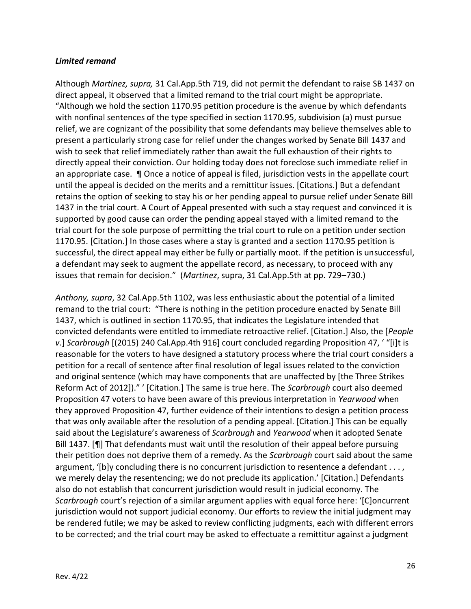#### *Limited remand*

Although *Martinez, supra,* 31 Cal.App.5th 719*,* did not permit the defendant to raise SB 1437 on direct appeal, it observed that a limited remand to the trial court might be appropriate. "Although we hold the section 1170.95 petition procedure is the avenue by which defendants with nonfinal sentences of the type specified in section 1170.95, subdivision (a) must pursue relief, we are cognizant of the possibility that some defendants may believe themselves able to present a particularly strong case for relief under the changes worked by Senate Bill 1437 and wish to seek that relief immediately rather than await the full exhaustion of their rights to directly appeal their conviction. Our holding today does not foreclose such immediate relief in an appropriate case. ¶ Once a notice of appeal is filed, jurisdiction vests in the appellate court until the appeal is decided on the merits and a remittitur issues. [Citations.] But a defendant retains the option of seeking to stay his or her pending appeal to pursue relief under Senate Bill 1437 in the trial court. A Court of Appeal presented with such a stay request and convinced it is supported by good cause can order the pending appeal stayed with a limited remand to the trial court for the sole purpose of permitting the trial court to rule on a petition under section 1170.95. [Citation.] In those cases where a stay is granted and a section 1170.95 petition is successful, the direct appeal may either be fully or partially moot. If the petition is unsuccessful, a defendant may seek to augment the appellate record, as necessary, to proceed with any issues that remain for decision." (*Martinez*, supra, 31 Cal.App.5th at pp. 729–730.)

*Anthony, supra*, 32 Cal.App.5th 1102, was less enthusiastic about the potential of a limited remand to the trial court: "There is nothing in the petition procedure enacted by Senate Bill 1437, which is outlined in section 1170.95, that indicates the Legislature intended that convicted defendants were entitled to immediate retroactive relief. [Citation.] Also, the [*People v.*] *Scarbrough* [(2015) 240 Cal.App.4th 916] court concluded regarding Proposition 47, ' "[i]t is reasonable for the voters to have designed a statutory process where the trial court considers a petition for a recall of sentence after final resolution of legal issues related to the conviction and original sentence (which may have components that are unaffected by [the Three Strikes Reform Act of 2012])." ' [Citation.] The same is true here. The *Scarbrough* court also deemed Proposition 47 voters to have been aware of this previous interpretation in *Yearwood* when they approved Proposition 47, further evidence of their intentions to design a petition process that was only available after the resolution of a pending appeal. [Citation.] This can be equally said about the Legislature's awareness of *Scarbrough* and *Yearwood* when it adopted Senate Bill 1437. [¶] That defendants must wait until the resolution of their appeal before pursuing their petition does not deprive them of a remedy. As the *Scarbrough* court said about the same argument, '[b]y concluding there is no concurrent jurisdiction to resentence a defendant . . . , we merely delay the resentencing; we do not preclude its application.' [Citation.] Defendants also do not establish that concurrent jurisdiction would result in judicial economy. The *Scarbrough* court's rejection of a similar argument applies with equal force here: '[C]oncurrent jurisdiction would not support judicial economy. Our efforts to review the initial judgment may be rendered futile; we may be asked to review conflicting judgments, each with different errors to be corrected; and the trial court may be asked to effectuate a remittitur against a judgment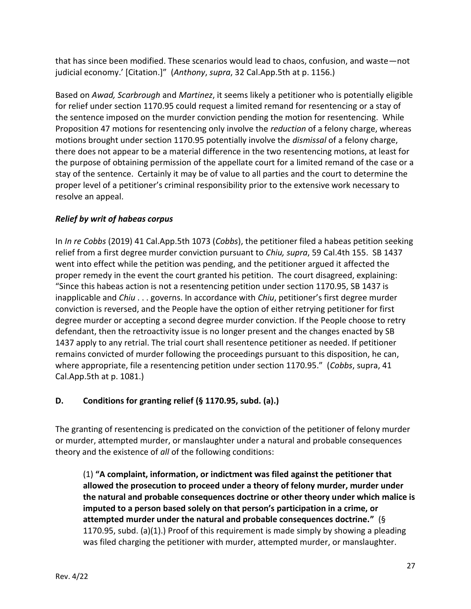that has since been modified. These scenarios would lead to chaos, confusion, and waste—not judicial economy.' [Citation.]" (*Anthony*, *supra*, 32 Cal.App.5th at p. 1156.)

Based on *Awad, Scarbrough* and *Martinez*, it seems likely a petitioner who is potentially eligible for relief under section 1170.95 could request a limited remand for resentencing or a stay of the sentence imposed on the murder conviction pending the motion for resentencing. While Proposition 47 motions for resentencing only involve the *reduction* of a felony charge, whereas motions brought under section 1170.95 potentially involve the *dismissal* of a felony charge, there does not appear to be a material difference in the two resentencing motions, at least for the purpose of obtaining permission of the appellate court for a limited remand of the case or a stay of the sentence. Certainly it may be of value to all parties and the court to determine the proper level of a petitioner's criminal responsibility prior to the extensive work necessary to resolve an appeal.

# *Relief by writ of habeas corpus*

In *In re Cobbs* (2019) 41 Cal.App.5th 1073 (*Cobbs*), the petitioner filed a habeas petition seeking relief from a first degree murder conviction pursuant to *Chiu, supra*, 59 Cal.4th 155. SB 1437 went into effect while the petition was pending, and the petitioner argued it affected the proper remedy in the event the court granted his petition. The court disagreed, explaining: "Since this habeas action is not a resentencing petition under section 1170.95, SB 1437 is inapplicable and *Chiu* . . . governs. In accordance with *Chiu*, petitioner's first degree murder conviction is reversed, and the People have the option of either retrying petitioner for first degree murder or accepting a second degree murder conviction. If the People choose to retry defendant, then the retroactivity issue is no longer present and the changes enacted by SB 1437 apply to any retrial. The trial court shall resentence petitioner as needed. If petitioner remains convicted of murder following the proceedings pursuant to this disposition, he can, where appropriate, file a resentencing petition under section 1170.95." (*Cobbs*, supra, 41 Cal.App.5th at p. 1081.)

#### **D. Conditions for granting relief (§ 1170.95, subd. (a).)**

The granting of resentencing is predicated on the conviction of the petitioner of felony murder or murder, attempted murder, or manslaughter under a natural and probable consequences theory and the existence of *all* of the following conditions:

(1) **"A complaint, information, or indictment was filed against the petitioner that allowed the prosecution to proceed under a theory of felony murder, murder under the natural and probable consequences doctrine or other theory under which malice is imputed to a person based solely on that person's participation in a crime, or attempted murder under the natural and probable consequences doctrine."** (§ 1170.95, subd. (a)(1).) Proof of this requirement is made simply by showing a pleading was filed charging the petitioner with murder, attempted murder, or manslaughter.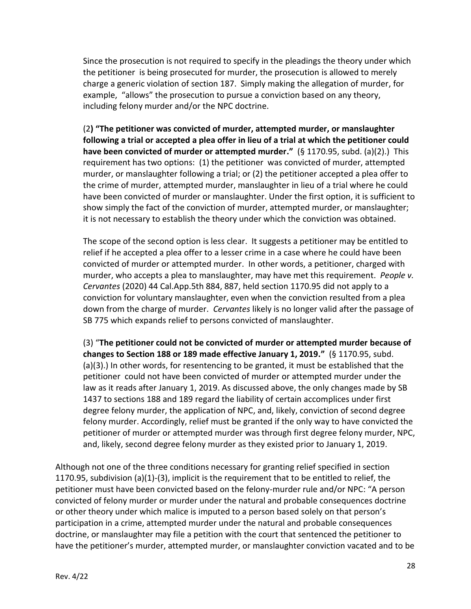Since the prosecution is not required to specify in the pleadings the theory under which the petitioner is being prosecuted for murder, the prosecution is allowed to merely charge a generic violation of section 187. Simply making the allegation of murder, for example, "allows" the prosecution to pursue a conviction based on any theory, including felony murder and/or the NPC doctrine.

(2**) "The petitioner was convicted of murder, attempted murder, or manslaughter following a trial or accepted a plea offer in lieu of a trial at which the petitioner could have been convicted of murder or attempted murder."** (§ 1170.95, subd. (a)(2).) This requirement has two options: (1) the petitioner was convicted of murder, attempted murder, or manslaughter following a trial; or (2) the petitioner accepted a plea offer to the crime of murder, attempted murder, manslaughter in lieu of a trial where he could have been convicted of murder or manslaughter. Under the first option, it is sufficient to show simply the fact of the conviction of murder, attempted murder, or manslaughter; it is not necessary to establish the theory under which the conviction was obtained.

The scope of the second option is less clear. It suggests a petitioner may be entitled to relief if he accepted a plea offer to a lesser crime in a case where he could have been convicted of murder or attempted murder. In other words, a petitioner, charged with murder, who accepts a plea to manslaughter, may have met this requirement. *People v. Cervantes* (2020) 44 Cal.App.5th 884, 887, held section 1170.95 did not apply to a conviction for voluntary manslaughter, even when the conviction resulted from a plea down from the charge of murder. *Cervantes* likely is no longer valid after the passage of SB 775 which expands relief to persons convicted of manslaughter.

(3) "**The petitioner could not be convicted of murder or attempted murder because of changes to Section 188 or 189 made effective January 1, 2019."** (§ 1170.95, subd. (a)(3).) In other words, for resentencing to be granted, it must be established that the petitioner could not have been convicted of murder or attempted murder under the law as it reads after January 1, 2019. As discussed above, the only changes made by SB 1437 to sections 188 and 189 regard the liability of certain accomplices under first degree felony murder, the application of NPC, and, likely, conviction of second degree felony murder. Accordingly, relief must be granted if the only way to have convicted the petitioner of murder or attempted murder was through first degree felony murder, NPC, and, likely, second degree felony murder as they existed prior to January 1, 2019.

Although not one of the three conditions necessary for granting relief specified in section 1170.95, subdivision (a)(1)-(3), implicit is the requirement that to be entitled to relief, the petitioner must have been convicted based on the felony-murder rule and/or NPC: "A person convicted of felony murder or murder under the natural and probable consequences doctrine or other theory under which malice is imputed to a person based solely on that person's participation in a crime, attempted murder under the natural and probable consequences doctrine, or manslaughter may file a petition with the court that sentenced the petitioner to have the petitioner's murder, attempted murder, or manslaughter conviction vacated and to be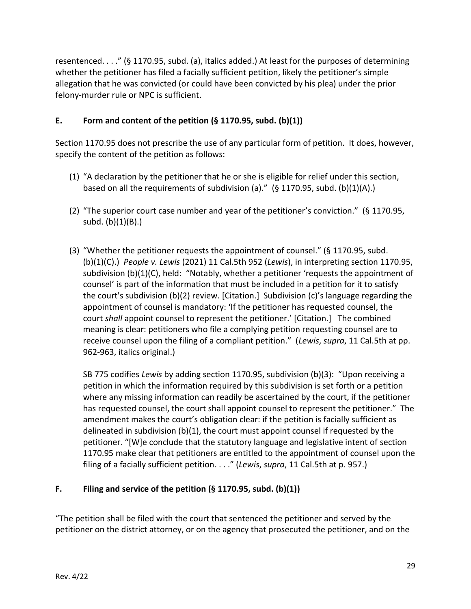resentenced. . . ." (§ 1170.95, subd. (a), italics added.) At least for the purposes of determining whether the petitioner has filed a facially sufficient petition, likely the petitioner's simple allegation that he was convicted (or could have been convicted by his plea) under the prior felony-murder rule or NPC is sufficient.

#### **E. Form and content of the petition (§ 1170.95, subd. (b)(1))**

Section 1170.95 does not prescribe the use of any particular form of petition. It does, however, specify the content of the petition as follows:

- (1) "A declaration by the petitioner that he or she is eligible for relief under this section, based on all the requirements of subdivision (a)." (§ 1170.95, subd. (b)(1)(A).)
- (2) "The superior court case number and year of the petitioner's conviction." (§ 1170.95, subd. (b)(1)(B).)
- (3) "Whether the petitioner requests the appointment of counsel." (§ 1170.95, subd. (b)(1)(C).) *People v. Lewis* (2021) 11 Cal.5th 952 (*Lewis*), in interpreting section 1170.95, subdivision (b)(1)(C), held: "Notably, whether a petitioner 'requests the appointment of counsel' is part of the information that must be included in a petition for it to satisfy the court's subdivision (b)(2) review. [Citation.] Subdivision (c)'s language regarding the appointment of counsel is mandatory: 'If the petitioner has requested counsel, the court *shall* appoint counsel to represent the petitioner.' [Citation.] The combined meaning is clear: petitioners who file a complying petition requesting counsel are to receive counsel upon the filing of a compliant petition." (*Lewis*, *supra*, 11 Cal.5th at pp. 962-963, italics original.)

SB 775 codifies *Lewis* by adding section 1170.95, subdivision (b)(3): "Upon receiving a petition in which the information required by this subdivision is set forth or a petition where any missing information can readily be ascertained by the court, if the petitioner has requested counsel, the court shall appoint counsel to represent the petitioner." The amendment makes the court's obligation clear: if the petition is facially sufficient as delineated in subdivision (b)(1), the court must appoint counsel if requested by the petitioner. "[W]e conclude that the statutory language and legislative intent of section 1170.95 make clear that petitioners are entitled to the appointment of counsel upon the filing of a facially sufficient petition. . . ." (*Lewis*, *supra*, 11 Cal.5th at p. 957.)

#### **F. Filing and service of the petition (§ 1170.95, subd. (b)(1))**

"The petition shall be filed with the court that sentenced the petitioner and served by the petitioner on the district attorney, or on the agency that prosecuted the petitioner, and on the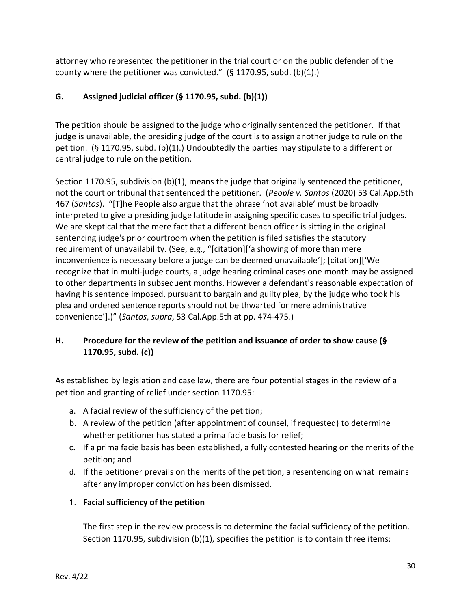attorney who represented the petitioner in the trial court or on the public defender of the county where the petitioner was convicted." (§ 1170.95, subd. (b)(1).)

# **G. Assigned judicial officer (§ 1170.95, subd. (b)(1))**

The petition should be assigned to the judge who originally sentenced the petitioner. If that judge is unavailable, the presiding judge of the court is to assign another judge to rule on the petition. (§ 1170.95, subd. (b)(1).) Undoubtedly the parties may stipulate to a different or central judge to rule on the petition.

Section 1170.95, subdivision (b)(1), means the judge that originally sentenced the petitioner, not the court or tribunal that sentenced the petitioner. (*People v. Santos* (2020) 53 Cal.App.5th 467 (*Santos*). "[T]he People also argue that the phrase 'not available' must be broadly interpreted to give a presiding judge latitude in assigning specific cases to specific trial judges. We are skeptical that the mere fact that a different bench officer is sitting in the original sentencing judge's prior courtroom when the petition is filed satisfies the statutory requirement of unavailability. (See, e.g., "[citation]['a showing of more than mere inconvenience is necessary before a judge can be deemed unavailable']; [citation]['We recognize that in multi-judge courts, a judge hearing criminal cases one month may be assigned to other departments in subsequent months. However a defendant's reasonable expectation of having his sentence imposed, pursuant to bargain and guilty plea, by the judge who took his plea and ordered sentence reports should not be thwarted for mere administrative convenience'].)" (*Santos*, *supra*, 53 Cal.App.5th at pp. 474-475.)

# **H. Procedure for the review of the petition and issuance of order to show cause (§ 1170.95, subd. (c))**

As established by legislation and case law, there are four potential stages in the review of a petition and granting of relief under section 1170.95:

- a. A facial review of the sufficiency of the petition;
- b. A review of the petition (after appointment of counsel, if requested) to determine whether petitioner has stated a prima facie basis for relief;
- c. If a prima facie basis has been established, a fully contested hearing on the merits of the petition; and
- d. If the petitioner prevails on the merits of the petition, a resentencing on what remains after any improper conviction has been dismissed.

#### 1. **Facial sufficiency of the petition**

The first step in the review process is to determine the facial sufficiency of the petition. Section 1170.95, subdivision (b)(1), specifies the petition is to contain three items: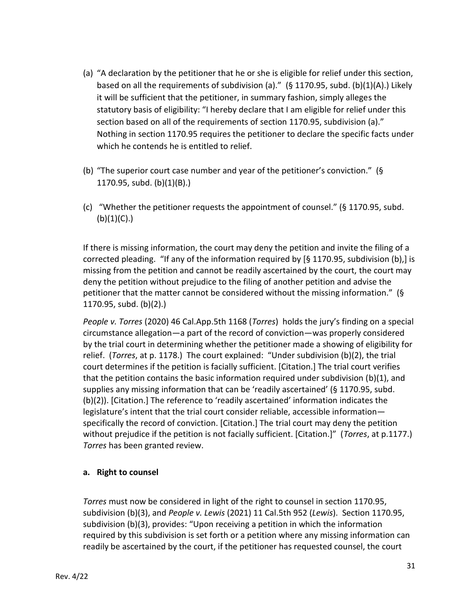- (a) "A declaration by the petitioner that he or she is eligible for relief under this section, based on all the requirements of subdivision (a)." (§ 1170.95, subd. (b)(1)(A).) Likely it will be sufficient that the petitioner, in summary fashion, simply alleges the statutory basis of eligibility: "I hereby declare that I am eligible for relief under this section based on all of the requirements of section 1170.95, subdivision (a)." Nothing in section 1170.95 requires the petitioner to declare the specific facts under which he contends he is entitled to relief.
- (b) "The superior court case number and year of the petitioner's conviction." (§ 1170.95, subd. (b)(1)(B).)
- (c) "Whether the petitioner requests the appointment of counsel." (§ 1170.95, subd.  $(b)(1)(C).$

If there is missing information, the court may deny the petition and invite the filing of a corrected pleading. "If any of the information required by [§ 1170.95, subdivision (b),] is missing from the petition and cannot be readily ascertained by the court, the court may deny the petition without prejudice to the filing of another petition and advise the petitioner that the matter cannot be considered without the missing information." (§ 1170.95, subd. (b)(2).)

*People v. Torres* (2020) 46 Cal.App.5th 1168 (*Torres*) holds the jury's finding on a special circumstance allegation—a part of the record of conviction—was properly considered by the trial court in determining whether the petitioner made a showing of eligibility for relief. (*Torres*, at p. 1178.) The court explained: "Under subdivision (b)(2), the trial court determines if the petition is facially sufficient. [Citation.] The trial court verifies that the petition contains the basic information required under subdivision  $(b)(1)$ , and supplies any missing information that can be 'readily ascertained' (§ 1170.95, subd. (b)(2)). [Citation.] The reference to 'readily ascertained' information indicates the legislature's intent that the trial court consider reliable, accessible information specifically the record of conviction. [Citation.] The trial court may deny the petition without prejudice if the petition is not facially sufficient. [Citation.]" (*Torres*, at p.1177.) *Torres* has been granted review.

#### **a. Right to counsel**

*Torres* must now be considered in light of the right to counsel in section 1170.95, subdivision (b)(3), and *People v. Lewis* (2021) 11 Cal.5th 952 (*Lewis*). Section 1170.95, subdivision (b)(3), provides: "Upon receiving a petition in which the information required by this subdivision is set forth or a petition where any missing information can readily be ascertained by the court, if the petitioner has requested counsel, the court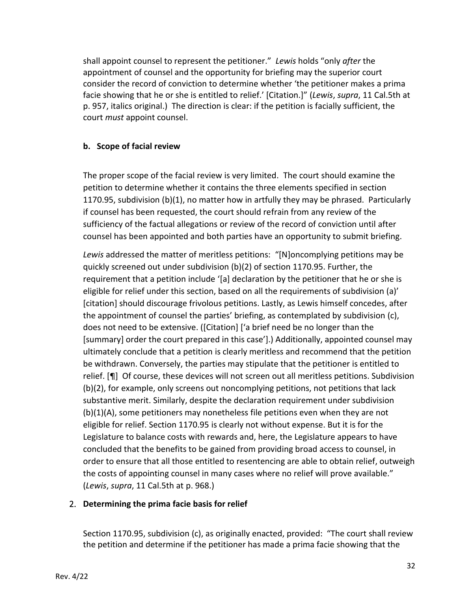shall appoint counsel to represent the petitioner." *Lewis* holds "only *after* the appointment of counsel and the opportunity for briefing may the superior court consider the record of conviction to determine whether 'the petitioner makes a prima facie showing that he or she is entitled to relief.' [Citation.]" (*Lewis*, *supra*, 11 Cal.5th at p. 957, italics original.) The direction is clear: if the petition is facially sufficient, the court *must* appoint counsel.

#### **b. Scope of facial review**

The proper scope of the facial review is very limited. The court should examine the petition to determine whether it contains the three elements specified in section 1170.95, subdivision (b)(1), no matter how in artfully they may be phrased. Particularly if counsel has been requested, the court should refrain from any review of the sufficiency of the factual allegations or review of the record of conviction until after counsel has been appointed and both parties have an opportunity to submit briefing.

*Lewis* addressed the matter of meritless petitions: "[N]oncomplying petitions may be quickly screened out under subdivision (b)(2) of section 1170.95. Further, the requirement that a petition include '[a] declaration by the petitioner that he or she is eligible for relief under this section, based on all the requirements of subdivision (a)' [citation] should discourage frivolous petitions. Lastly, as Lewis himself concedes, after the appointment of counsel the parties' briefing, as contemplated by subdivision (c), does not need to be extensive. ([Citation] ['a brief need be no longer than the [summary] order the court prepared in this case'].) Additionally, appointed counsel may ultimately conclude that a petition is clearly meritless and recommend that the petition be withdrawn. Conversely, the parties may stipulate that the petitioner is entitled to relief. [¶] Of course, these devices will not screen out all meritless petitions. Subdivision (b)(2), for example, only screens out noncomplying petitions, not petitions that lack substantive merit. Similarly, despite the declaration requirement under subdivision (b)(1)(A), some petitioners may nonetheless file petitions even when they are not eligible for relief. Section 1170.95 is clearly not without expense. But it is for the Legislature to balance costs with rewards and, here, the Legislature appears to have concluded that the benefits to be gained from providing broad access to counsel, in order to ensure that all those entitled to resentencing are able to obtain relief, outweigh the costs of appointing counsel in many cases where no relief will prove available." (*Lewis*, *supra*, 11 Cal.5th at p. 968.)

#### 2. **Determining the prima facie basis for relief**

Section 1170.95, subdivision (c), as originally enacted, provided: "The court shall review the petition and determine if the petitioner has made a prima facie showing that the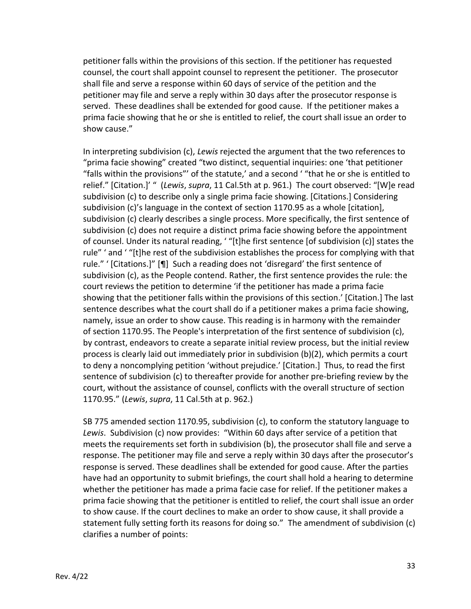petitioner falls within the provisions of this section. If the petitioner has requested counsel, the court shall appoint counsel to represent the petitioner. The prosecutor shall file and serve a response within 60 days of service of the petition and the petitioner may file and serve a reply within 30 days after the prosecutor response is served. These deadlines shall be extended for good cause. If the petitioner makes a prima facie showing that he or she is entitled to relief, the court shall issue an order to show cause."

In interpreting subdivision (c), *Lewis* rejected the argument that the two references to "prima facie showing" created "two distinct, sequential inquiries: one 'that petitioner "falls within the provisions"' of the statute,' and a second ' "that he or she is entitled to relief." [Citation.]' " (*Lewis*, *supra*, 11 Cal.5th at p. 961.) The court observed: "[W]e read subdivision (c) to describe only a single prima facie showing. [Citations.] Considering subdivision (c)'s language in the context of section 1170.95 as a whole [citation], subdivision (c) clearly describes a single process. More specifically, the first sentence of subdivision (c) does not require a distinct prima facie showing before the appointment of counsel. Under its natural reading, ' "[t]he first sentence [of subdivision (c)] states the rule" ' and ' "[t]he rest of the subdivision establishes the process for complying with that rule." ' [Citations.]" [¶] Such a reading does not 'disregard' the first sentence of subdivision (c), as the People contend. Rather, the first sentence provides the rule: the court reviews the petition to determine 'if the petitioner has made a prima facie showing that the petitioner falls within the provisions of this section.' [Citation.] The last sentence describes what the court shall do if a petitioner makes a prima facie showing, namely, issue an order to show cause. This reading is in harmony with the remainder of section 1170.95. The People's interpretation of the first sentence of subdivision (c), by contrast, endeavors to create a separate initial review process, but the initial review process is clearly laid out immediately prior in subdivision (b)(2), which permits a court to deny a noncomplying petition 'without prejudice.' [Citation.] Thus, to read the first sentence of subdivision (c) to thereafter provide for another pre-briefing review by the court, without the assistance of counsel, conflicts with the overall structure of section 1170.95." (*Lewis*, *supra*, 11 Cal.5th at p. 962.)

SB 775 amended section 1170.95, subdivision (c), to conform the statutory language to *Lewis*. Subdivision (c) now provides: "Within 60 days after service of a petition that meets the requirements set forth in subdivision (b), the prosecutor shall file and serve a response. The petitioner may file and serve a reply within 30 days after the prosecutor's response is served. These deadlines shall be extended for good cause. After the parties have had an opportunity to submit briefings, the court shall hold a hearing to determine whether the petitioner has made a prima facie case for relief. If the petitioner makes a prima facie showing that the petitioner is entitled to relief, the court shall issue an order to show cause. If the court declines to make an order to show cause, it shall provide a statement fully setting forth its reasons for doing so." The amendment of subdivision (c) clarifies a number of points: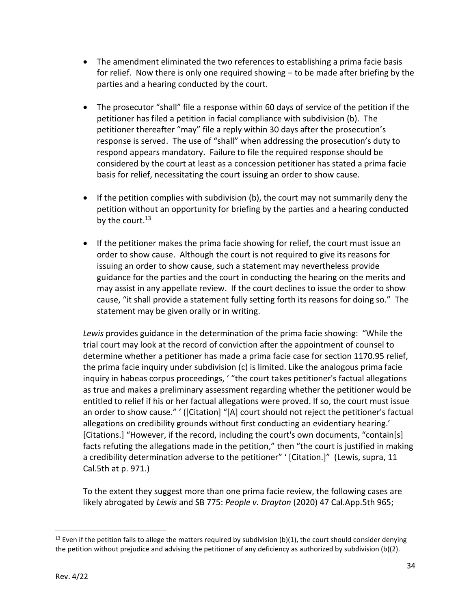- The amendment eliminated the two references to establishing a prima facie basis for relief. Now there is only one required showing – to be made after briefing by the parties and a hearing conducted by the court.
- The prosecutor "shall" file a response within 60 days of service of the petition if the petitioner has filed a petition in facial compliance with subdivision (b). The petitioner thereafter "may" file a reply within 30 days after the prosecution's response is served. The use of "shall" when addressing the prosecution's duty to respond appears mandatory. Failure to file the required response should be considered by the court at least as a concession petitioner has stated a prima facie basis for relief, necessitating the court issuing an order to show cause.
- If the petition complies with subdivision (b), the court may not summarily deny the petition without an opportunity for briefing by the parties and a hearing conducted by the court. $13$
- If the petitioner makes the prima facie showing for relief, the court must issue an order to show cause. Although the court is not required to give its reasons for issuing an order to show cause, such a statement may nevertheless provide guidance for the parties and the court in conducting the hearing on the merits and may assist in any appellate review. If the court declines to issue the order to show cause, "it shall provide a statement fully setting forth its reasons for doing so." The statement may be given orally or in writing.

*Lewis* provides guidance in the determination of the prima facie showing: "While the trial court may look at the record of conviction after the appointment of counsel to determine whether a petitioner has made a prima facie case for section 1170.95 relief, the prima facie inquiry under subdivision (c) is limited. Like the analogous prima facie inquiry in habeas corpus proceedings, ' "the court takes petitioner's factual allegations as true and makes a preliminary assessment regarding whether the petitioner would be entitled to relief if his or her factual allegations were proved. If so, the court must issue an order to show cause." ' ([Citation] "[A] court should not reject the petitioner's factual allegations on credibility grounds without first conducting an evidentiary hearing.' [Citations.] "However, if the record, including the court's own documents, "contain[s] facts refuting the allegations made in the petition," then "the court is justified in making a credibility determination adverse to the petitioner" ' [Citation.]" (Lewis, supra, 11 Cal.5th at p. 971.)

To the extent they suggest more than one prima facie review, the following cases are likely abrogated by *Lewis* and SB 775: *People v. Drayton* (2020) 47 Cal.App.5th 965;

 $13$  Even if the petition fails to allege the matters required by subdivision (b)(1), the court should consider denying the petition without prejudice and advising the petitioner of any deficiency as authorized by subdivision (b)(2).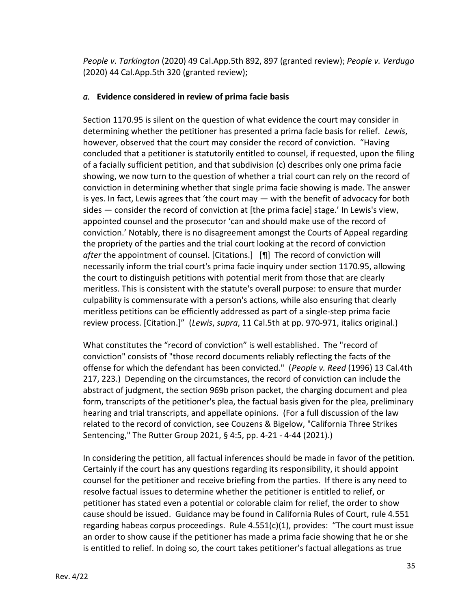*People v. Tarkington* (2020) 49 Cal.App.5th 892, 897 (granted review); *People v. Verdugo* (2020) 44 Cal.App.5th 320 (granted review);

#### *a.* **Evidence considered in review of prima facie basis**

Section 1170.95 is silent on the question of what evidence the court may consider in determining whether the petitioner has presented a prima facie basis for relief. *Lewis*, however, observed that the court may consider the record of conviction. "Having concluded that a petitioner is statutorily entitled to counsel, if requested, upon the filing of a facially sufficient petition, and that subdivision (c) describes only one prima facie showing, we now turn to the question of whether a trial court can rely on the record of conviction in determining whether that single prima facie showing is made. The answer is yes. In fact, Lewis agrees that 'the court may — with the benefit of advocacy for both sides — consider the record of conviction at [the prima facie] stage.' In Lewis's view, appointed counsel and the prosecutor 'can and should make use of the record of conviction.' Notably, there is no disagreement amongst the Courts of Appeal regarding the propriety of the parties and the trial court looking at the record of conviction *after* the appointment of counsel. [Citations.] [¶] The record of conviction will necessarily inform the trial court's prima facie inquiry under section 1170.95, allowing the court to distinguish petitions with potential merit from those that are clearly meritless. This is consistent with the statute's overall purpose: to ensure that murder culpability is commensurate with a person's actions, while also ensuring that clearly meritless petitions can be efficiently addressed as part of a single-step prima facie review process. [Citation.]" (*Lewis*, *supra*, 11 Cal.5th at pp. 970-971, italics original.)

What constitutes the "record of conviction" is well established. The "record of conviction" consists of "those record documents reliably reflecting the facts of the offense for which the defendant has been convicted." (*People v. Reed* (1996) 13 Cal.4th 217, 223.) Depending on the circumstances, the record of conviction can include the abstract of judgment, the section 969b prison packet, the charging document and plea form, transcripts of the petitioner's plea, the factual basis given for the plea, preliminary hearing and trial transcripts, and appellate opinions. (For a full discussion of the law related to the record of conviction, see Couzens & Bigelow, "California Three Strikes Sentencing," The Rutter Group 2021, § 4:5, pp. 4-21 - 4-44 (2021).)

In considering the petition, all factual inferences should be made in favor of the petition. Certainly if the court has any questions regarding its responsibility, it should appoint counsel for the petitioner and receive briefing from the parties. If there is any need to resolve factual issues to determine whether the petitioner is entitled to relief, or petitioner has stated even a potential or colorable claim for relief, the order to show cause should be issued. Guidance may be found in California Rules of Court, rule 4.551 regarding habeas corpus proceedings. Rule 4.551(c)(1), provides: "The court must issue an order to show cause if the petitioner has made a prima facie showing that he or she is entitled to relief. In doing so, the court takes petitioner's factual allegations as true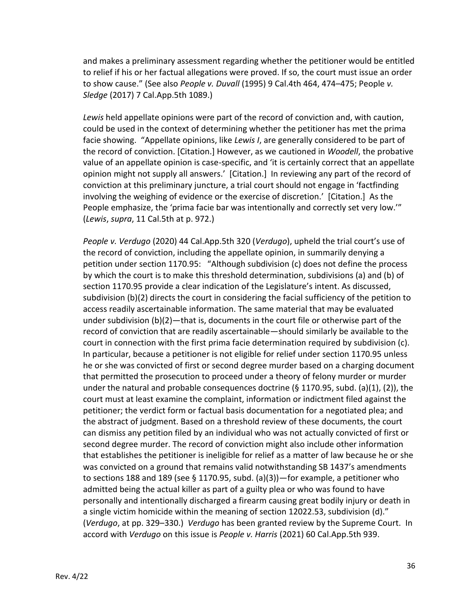and makes a preliminary assessment regarding whether the petitioner would be entitled to relief if his or her factual allegations were proved. If so, the court must issue an order to show cause." (See also *People v. Duvall* (1995) 9 Cal.4th 464, 474–475; People *v. Sledge* (2017) 7 Cal.App.5th 1089.)

*Lewis* held appellate opinions were part of the record of conviction and, with caution, could be used in the context of determining whether the petitioner has met the prima facie showing. "Appellate opinions, like *Lewis I*, are generally considered to be part of the record of conviction. [Citation.] However, as we cautioned in *Woodell*, the probative value of an appellate opinion is case-specific, and 'it is certainly correct that an appellate opinion might not supply all answers.' [Citation.] In reviewing any part of the record of conviction at this preliminary juncture, a trial court should not engage in 'factfinding involving the weighing of evidence or the exercise of discretion.' [Citation.] As the People emphasize, the 'prima facie bar was intentionally and correctly set very low.'" (*Lewis*, *supra*, 11 Cal.5th at p. 972.)

*People v. Verdugo* (2020) 44 Cal.App.5th 320 (*Verdugo*), upheld the trial court's use of the record of conviction, including the appellate opinion, in summarily denying a petition under section 1170.95: "Although subdivision (c) does not define the process by which the court is to make this threshold determination, subdivisions (a) and (b) of section 1170.95 provide a clear indication of the Legislature's intent. As discussed, subdivision (b)(2) directs the court in considering the facial sufficiency of the petition to access readily ascertainable information. The same material that may be evaluated under subdivision (b)(2)—that is, documents in the court file or otherwise part of the record of conviction that are readily ascertainable—should similarly be available to the court in connection with the first prima facie determination required by subdivision (c). In particular, because a petitioner is not eligible for relief under section 1170.95 unless he or she was convicted of first or second degree murder based on a charging document that permitted the prosecution to proceed under a theory of felony murder or murder under the natural and probable consequences doctrine (§ 1170.95, subd. (a)(1), (2)), the court must at least examine the complaint, information or indictment filed against the petitioner; the verdict form or factual basis documentation for a negotiated plea; and the abstract of judgment. Based on a threshold review of these documents, the court can dismiss any petition filed by an individual who was not actually convicted of first or second degree murder. The record of conviction might also include other information that establishes the petitioner is ineligible for relief as a matter of law because he or she was convicted on a ground that remains valid notwithstanding SB 1437's amendments to sections 188 and 189 (see  $\S$  1170.95, subd. (a)(3)) - for example, a petitioner who admitted being the actual killer as part of a guilty plea or who was found to have personally and intentionally discharged a firearm causing great bodily injury or death in a single victim homicide within the meaning of section 12022.53, subdivision (d)." (*Verdugo*, at pp. 329–330.) *Verdugo* has been granted review by the Supreme Court. In accord with *Verdugo* on this issue is *People v. Harris* (2021) 60 Cal.App.5th 939.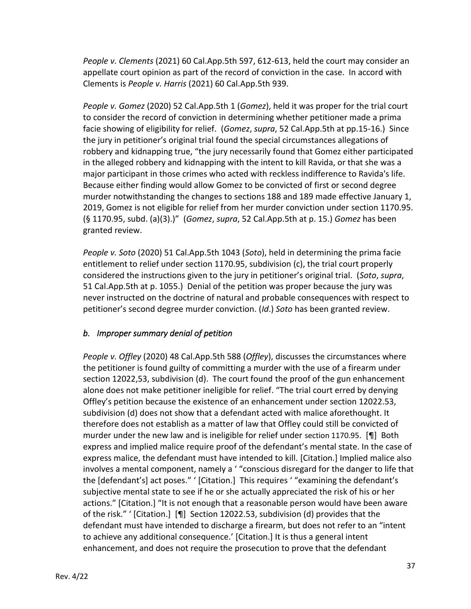*People v. Clements* (2021) 60 Cal.App.5th 597, 612-613, held the court may consider an appellate court opinion as part of the record of conviction in the case. In accord with Clements is *People v. Harris* (2021) 60 Cal.App.5th 939.

*People v. Gomez* (2020) 52 Cal.App.5th 1 (*Gomez*), held it was proper for the trial court to consider the record of conviction in determining whether petitioner made a prima facie showing of eligibility for relief. (*Gomez*, *supra*, 52 Cal.App.5th at pp.15-16.) Since the jury in petitioner's original trial found the special circumstances allegations of robbery and kidnapping true, "the jury necessarily found that Gomez either participated in the alleged robbery and kidnapping with the intent to kill Ravida, or that she was a major participant in those crimes who acted with reckless indifference to Ravida's life. Because either finding would allow Gomez to be convicted of first or second degree murder notwithstanding the changes to sections 188 and 189 made effective January 1, 2019, Gomez is not eligible for relief from her murder conviction under section 1170.95. (§ 1170.95, subd. (a)(3).)" (*Gomez*, *supra*, 52 Cal.App.5th at p. 15.) *Gomez* has been granted review.

*People v. Soto* (2020) 51 Cal.App.5th 1043 (*Soto*), held in determining the prima facie entitlement to relief under section 1170.95, subdivision (c), the trial court properly considered the instructions given to the jury in petitioner's original trial. (*Soto*, *supra*, 51 Cal.App.5th at p. 1055.) Denial of the petition was proper because the jury was never instructed on the doctrine of natural and probable consequences with respect to petitioner's second degree murder conviction. (*Id*.) *Soto* has been granted review.

### *b. Improper summary denial of petition*

*People v. Offley* (2020) 48 Cal.App.5th 588 (*Offley*), discusses the circumstances where the petitioner is found guilty of committing a murder with the use of a firearm under section 12022,53, subdivision (d). The court found the proof of the gun enhancement alone does not make petitioner ineligible for relief. "The trial court erred by denying Offley's petition because the existence of an enhancement under section 12022.53, subdivision (d) does not show that a defendant acted with malice aforethought. It therefore does not establish as a matter of law that Offley could still be convicted of murder under the new law and is ineligible for relief under section 1170.95. [¶] Both express and implied malice require proof of the defendant's mental state. In the case of express malice, the defendant must have intended to kill. [Citation.] Implied malice also involves a mental component, namely a ' "conscious disregard for the danger to life that the [defendant's] act poses." ' [Citation.] This requires ' "examining the defendant's subjective mental state to see if he or she actually appreciated the risk of his or her actions." [Citation.] "It is not enough that a reasonable person would have been aware of the risk." ' [Citation.] [¶] Section 12022.53, subdivision (d) provides that the defendant must have intended to discharge a firearm, but does not refer to an "intent to achieve any additional consequence.' [Citation.] It is thus a general intent enhancement, and does not require the prosecution to prove that the defendant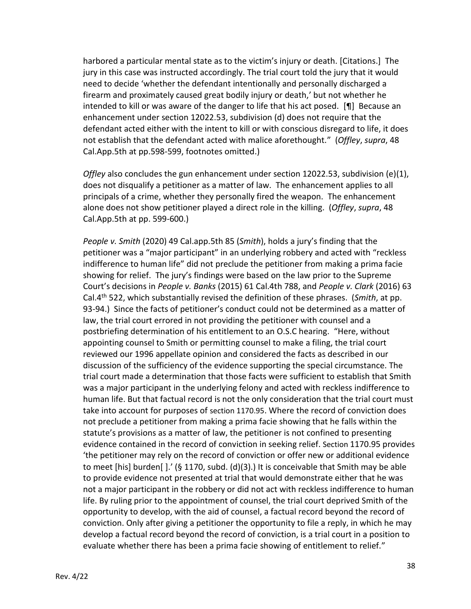harbored a particular mental state as to the victim's injury or death. [Citations.] The jury in this case was instructed accordingly. The trial court told the jury that it would need to decide 'whether the defendant intentionally and personally discharged a firearm and proximately caused great bodily injury or death,' but not whether he intended to kill or was aware of the danger to life that his act posed. [¶] Because an enhancement under section 12022.53, subdivision (d) does not require that the defendant acted either with the intent to kill or with conscious disregard to life, it does not establish that the defendant acted with malice aforethought." (*Offley*, *supra*, 48 Cal.App.5th at pp.598-599, footnotes omitted.)

*Offley* also concludes the gun enhancement under section 12022.53, subdivision (e)(1), does not disqualify a petitioner as a matter of law. The enhancement applies to all principals of a crime, whether they personally fired the weapon. The enhancement alone does not show petitioner played a direct role in the killing. (*Offley*, *supra*, 48 Cal.App.5th at pp. 599-600.)

*People v. Smith* (2020) 49 Cal.app.5th 85 (*Smith*), holds a jury's finding that the petitioner was a "major participant" in an underlying robbery and acted with "reckless indifference to human life" did not preclude the petitioner from making a prima facie showing for relief. The jury's findings were based on the law prior to the Supreme Court's decisions in *People v. Banks* (2015) 61 Cal.4th 788, and *People v. Clark* (2016) 63 Cal.4th 522, which substantially revised the definition of these phrases. (*Smith*, at pp. 93-94.) Since the facts of petitioner's conduct could not be determined as a matter of law, the trial court errored in not providing the petitioner with counsel and a postbriefing determination of his entitlement to an O.S.C hearing. "Here, without appointing counsel to Smith or permitting counsel to make a filing, the trial court reviewed our 1996 appellate opinion and considered the facts as described in our discussion of the sufficiency of the evidence supporting the special circumstance. The trial court made a determination that those facts were sufficient to establish that Smith was a major participant in the underlying felony and acted with reckless indifference to human life. But that factual record is not the only consideration that the trial court must take into account for purposes of section 1170.95. Where the record of conviction does not preclude a petitioner from making a prima facie showing that he falls within the statute's provisions as a matter of law, the petitioner is not confined to presenting evidence contained in the record of conviction in seeking relief. Section 1170.95 provides 'the petitioner may rely on the record of conviction or offer new or additional evidence to meet [his] burden[ ].' (§ 1170, subd. (d)(3).) It is conceivable that Smith may be able to provide evidence not presented at trial that would demonstrate either that he was not a major participant in the robbery or did not act with reckless indifference to human life. By ruling prior to the appointment of counsel, the trial court deprived Smith of the opportunity to develop, with the aid of counsel, a factual record beyond the record of conviction. Only after giving a petitioner the opportunity to file a reply, in which he may develop a factual record beyond the record of conviction, is a trial court in a position to evaluate whether there has been a prima facie showing of entitlement to relief."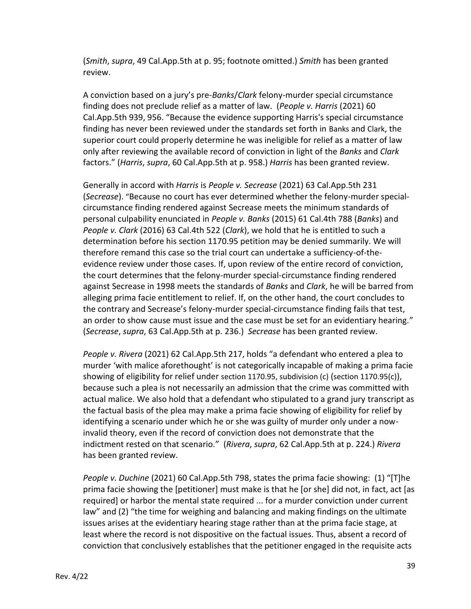(*Smith*, *supra*, 49 Cal.App.5th at p. 95; footnote omitted.) *Smith* has been granted review.

A conviction based on a jury's pre-*Banks*/*Clark* felony-murder special circumstance finding does not preclude relief as a matter of law. (*People v. Harris* (2021) 60 Cal.App.5th 939, 956. "Because the evidence supporting Harris's special circumstance finding has never been reviewed under the standards set forth in Banks and Clark, the superior court could properly determine he was ineligible for relief as a matter of law only after reviewing the available record of conviction in light of the *Banks* and *Clark* factors." (*Harris*, *supra*, 60 Cal.App.5th at p. 958.) *Harris* has been granted review.

Generally in accord with *Harris* is *People v. Secrease* (2021) 63 Cal.App.5th 231 (*Secrease*). "Because no court has ever determined whether the felony-murder specialcircumstance finding rendered against Secrease meets the minimum standards of personal culpability enunciated in *People v. Banks* (2015) 61 Cal.4th 788 (*Banks*) and *People v. Clark* (2016) 63 Cal.4th 522 (*Clark*), we hold that he is entitled to such a determination before his section 1170.95 petition may be denied summarily. We will therefore remand this case so the trial court can undertake a sufficiency-of-theevidence review under those cases. If, upon review of the entire record of conviction, the court determines that the felony-murder special-circumstance finding rendered against Secrease in 1998 meets the standards of *Banks* and *Clark*, he will be barred from alleging prima facie entitlement to relief. If, on the other hand, the court concludes to the contrary and Secrease's felony-murder special-circumstance finding fails that test, an order to show cause must issue and the case must be set for an evidentiary hearing." (*Secrease*, *supra*, 63 Cal.App.5th at p. 236.) *Secrease* has been granted review.

*People v. Rivera* (2021) 62 Cal.App.5th 217, holds "a defendant who entered a plea to murder 'with malice aforethought' is not categorically incapable of making a prima facie showing of eligibility for relief under section 1170.95, subdivision (c) (section 1170.95(c)), because such a plea is not necessarily an admission that the crime was committed with actual malice. We also hold that a defendant who stipulated to a grand jury transcript as the factual basis of the plea may make a prima facie showing of eligibility for relief by identifying a scenario under which he or she was guilty of murder only under a nowinvalid theory, even if the record of conviction does not demonstrate that the indictment rested on that scenario." (*Rivera*, *supra*, 62 Cal.App.5th at p. 224.) *Rivera* has been granted review.

*People v. Duchine* (2021) 60 Cal.App.5th 798, states the prima facie showing: (1) "[T]he prima facie showing the [petitioner] must make is that he [or she] did not, in fact, act [as required] or harbor the mental state required ... for a murder conviction under current law" and (2) "the time for weighing and balancing and making findings on the ultimate issues arises at the evidentiary hearing stage rather than at the prima facie stage, at least where the record is not dispositive on the factual issues. Thus, absent a record of conviction that conclusively establishes that the petitioner engaged in the requisite acts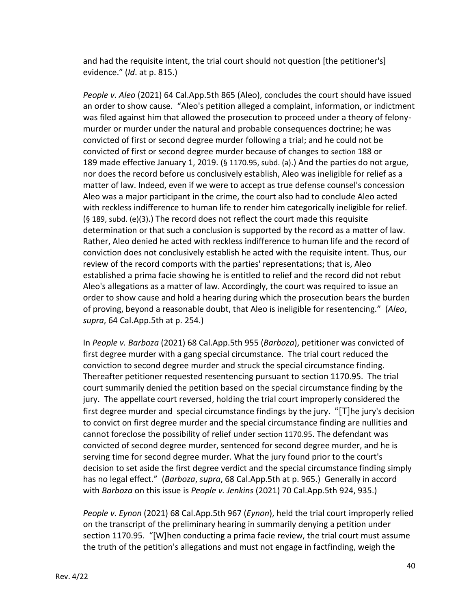and had the requisite intent, the trial court should not question [the petitioner's] evidence." (*Id*. at p. 815.)

*People v. Aleo* (2021) 64 Cal.App.5th 865 (Aleo), concludes the court should have issued an order to show cause. "Aleo's petition alleged a complaint, information, or indictment was filed against him that allowed the prosecution to proceed under a theory of felonymurder or murder under the natural and probable consequences doctrine; he was convicted of first or second degree murder following a trial; and he could not be convicted of first or second degree murder because of changes to section 188 or 189 made effective January 1, 2019. (§ 1170.95, subd. (a).) And the parties do not argue, nor does the record before us conclusively establish, Aleo was ineligible for relief as a matter of law. Indeed, even if we were to accept as true defense counsel's concession Aleo was a major participant in the crime, the court also had to conclude Aleo acted with reckless indifference to human life to render him categorically ineligible for relief. (§ 189, subd. (e)(3).) The record does not reflect the court made this requisite determination or that such a conclusion is supported by the record as a matter of law. Rather, Aleo denied he acted with reckless indifference to human life and the record of conviction does not conclusively establish he acted with the requisite intent. Thus, our review of the record comports with the parties' representations; that is, Aleo established a prima facie showing he is entitled to relief and the record did not rebut Aleo's allegations as a matter of law. Accordingly, the court was required to issue an order to show cause and hold a hearing during which the prosecution bears the burden of proving, beyond a reasonable doubt, that Aleo is ineligible for resentencing." (*Aleo*, *supra*, 64 Cal.App.5th at p. 254.)

In *People v. Barboza* (2021) 68 Cal.App.5th 955 (*Barboza*), petitioner was convicted of first degree murder with a gang special circumstance. The trial court reduced the conviction to second degree murder and struck the special circumstance finding. Thereafter petitioner requested resentencing pursuant to section 1170.95. The trial court summarily denied the petition based on the special circumstance finding by the jury. The appellate court reversed, holding the trial court improperly considered the first degree murder and special circumstance findings by the jury. "[T]he jury's decision to convict on first degree murder and the special circumstance finding are nullities and cannot foreclose the possibility of relief under section 1170.95. The defendant was convicted of second degree murder, sentenced for second degree murder, and he is serving time for second degree murder. What the jury found prior to the court's decision to set aside the first degree verdict and the special circumstance finding simply has no legal effect." (*Barboza*, *supra*, 68 Cal.App.5th at p. 965.) Generally in accord with *Barboza* on this issue is *People v. Jenkins* (2021) 70 Cal.App.5th 924, 935.)

*People v. Eynon* (2021) 68 Cal.App.5th 967 (*Eynon*), held the trial court improperly relied on the transcript of the preliminary hearing in summarily denying a petition under section 1170.95. "[W]hen conducting a prima facie review, the trial court must assume the truth of the petition's allegations and must not engage in factfinding, weigh the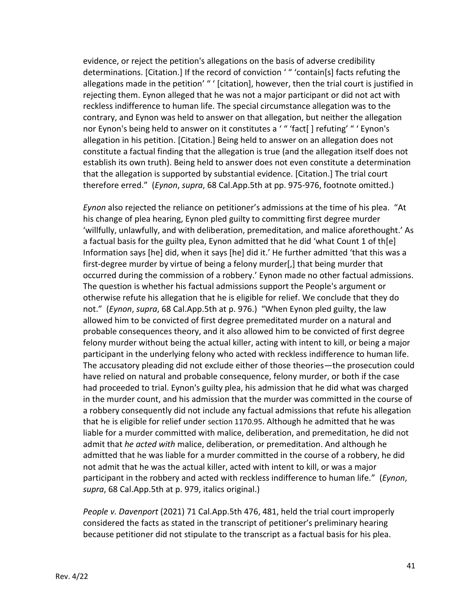evidence, or reject the petition's allegations on the basis of adverse credibility determinations. [Citation.] If the record of conviction ' " 'contain[s] facts refuting the allegations made in the petition' " ' [citation], however, then the trial court is justified in rejecting them. Eynon alleged that he was not a major participant or did not act with reckless indifference to human life. The special circumstance allegation was to the contrary, and Eynon was held to answer on that allegation, but neither the allegation nor Eynon's being held to answer on it constitutes a ' " 'fact[ ] refuting' " ' Eynon's allegation in his petition. [Citation.] Being held to answer on an allegation does not constitute a factual finding that the allegation is true (and the allegation itself does not establish its own truth). Being held to answer does not even constitute a determination that the allegation is supported by substantial evidence. [Citation.] The trial court therefore erred." (*Eynon*, *supra*, 68 Cal.App.5th at pp. 975-976, footnote omitted.)

*Eynon* also rejected the reliance on petitioner's admissions at the time of his plea. "At his change of plea hearing, Eynon pled guilty to committing first degree murder 'willfully, unlawfully, and with deliberation, premeditation, and malice aforethought.' As a factual basis for the guilty plea, Eynon admitted that he did 'what Count 1 of th[e] Information says [he] did, when it says [he] did it.' He further admitted 'that this was a first-degree murder by virtue of being a felony murder[,] that being murder that occurred during the commission of a robbery.' Eynon made no other factual admissions. The question is whether his factual admissions support the People's argument or otherwise refute his allegation that he is eligible for relief. We conclude that they do not." (*Eynon*, *supra*, 68 Cal.App.5th at p. 976.) "When Eynon pled guilty, the law allowed him to be convicted of first degree premeditated murder on a natural and probable consequences theory, and it also allowed him to be convicted of first degree felony murder without being the actual killer, acting with intent to kill, or being a major participant in the underlying felony who acted with reckless indifference to human life. The accusatory pleading did not exclude either of those theories—the prosecution could have relied on natural and probable consequence, felony murder, or both if the case had proceeded to trial. Eynon's guilty plea, his admission that he did what was charged in the murder count, and his admission that the murder was committed in the course of a robbery consequently did not include any factual admissions that refute his allegation that he is eligible for relief under section 1170.95. Although he admitted that he was liable for a murder committed with malice, deliberation, and premeditation, he did not admit that *he acted with* malice, deliberation, or premeditation. And although he admitted that he was liable for a murder committed in the course of a robbery, he did not admit that he was the actual killer, acted with intent to kill, or was a major participant in the robbery and acted with reckless indifference to human life." (*Eynon*, *supra*, 68 Cal.App.5th at p. 979, italics original.)

*People v. Davenport* (2021) 71 Cal.App.5th 476, 481, held the trial court improperly considered the facts as stated in the transcript of petitioner's preliminary hearing because petitioner did not stipulate to the transcript as a factual basis for his plea.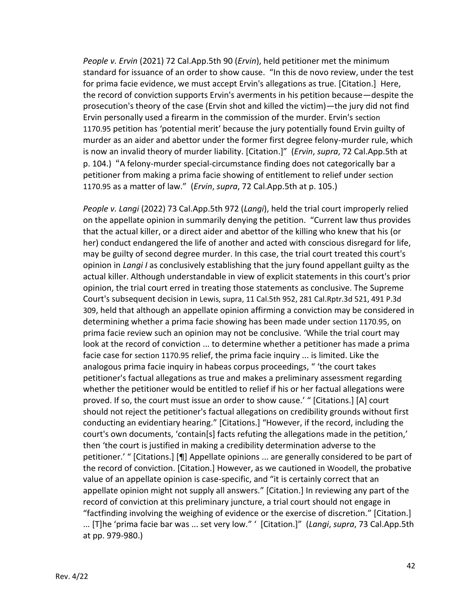*People v. Ervin* (2021) 72 Cal.App.5th 90 (*Ervin*), held petitioner met the minimum standard for issuance of an order to show cause. "In this de novo review, under the test for prima facie evidence, we must accept Ervin's allegations as true. [Citation.] Here, the record of conviction supports Ervin's averments in his petition because—despite the prosecution's theory of the case (Ervin shot and killed the victim)—the jury did not find Ervin personally used a firearm in the commission of the murder. Ervin's section 1170.95 petition has 'potential merit' because the jury potentially found Ervin guilty of murder as an aider and abettor under the former first degree felony-murder rule, which is now an invalid theory of murder liability. [Citation.]" (*Ervin*, *supra*, 72 Cal.App.5th at p. 104.) "A felony-murder special-circumstance finding does not categorically bar a petitioner from making a prima facie showing of entitlement to relief under section 1170.95 as a matter of law." (*Ervin*, *supra*, 72 Cal.App.5th at p. 105.)

*People v. Langi* (2022) 73 Cal.App.5th 972 (*Langi*), held the trial court improperly relied on the appellate opinion in summarily denying the petition. "Current law thus provides that the actual killer, or a direct aider and abettor of the killing who knew that his (or her) conduct endangered the life of another and acted with conscious disregard for life, may be guilty of second degree murder. In this case, the trial court treated this court's opinion in *Langi I* as conclusively establishing that the jury found appellant guilty as the actual killer. Although understandable in view of explicit statements in this court's prior opinion, the trial court erred in treating those statements as conclusive. The Supreme Court's subsequent decision in Lewis, supra, 11 Cal.5th 952, 281 Cal.Rptr.3d 521, 491 P.3d 309, held that although an appellate opinion affirming a conviction may be considered in determining whether a prima facie showing has been made under section 1170.95, on prima facie review such an opinion may not be conclusive. 'While the trial court may look at the record of conviction ... to determine whether a petitioner has made a prima facie case for section 1170.95 relief, the prima facie inquiry ... is limited. Like the analogous prima facie inquiry in habeas corpus proceedings, " 'the court takes petitioner's factual allegations as true and makes a preliminary assessment regarding whether the petitioner would be entitled to relief if his or her factual allegations were proved. If so, the court must issue an order to show cause.' " [Citations.] [A] court should not reject the petitioner's factual allegations on credibility grounds without first conducting an evidentiary hearing." [Citations.] "However, if the record, including the court's own documents, 'contain[s] facts refuting the allegations made in the petition,' then 'the court is justified in making a credibility determination adverse to the petitioner.' " [Citations.] [¶] Appellate opinions ... are generally considered to be part of the record of conviction. [Citation.] However, as we cautioned in Woodell, the probative value of an appellate opinion is case-specific, and "it is certainly correct that an appellate opinion might not supply all answers." [Citation.] In reviewing any part of the record of conviction at this preliminary juncture, a trial court should not engage in "factfinding involving the weighing of evidence or the exercise of discretion." [Citation.] ... [T]he 'prima facie bar was ... set very low." ' [Citation.]" (*Langi*, *supra*, 73 Cal.App.5th at pp. 979-980.)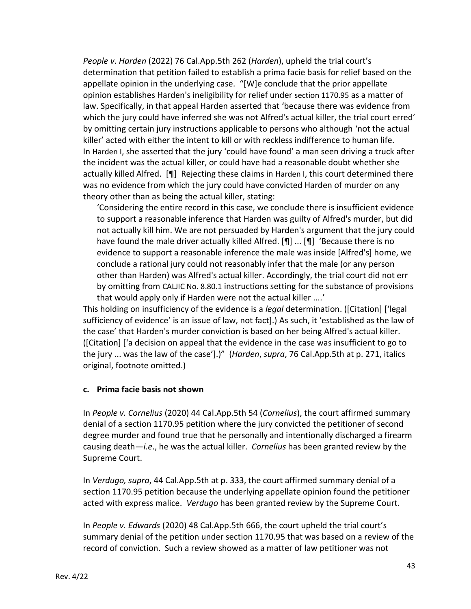*People v. Harden* (2022) 76 Cal.App.5th 262 (*Harden*), upheld the trial court's determination that petition failed to establish a prima facie basis for relief based on the appellate opinion in the underlying case. "[W]e conclude that the prior appellate opinion establishes Harden's ineligibility for relief under section 1170.95 as a matter of law. Specifically, in that appeal Harden asserted that 'because there was evidence from which the jury could have inferred she was not Alfred's actual killer, the trial court erred' by omitting certain jury instructions applicable to persons who although 'not the actual killer' acted with either the intent to kill or with reckless indifference to human life. In Harden I, she asserted that the jury 'could have found' a man seen driving a truck after the incident was the actual killer, or could have had a reasonable doubt whether she actually killed Alfred. [¶] Rejecting these claims in Harden I, this court determined there was no evidence from which the jury could have convicted Harden of murder on any theory other than as being the actual killer, stating:

'Considering the entire record in this case, we conclude there is insufficient evidence to support a reasonable inference that Harden was guilty of Alfred's murder, but did not actually kill him. We are not persuaded by Harden's argument that the jury could have found the male driver actually killed Alfred. [¶] ... [¶] 'Because there is no evidence to support a reasonable inference the male was inside [Alfred's] home, we conclude a rational jury could not reasonably infer that the male (or any person other than Harden) was Alfred's actual killer. Accordingly, the trial court did not err by omitting from CALJIC No. 8.80.1 instructions setting for the substance of provisions that would apply only if Harden were not the actual killer ....'

This holding on insufficiency of the evidence is a *legal* determination. ([Citation] ['legal sufficiency of evidence' is an issue of law, not fact].) As such, it 'established as the law of the case' that Harden's murder conviction is based on her being Alfred's actual killer. ([Citation] ['a decision on appeal that the evidence in the case was insufficient to go to the jury ... was the law of the case'].)" (*Harden*, *supra*, 76 Cal.App.5th at p. 271, italics original, footnote omitted.)

#### **c. Prima facie basis not shown**

In *People v. Cornelius* (2020) 44 Cal.App.5th 54 (*Cornelius*), the court affirmed summary denial of a section 1170.95 petition where the jury convicted the petitioner of second degree murder and found true that he personally and intentionally discharged a firearm causing death—*i.e*., he was the actual killer. *Cornelius* has been granted review by the Supreme Court.

In *Verdugo, supra*, 44 Cal.App.5th at p. 333, the court affirmed summary denial of a section 1170.95 petition because the underlying appellate opinion found the petitioner acted with express malice. *Verdugo* has been granted review by the Supreme Court.

In *People v. Edwards* (2020) 48 Cal.App.5th 666, the court upheld the trial court's summary denial of the petition under section 1170.95 that was based on a review of the record of conviction. Such a review showed as a matter of law petitioner was not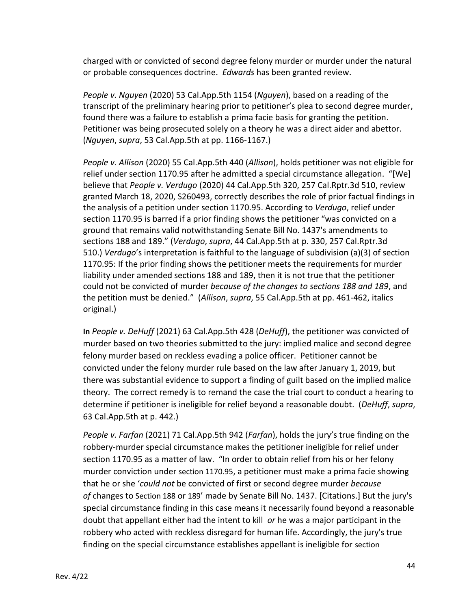charged with or convicted of second degree felony murder or murder under the natural or probable consequences doctrine. *Edwards* has been granted review.

*People v. Nguyen* (2020) 53 Cal.App.5th 1154 (*Nguyen*), based on a reading of the transcript of the preliminary hearing prior to petitioner's plea to second degree murder, found there was a failure to establish a prima facie basis for granting the petition. Petitioner was being prosecuted solely on a theory he was a direct aider and abettor. (*Nguyen*, *supra*, 53 Cal.App.5th at pp. 1166-1167.)

*People v. Allison* (2020) 55 Cal.App.5th 440 (*Allison*), holds petitioner was not eligible for relief under section 1170.95 after he admitted a special circumstance allegation. "[We] believe that *People v. Verdugo* (2020) 44 Cal.App.5th 320, 257 Cal.Rptr.3d 510, review granted March 18, 2020, S260493, correctly describes the role of prior factual findings in the analysis of a petition under section 1170.95. According to *Verdugo*, relief under section 1170.95 is barred if a prior finding shows the petitioner "was convicted on a ground that remains valid notwithstanding Senate Bill No. 1437's amendments to sections 188 and 189." (*Verdugo*, *supra*, 44 Cal.App.5th at p. 330, 257 Cal.Rptr.3d 510.) *Verdugo*'s interpretation is faithful to the language of subdivision (a)(3) of section 1170.95: If the prior finding shows the petitioner meets the requirements for murder liability under amended sections 188 and 189, then it is not true that the petitioner could not be convicted of murder *because of the changes to sections 188 and 189*, and the petition must be denied." (*Allison*, *supra*, 55 Cal.App.5th at pp. 461-462, italics original.)

**In** *People v. DeHuff* (2021) 63 Cal.App.5th 428 (*DeHuff*), the petitioner was convicted of murder based on two theories submitted to the jury: implied malice and second degree felony murder based on reckless evading a police officer. Petitioner cannot be convicted under the felony murder rule based on the law after January 1, 2019, but there was substantial evidence to support a finding of guilt based on the implied malice theory. The correct remedy is to remand the case the trial court to conduct a hearing to determine if petitioner is ineligible for relief beyond a reasonable doubt. (*DeHuff*, *supra*, 63 Cal.App.5th at p. 442.)

*People v. Farfan* (2021) 71 Cal.App.5th 942 (*Farfan*), holds the jury's true finding on the robbery-murder special circumstance makes the petitioner ineligible for relief under section 1170.95 as a matter of law. "In order to obtain relief from his or her felony murder conviction under section 1170.95, a petitioner must make a prima facie showing that he or she '*could not* be convicted of first or second degree murder *because of* changes to Section 188 or 189' made by Senate Bill No. 1437. [Citations.] But the jury's special circumstance finding in this case means it necessarily found beyond a reasonable doubt that appellant either had the intent to kill *or* he was a major participant in the robbery who acted with reckless disregard for human life. Accordingly, the jury's true finding on the special circumstance establishes appellant is ineligible for section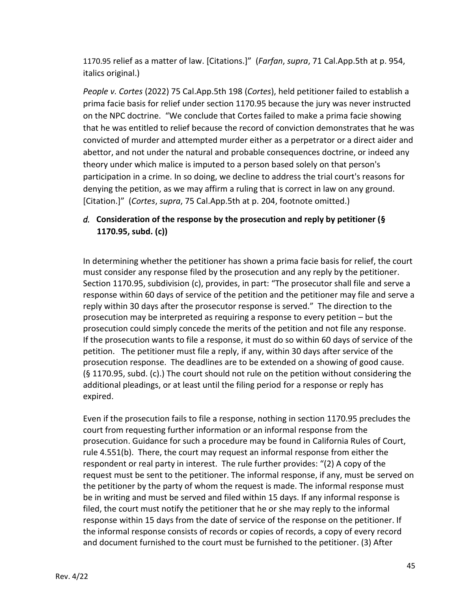1170.95 relief as a matter of law. [Citations.]" (*Farfan*, *supra*, 71 Cal.App.5th at p. 954, italics original.)

*People v. Cortes* (2022) 75 Cal.App.5th 198 (*Cortes*), held petitioner failed to establish a prima facie basis for relief under section 1170.95 because the jury was never instructed on the NPC doctrine. "We conclude that Cortes failed to make a prima facie showing that he was entitled to relief because the record of conviction demonstrates that he was convicted of murder and attempted murder either as a perpetrator or a direct aider and abettor, and not under the natural and probable consequences doctrine, or indeed any theory under which malice is imputed to a person based solely on that person's participation in a crime. In so doing, we decline to address the trial court's reasons for denying the petition, as we may affirm a ruling that is correct in law on any ground. [Citation.]" (*Cortes*, *supra*, 75 Cal.App.5th at p. 204, footnote omitted.)

# *d.* **Consideration of the response by the prosecution and reply by petitioner (§ 1170.95, subd. (c))**

In determining whether the petitioner has shown a prima facie basis for relief, the court must consider any response filed by the prosecution and any reply by the petitioner. Section 1170.95, subdivision (c), provides, in part: "The prosecutor shall file and serve a response within 60 days of service of the petition and the petitioner may file and serve a reply within 30 days after the prosecutor response is served." The direction to the prosecution may be interpreted as requiring a response to every petition – but the prosecution could simply concede the merits of the petition and not file any response. If the prosecution wants to file a response, it must do so within 60 days of service of the petition. The petitioner must file a reply, if any, within 30 days after service of the prosecution response. The deadlines are to be extended on a showing of good cause. (§ 1170.95, subd. (c).) The court should not rule on the petition without considering the additional pleadings, or at least until the filing period for a response or reply has expired.

Even if the prosecution fails to file a response, nothing in section 1170.95 precludes the court from requesting further information or an informal response from the prosecution. Guidance for such a procedure may be found in California Rules of Court, rule 4.551(b). There, the court may request an informal response from either the respondent or real party in interest. The rule further provides: "(2) A copy of the request must be sent to the petitioner. The informal response, if any, must be served on the petitioner by the party of whom the request is made. The informal response must be in writing and must be served and filed within 15 days. If any informal response is filed, the court must notify the petitioner that he or she may reply to the informal response within 15 days from the date of service of the response on the petitioner. If the informal response consists of records or copies of records, a copy of every record and document furnished to the court must be furnished to the petitioner. (3) After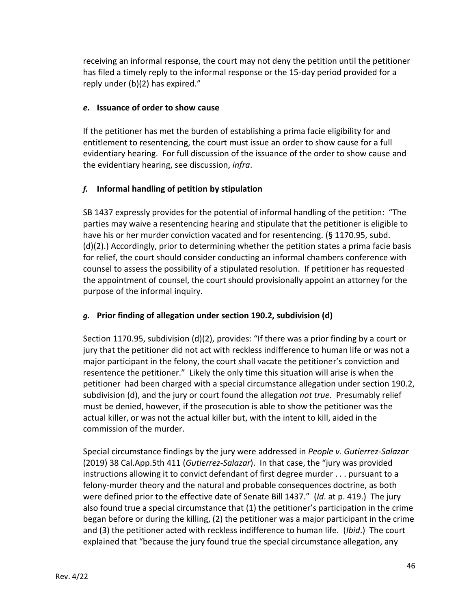receiving an informal response, the court may not deny the petition until the petitioner has filed a timely reply to the informal response or the 15-day period provided for a reply under (b)(2) has expired."

#### *e.* **Issuance of order to show cause**

If the petitioner has met the burden of establishing a prima facie eligibility for and entitlement to resentencing, the court must issue an order to show cause for a full evidentiary hearing. For full discussion of the issuance of the order to show cause and the evidentiary hearing, see discussion, *infra*.

### *f.* **Informal handling of petition by stipulation**

SB 1437 expressly provides for the potential of informal handling of the petition: "The parties may waive a resentencing hearing and stipulate that the petitioner is eligible to have his or her murder conviction vacated and for resentencing. (§ 1170.95, subd. (d)(2).) Accordingly, prior to determining whether the petition states a prima facie basis for relief, the court should consider conducting an informal chambers conference with counsel to assess the possibility of a stipulated resolution. If petitioner has requested the appointment of counsel, the court should provisionally appoint an attorney for the purpose of the informal inquiry.

### *g.* **Prior finding of allegation under section 190.2, subdivision (d)**

Section 1170.95, subdivision (d)(2), provides: "If there was a prior finding by a court or jury that the petitioner did not act with reckless indifference to human life or was not a major participant in the felony, the court shall vacate the petitioner's conviction and resentence the petitioner." Likely the only time this situation will arise is when the petitioner had been charged with a special circumstance allegation under section 190.2, subdivision (d), and the jury or court found the allegation *not true*. Presumably relief must be denied, however, if the prosecution is able to show the petitioner was the actual killer, or was not the actual killer but, with the intent to kill, aided in the commission of the murder.

Special circumstance findings by the jury were addressed in *People v. Gutierrez-Salazar* (2019) 38 Cal.App.5th 411 (*Gutierrez-Salazar*). In that case, the "jury was provided instructions allowing it to convict defendant of first degree murder . . . pursuant to a felony-murder theory and the natural and probable consequences doctrine, as both were defined prior to the effective date of Senate Bill 1437." (*Id*. at p. 419.) The jury also found true a special circumstance that (1) the petitioner's participation in the crime began before or during the killing, (2) the petitioner was a major participant in the crime and (3) the petitioner acted with reckless indifference to human life. (*Ibid*.) The court explained that "because the jury found true the special circumstance allegation, any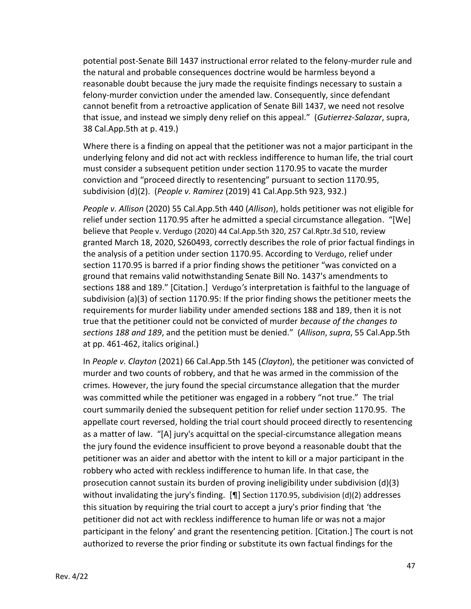potential post-Senate Bill 1437 instructional error related to the felony-murder rule and the natural and probable consequences doctrine would be harmless beyond a reasonable doubt because the jury made the requisite findings necessary to sustain a felony-murder conviction under the amended law. Consequently, since defendant cannot benefit from a retroactive application of Senate Bill 1437, we need not resolve that issue, and instead we simply deny relief on this appeal." (*Gutierrez-Salazar*, supra, 38 Cal.App.5th at p. 419.)

Where there is a finding on appeal that the petitioner was not a major participant in the underlying felony and did not act with reckless indifference to human life, the trial court must consider a subsequent petition under section 1170.95 to vacate the murder conviction and "proceed directly to resentencing" pursuant to section 1170.95, subdivision (d)(2). (*People v. Ramirez* (2019) 41 Cal.App.5th 923, 932.)

*People v. Allison* (2020) 55 Cal.App.5th 440 (*Allison*), holds petitioner was not eligible for relief under section 1170.95 after he admitted a special circumstance allegation. "[We] believe that People v. Verdugo (2020) 44 Cal.App.5th 320, 257 Cal.Rptr.3d 510, review granted March 18, 2020, S260493, correctly describes the role of prior factual findings in the analysis of a petition under section 1170.95. According to Verdugo, relief under section 1170.95 is barred if a prior finding shows the petitioner "was convicted on a ground that remains valid notwithstanding Senate Bill No. 1437's amendments to sections 188 and 189." [Citation.] Verdugo*'s* interpretation is faithful to the language of subdivision (a)(3) of section 1170.95: If the prior finding shows the petitioner meets the requirements for murder liability under amended sections 188 and 189, then it is not true that the petitioner could not be convicted of murder *because of the changes to sections 188 and 189*, and the petition must be denied." (*Allison*, *supra*, 55 Cal.App.5th at pp. 461-462, italics original.)

In *People v. Clayton* (2021) 66 Cal.App.5th 145 (*Clayton*), the petitioner was convicted of murder and two counts of robbery, and that he was armed in the commission of the crimes. However, the jury found the special circumstance allegation that the murder was committed while the petitioner was engaged in a robbery "not true." The trial court summarily denied the subsequent petition for relief under section 1170.95. The appellate court reversed, holding the trial court should proceed directly to resentencing as a matter of law. "[A] jury's acquittal on the special-circumstance allegation means the jury found the evidence insufficient to prove beyond a reasonable doubt that the petitioner was an aider and abettor with the intent to kill or a major participant in the robbery who acted with reckless indifference to human life. In that case, the prosecution cannot sustain its burden of proving ineligibility under subdivision (d)(3) without invalidating the jury's finding. [¶] Section 1170.95, subdivision (d)(2) addresses this situation by requiring the trial court to accept a jury's prior finding that 'the petitioner did not act with reckless indifference to human life or was not a major participant in the felony' and grant the resentencing petition. [Citation.] The court is not authorized to reverse the prior finding or substitute its own factual findings for the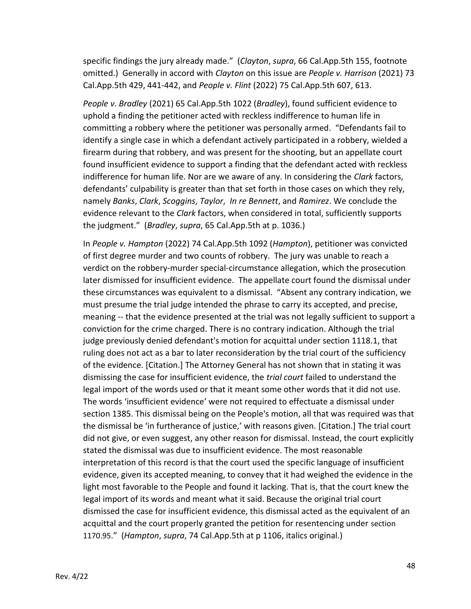specific findings the jury already made." (*Clayton*, *supra*, 66 Cal.App.5th 155, footnote omitted.) Generally in accord with *Clayton* on this issue are *People v. Harrison* (2021) 73 Cal.App.5th 429, 441-442, and *People v. Flint* (2022) 75 Cal.App.5th 607, 613.

*People v. Bradley* (2021) 65 Cal.App.5th 1022 (*Bradley*), found sufficient evidence to uphold a finding the petitioner acted with reckless indifference to human life in committing a robbery where the petitioner was personally armed. "Defendants fail to identify a single case in which a defendant actively participated in a robbery, wielded a firearm during that robbery, and was present for the shooting, but an appellate court found insufficient evidence to support a finding that the defendant acted with reckless indifference for human life. Nor are we aware of any. In considering the *Clark* factors, defendants' culpability is greater than that set forth in those cases on which they rely, namely *Banks*, *Clark*, *Scoggins*, *Taylor*, *In re Bennett*, and *Ramirez*. We conclude the evidence relevant to the *Clark* factors, when considered in total, sufficiently supports the judgment." (*Bradley*, *supra*, 65 Cal.App.5th at p. 1036.)

In *People v. Hampton* (2022) 74 Cal.App.5th 1092 (*Hampton*), petitioner was convicted of first degree murder and two counts of robbery. The jury was unable to reach a verdict on the robbery-murder special-circumstance allegation, which the prosecution later dismissed for insufficient evidence. The appellate court found the dismissal under these circumstances was equivalent to a dismissal. "Absent any contrary indication, we must presume the trial judge intended the phrase to carry its accepted, and precise, meaning -- that the evidence presented at the trial was not legally sufficient to support a conviction for the crime charged. There is no contrary indication. Although the trial judge previously denied defendant's motion for acquittal under section 1118.1, that ruling does not act as a bar to later reconsideration by the trial court of the sufficiency of the evidence. [Citation.] The Attorney General has not shown that in stating it was dismissing the case for insufficient evidence, the *trial court* failed to understand the legal import of the words used or that it meant some other words that it did not use. The words 'insufficient evidence' were not required to effectuate a dismissal under section 1385. This dismissal being on the People's motion, all that was required was that the dismissal be 'in furtherance of justice,' with reasons given. [Citation.] The trial court did not give, or even suggest, any other reason for dismissal. Instead, the court explicitly stated the dismissal was due to insufficient evidence. The most reasonable interpretation of this record is that the court used the specific language of insufficient evidence, given its accepted meaning, to convey that it had weighed the evidence in the light most favorable to the People and found it lacking. That is, that the court knew the legal import of its words and meant what it said. Because the original trial court dismissed the case for insufficient evidence, this dismissal acted as the equivalent of an acquittal and the court properly granted the petition for resentencing under section 1170.95." (*Hampton*, *supra*, 74 Cal.App.5th at p 1106, italics original.)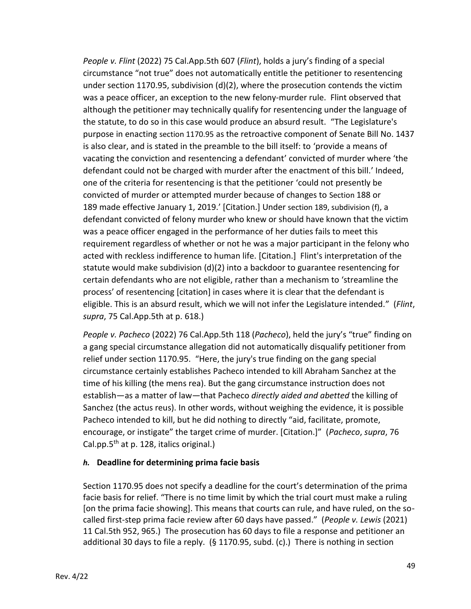*People v. Flint* (2022) 75 Cal.App.5th 607 (*Flint*), holds a jury's finding of a special circumstance "not true" does not automatically entitle the petitioner to resentencing under section 1170.95, subdivision (d)(2), where the prosecution contends the victim was a peace officer, an exception to the new felony-murder rule. Flint observed that although the petitioner may technically qualify for resentencing under the language of the statute, to do so in this case would produce an absurd result. "The Legislature's purpose in enacting section 1170.95 as the retroactive component of Senate Bill No. 1437 is also clear, and is stated in the preamble to the bill itself: to 'provide a means of vacating the conviction and resentencing a defendant' convicted of murder where 'the defendant could not be charged with murder after the enactment of this bill.' Indeed, one of the criteria for resentencing is that the petitioner 'could not presently be convicted of murder or attempted murder because of changes to Section 188 or 189 made effective January 1, 2019.' [Citation.] Under section 189, subdivision (f), a defendant convicted of felony murder who knew or should have known that the victim was a peace officer engaged in the performance of her duties fails to meet this requirement regardless of whether or not he was a major participant in the felony who acted with reckless indifference to human life. [Citation.] Flint's interpretation of the statute would make subdivision (d)(2) into a backdoor to guarantee resentencing for certain defendants who are not eligible, rather than a mechanism to 'streamline the process' of resentencing [citation] in cases where it is clear that the defendant is eligible. This is an absurd result, which we will not infer the Legislature intended." (*Flint*, *supra*, 75 Cal.App.5th at p. 618.)

*People v. Pacheco* (2022) 76 Cal.App.5th 118 (*Pacheco*), held the jury's "true" finding on a gang special circumstance allegation did not automatically disqualify petitioner from relief under section 1170.95. "Here, the jury's true finding on the gang special circumstance certainly establishes Pacheco intended to kill Abraham Sanchez at the time of his killing (the mens rea). But the gang circumstance instruction does not establish—as a matter of law—that Pacheco *directly aided and abetted* the killing of Sanchez (the actus reus). In other words, without weighing the evidence, it is possible Pacheco intended to kill, but he did nothing to directly "aid, facilitate, promote, encourage, or instigate" the target crime of murder. [Citation.]" (*Pacheco*, *supra*, 76 Cal.pp.5<sup>th</sup> at p. 128, italics original.)

#### *h.* **Deadline for determining prima facie basis**

Section 1170.95 does not specify a deadline for the court's determination of the prima facie basis for relief. "There is no time limit by which the trial court must make a ruling [on the prima facie showing]. This means that courts can rule, and have ruled, on the socalled first-step prima facie review after 60 days have passed." (*People v. Lewis* (2021) 11 Cal.5th 952, 965.) The prosecution has 60 days to file a response and petitioner an additional 30 days to file a reply. (§ 1170.95, subd. (c).) There is nothing in section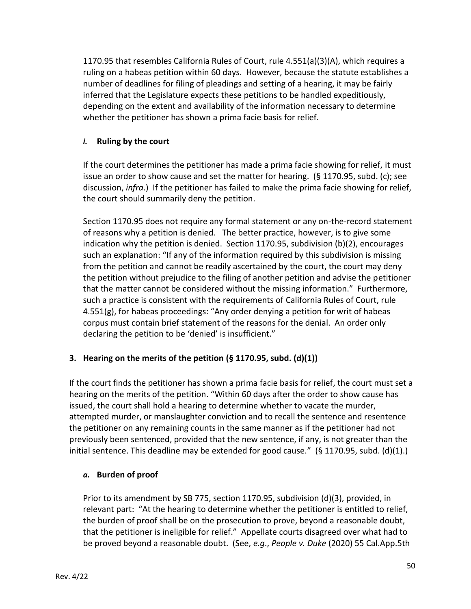1170.95 that resembles California Rules of Court, rule 4.551(a)(3)(A), which requires a ruling on a habeas petition within 60 days. However, because the statute establishes a number of deadlines for filing of pleadings and setting of a hearing, it may be fairly inferred that the Legislature expects these petitions to be handled expeditiously, depending on the extent and availability of the information necessary to determine whether the petitioner has shown a prima facie basis for relief.

# *i.* **Ruling by the court**

If the court determines the petitioner has made a prima facie showing for relief, it must issue an order to show cause and set the matter for hearing. (§ 1170.95, subd. (c); see discussion, *infra*.) If the petitioner has failed to make the prima facie showing for relief, the court should summarily deny the petition.

Section 1170.95 does not require any formal statement or any on-the-record statement of reasons why a petition is denied. The better practice, however, is to give some indication why the petition is denied. Section 1170.95, subdivision (b)(2), encourages such an explanation: "If any of the information required by this subdivision is missing from the petition and cannot be readily ascertained by the court, the court may deny the petition without prejudice to the filing of another petition and advise the petitioner that the matter cannot be considered without the missing information." Furthermore, such a practice is consistent with the requirements of California Rules of Court, rule 4.551(g), for habeas proceedings: "Any order denying a petition for writ of habeas corpus must contain brief statement of the reasons for the denial. An order only declaring the petition to be 'denied' is insufficient."

# **3. Hearing on the merits of the petition (§ 1170.95, subd. (d)(1))**

If the court finds the petitioner has shown a prima facie basis for relief, the court must set a hearing on the merits of the petition. "Within 60 days after the order to show cause has issued, the court shall hold a hearing to determine whether to vacate the murder, attempted murder, or manslaughter conviction and to recall the sentence and resentence the petitioner on any remaining counts in the same manner as if the petitioner had not previously been sentenced, provided that the new sentence, if any, is not greater than the initial sentence. This deadline may be extended for good cause." (§ 1170.95, subd.  $(d)(1)$ .)

### *a.* **Burden of proof**

Prior to its amendment by SB 775, section 1170.95, subdivision (d)(3), provided, in relevant part: "At the hearing to determine whether the petitioner is entitled to relief, the burden of proof shall be on the prosecution to prove, beyond a reasonable doubt, that the petitioner is ineligible for relief." Appellate courts disagreed over what had to be proved beyond a reasonable doubt. (See, *e.g*., *People v. Duke* (2020) 55 Cal.App.5th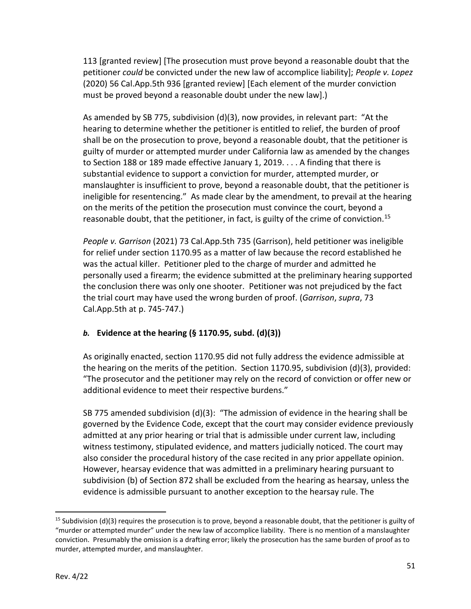113 [granted review] [The prosecution must prove beyond a reasonable doubt that the petitioner *could* be convicted under the new law of accomplice liability]; *People v. Lopez* (2020) 56 Cal.App.5th 936 [granted review] [Each element of the murder conviction must be proved beyond a reasonable doubt under the new law].)

As amended by SB 775, subdivision (d)(3), now provides, in relevant part: "At the hearing to determine whether the petitioner is entitled to relief, the burden of proof shall be on the prosecution to prove, beyond a reasonable doubt, that the petitioner is guilty of murder or attempted murder under California law as amended by the changes to Section 188 or 189 made effective January 1, 2019. . . . A finding that there is substantial evidence to support a conviction for murder, attempted murder, or manslaughter is insufficient to prove, beyond a reasonable doubt, that the petitioner is ineligible for resentencing." As made clear by the amendment, to prevail at the hearing on the merits of the petition the prosecution must convince the court, beyond a reasonable doubt, that the petitioner, in fact, is guilty of the crime of conviction.<sup>15</sup>

*People v. Garrison* (2021) 73 Cal.App.5th 735 (Garrison), held petitioner was ineligible for relief under section 1170.95 as a matter of law because the record established he was the actual killer. Petitioner pled to the charge of murder and admitted he personally used a firearm; the evidence submitted at the preliminary hearing supported the conclusion there was only one shooter. Petitioner was not prejudiced by the fact the trial court may have used the wrong burden of proof. (*Garrison*, *supra*, 73 Cal.App.5th at p. 745-747.)

### *b.* **Evidence at the hearing (§ 1170.95, subd. (d)(3))**

As originally enacted, section 1170.95 did not fully address the evidence admissible at the hearing on the merits of the petition. Section 1170.95, subdivision (d)(3), provided: "The prosecutor and the petitioner may rely on the record of conviction or offer new or additional evidence to meet their respective burdens."

SB 775 amended subdivision (d)(3): "The admission of evidence in the hearing shall be governed by the Evidence Code, except that the court may consider evidence previously admitted at any prior hearing or trial that is admissible under current law, including witness testimony, stipulated evidence, and matters judicially noticed. The court may also consider the procedural history of the case recited in any prior appellate opinion. However, hearsay evidence that was admitted in a preliminary hearing pursuant to subdivision (b) of Section 872 shall be excluded from the hearing as hearsay, unless the evidence is admissible pursuant to another exception to the hearsay rule. The

<sup>&</sup>lt;sup>15</sup> Subdivision (d)(3) requires the prosecution is to prove, beyond a reasonable doubt, that the petitioner is guilty of "murder or attempted murder" under the new law of accomplice liability. There is no mention of a manslaughter conviction. Presumably the omission is a drafting error; likely the prosecution has the same burden of proof as to murder, attempted murder, and manslaughter.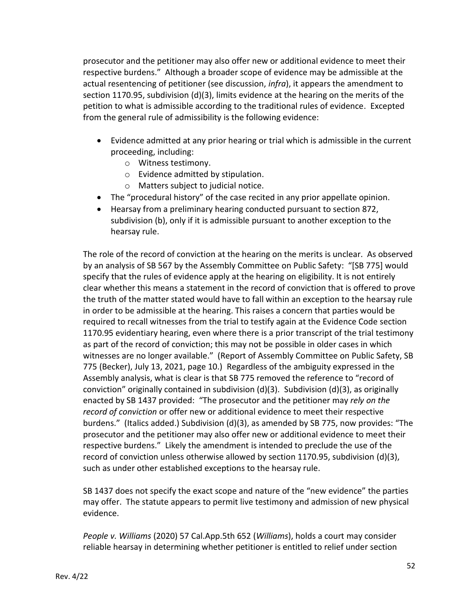prosecutor and the petitioner may also offer new or additional evidence to meet their respective burdens." Although a broader scope of evidence may be admissible at the actual resentencing of petitioner (see discussion, *infra*), it appears the amendment to section 1170.95, subdivision (d)(3), limits evidence at the hearing on the merits of the petition to what is admissible according to the traditional rules of evidence. Excepted from the general rule of admissibility is the following evidence:

- Evidence admitted at any prior hearing or trial which is admissible in the current proceeding, including:
	- o Witness testimony.
	- o Evidence admitted by stipulation.
	- o Matters subject to judicial notice.
- The "procedural history" of the case recited in any prior appellate opinion.
- Hearsay from a preliminary hearing conducted pursuant to section 872, subdivision (b), only if it is admissible pursuant to another exception to the hearsay rule.

The role of the record of conviction at the hearing on the merits is unclear. As observed by an analysis of SB 567 by the Assembly Committee on Public Safety: "[SB 775] would specify that the rules of evidence apply at the hearing on eligibility. It is not entirely clear whether this means a statement in the record of conviction that is offered to prove the truth of the matter stated would have to fall within an exception to the hearsay rule in order to be admissible at the hearing. This raises a concern that parties would be required to recall witnesses from the trial to testify again at the Evidence Code section 1170.95 evidentiary hearing, even where there is a prior transcript of the trial testimony as part of the record of conviction; this may not be possible in older cases in which witnesses are no longer available." (Report of Assembly Committee on Public Safety, SB 775 (Becker), July 13, 2021, page 10.) Regardless of the ambiguity expressed in the Assembly analysis, what is clear is that SB 775 removed the reference to "record of conviction" originally contained in subdivision (d)(3). Subdivision (d)(3), as originally enacted by SB 1437 provided: "The prosecutor and the petitioner may *rely on the record of conviction* or offer new or additional evidence to meet their respective burdens." (Italics added.) Subdivision (d)(3), as amended by SB 775, now provides: "The prosecutor and the petitioner may also offer new or additional evidence to meet their respective burdens." Likely the amendment is intended to preclude the use of the record of conviction unless otherwise allowed by section 1170.95, subdivision (d)(3), such as under other established exceptions to the hearsay rule.

SB 1437 does not specify the exact scope and nature of the "new evidence" the parties may offer. The statute appears to permit live testimony and admission of new physical evidence.

*People v. Williams* (2020) 57 Cal.App.5th 652 (*Williams*), holds a court may consider reliable hearsay in determining whether petitioner is entitled to relief under section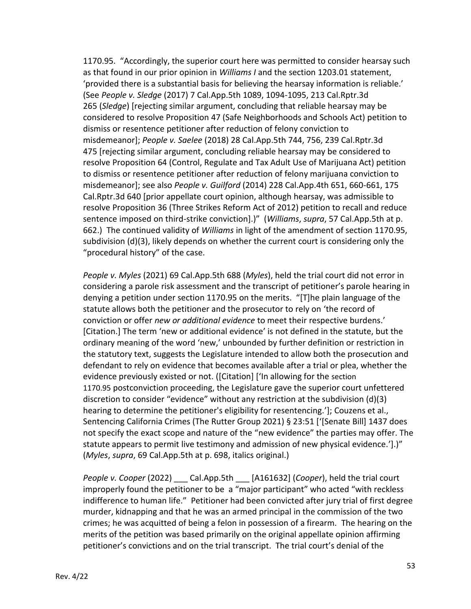1170.95. "Accordingly, the superior court here was permitted to consider hearsay such as that found in our prior opinion in *Williams I* and the section 1203.01 statement, 'provided there is a substantial basis for believing the hearsay information is reliable.' (See *People v. Sledge* (2017) 7 Cal.App.5th 1089, 1094-1095, 213 Cal.Rptr.3d 265 (*Sledge*) [rejecting similar argument, concluding that reliable hearsay may be considered to resolve Proposition 47 (Safe Neighborhoods and Schools Act) petition to dismiss or resentence petitioner after reduction of felony conviction to misdemeanor]; *People v. Saelee* (2018) 28 Cal.App.5th 744, 756, 239 Cal.Rptr.3d 475 [rejecting similar argument, concluding reliable hearsay may be considered to resolve Proposition 64 (Control, Regulate and Tax Adult Use of Marijuana Act) petition to dismiss or resentence petitioner after reduction of felony marijuana conviction to misdemeanor]; see also *People v. Guilford* (2014) 228 Cal.App.4th 651, 660-661, 175 Cal.Rptr.3d 640 [prior appellate court opinion, although hearsay, was admissible to resolve Proposition 36 (Three Strikes Reform Act of 2012) petition to recall and reduce sentence imposed on third-strike conviction].)" (*Williams*, *supra*, 57 Cal.App.5th at p. 662.) The continued validity of *Williams* in light of the amendment of section 1170.95, subdivision (d)(3), likely depends on whether the current court is considering only the "procedural history" of the case.

*People v. Myles* (2021) 69 Cal.App.5th 688 (*Myles*), held the trial court did not error in considering a parole risk assessment and the transcript of petitioner's parole hearing in denying a petition under section 1170.95 on the merits. "[T]he plain language of the statute allows both the petitioner and the prosecutor to rely on 'the record of conviction or offer *new or additional evidence* to meet their respective burdens.' [Citation.] The term 'new or additional evidence' is not defined in the statute, but the ordinary meaning of the word 'new,' unbounded by further definition or restriction in the statutory text, suggests the Legislature intended to allow both the prosecution and defendant to rely on evidence that becomes available after a trial or plea, whether the evidence previously existed or not. ([Citation] ['In allowing for the section 1170.95 postconviction proceeding, the Legislature gave the superior court unfettered discretion to consider "evidence" without any restriction at the subdivision (d)(3) hearing to determine the petitioner's eligibility for resentencing.']; Couzens et al., Sentencing California Crimes (The Rutter Group 2021) § 23:51 ['[Senate Bill] 1437 does not specify the exact scope and nature of the "new evidence" the parties may offer. The statute appears to permit live testimony and admission of new physical evidence.'].)" (*Myles*, *supra*, 69 Cal.App.5th at p. 698, italics original.)

*People v. Cooper* (2022) \_\_\_ Cal.App.5th \_\_\_ [A161632] (*Cooper*), held the trial court improperly found the petitioner to be a "major participant" who acted "with reckless indifference to human life." Petitioner had been convicted after jury trial of first degree murder, kidnapping and that he was an armed principal in the commission of the two crimes; he was acquitted of being a felon in possession of a firearm. The hearing on the merits of the petition was based primarily on the original appellate opinion affirming petitioner's convictions and on the trial transcript. The trial court's denial of the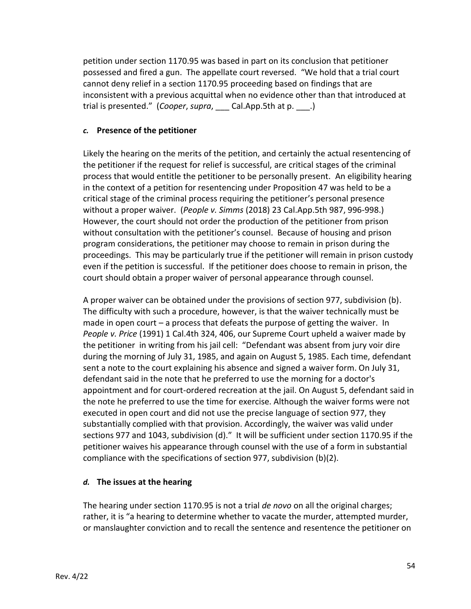petition under section 1170.95 was based in part on its conclusion that petitioner possessed and fired a gun. The appellate court reversed. "We hold that a trial court cannot deny relief in a section 1170.95 proceeding based on findings that are inconsistent with a previous acquittal when no evidence other than that introduced at trial is presented." (*Cooper*, *supra*, Cal.App.5th at p. .)

#### *c.* **Presence of the petitioner**

Likely the hearing on the merits of the petition, and certainly the actual resentencing of the petitioner if the request for relief is successful, are critical stages of the criminal process that would entitle the petitioner to be personally present. An eligibility hearing in the context of a petition for resentencing under Proposition 47 was held to be a critical stage of the criminal process requiring the petitioner's personal presence without a proper waiver. (*People v. Simms* (2018) 23 Cal.App.5th 987, 996-998.) However, the court should not order the production of the petitioner from prison without consultation with the petitioner's counsel. Because of housing and prison program considerations, the petitioner may choose to remain in prison during the proceedings. This may be particularly true if the petitioner will remain in prison custody even if the petition is successful. If the petitioner does choose to remain in prison, the court should obtain a proper waiver of personal appearance through counsel.

A proper waiver can be obtained under the provisions of section 977, subdivision (b). The difficulty with such a procedure, however, is that the waiver technically must be made in open court – a process that defeats the purpose of getting the waiver. In *People v. Price* (1991) 1 Cal.4th 324, 406, our Supreme Court upheld a waiver made by the petitioner in writing from his jail cell: "Defendant was absent from jury voir dire during the morning of July 31, 1985, and again on August 5, 1985. Each time, defendant sent a note to the court explaining his absence and signed a waiver form. On July 31, defendant said in the note that he preferred to use the morning for a doctor's appointment and for court-ordered recreation at the jail. On August 5, defendant said in the note he preferred to use the time for exercise. Although the waiver forms were not executed in open court and did not use the precise language of section 977, they substantially complied with that provision. Accordingly, the waiver was valid under sections 977 and 1043, subdivision (d)." It will be sufficient under section 1170.95 if the petitioner waives his appearance through counsel with the use of a form in substantial compliance with the specifications of section 977, subdivision (b)(2).

### *d.* **The issues at the hearing**

The hearing under section 1170.95 is not a trial *de novo* on all the original charges; rather, it is "a hearing to determine whether to vacate the murder, attempted murder, or manslaughter conviction and to recall the sentence and resentence the petitioner on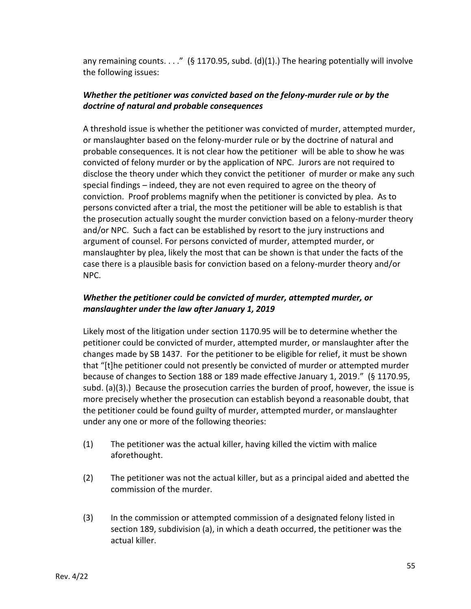any remaining counts.  $\dots$ ." (§ 1170.95, subd. (d)(1).) The hearing potentially will involve the following issues:

# *Whether the petitioner was convicted based on the felony-murder rule or by the doctrine of natural and probable consequences*

A threshold issue is whether the petitioner was convicted of murder, attempted murder, or manslaughter based on the felony-murder rule or by the doctrine of natural and probable consequences. It is not clear how the petitioner will be able to show he was convicted of felony murder or by the application of NPC. Jurors are not required to disclose the theory under which they convict the petitioner of murder or make any such special findings – indeed, they are not even required to agree on the theory of conviction. Proof problems magnify when the petitioner is convicted by plea. As to persons convicted after a trial, the most the petitioner will be able to establish is that the prosecution actually sought the murder conviction based on a felony-murder theory and/or NPC. Such a fact can be established by resort to the jury instructions and argument of counsel. For persons convicted of murder, attempted murder, or manslaughter by plea, likely the most that can be shown is that under the facts of the case there is a plausible basis for conviction based on a felony-murder theory and/or NPC.

# *Whether the petitioner could be convicted of murder, attempted murder, or manslaughter under the law after January 1, 2019*

Likely most of the litigation under section 1170.95 will be to determine whether the petitioner could be convicted of murder, attempted murder, or manslaughter after the changes made by SB 1437. For the petitioner to be eligible for relief, it must be shown that "[t]he petitioner could not presently be convicted of murder or attempted murder because of changes to Section 188 or 189 made effective January 1, 2019." (§ 1170.95, subd. (a)(3).) Because the prosecution carries the burden of proof, however, the issue is more precisely whether the prosecution can establish beyond a reasonable doubt, that the petitioner could be found guilty of murder, attempted murder, or manslaughter under any one or more of the following theories:

- (1) The petitioner was the actual killer, having killed the victim with malice aforethought.
- (2) The petitioner was not the actual killer, but as a principal aided and abetted the commission of the murder.
- (3) In the commission or attempted commission of a designated felony listed in section 189, subdivision (a), in which a death occurred, the petitioner was the actual killer.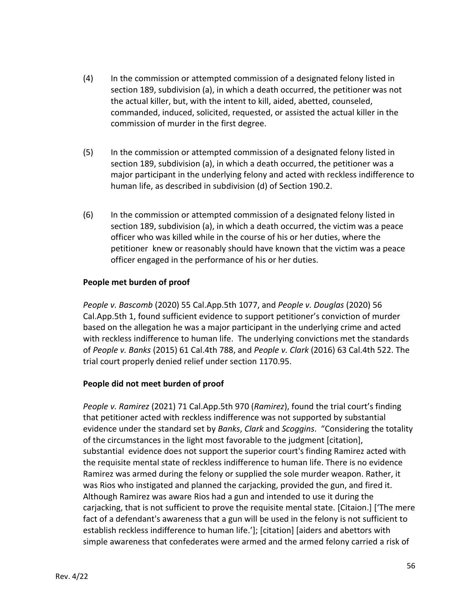- (4) In the commission or attempted commission of a designated felony listed in section 189, subdivision (a), in which a death occurred, the petitioner was not the actual killer, but, with the intent to kill, aided, abetted, counseled, commanded, induced, solicited, requested, or assisted the actual killer in the commission of murder in the first degree.
- (5) In the commission or attempted commission of a designated felony listed in section 189, subdivision (a), in which a death occurred, the petitioner was a major participant in the underlying felony and acted with reckless indifference to human life, as described in subdivision (d) of Section 190.2.
- (6) In the commission or attempted commission of a designated felony listed in section 189, subdivision (a), in which a death occurred, the victim was a peace officer who was killed while in the course of his or her duties, where the petitioner knew or reasonably should have known that the victim was a peace officer engaged in the performance of his or her duties.

#### **People met burden of proof**

*People v. Bascomb* (2020) 55 Cal.App.5th 1077, and *People v. Douglas* (2020) 56 Cal.App.5th 1, found sufficient evidence to support petitioner's conviction of murder based on the allegation he was a major participant in the underlying crime and acted with reckless indifference to human life. The underlying convictions met the standards of *People v. Banks* (2015) 61 Cal.4th 788, and *People v. Clark* (2016) 63 Cal.4th 522. The trial court properly denied relief under section 1170.95.

### **People did not meet burden of proof**

*People v. Ramirez* (2021) 71 Cal.App.5th 970 (*Ramirez*), found the trial court's finding that petitioner acted with reckless indifference was not supported by substantial evidence under the standard set by *Banks*, *Clark* and *Scoggins*. "Considering the totality of the circumstances in the light most favorable to the judgment [citation], substantial evidence does not support the superior court's finding Ramirez acted with the requisite mental state of reckless indifference to human life. There is no evidence Ramirez was armed during the felony or supplied the sole murder weapon. Rather, it was Rios who instigated and planned the carjacking, provided the gun, and fired it. Although Ramirez was aware Rios had a gun and intended to use it during the carjacking, that is not sufficient to prove the requisite mental state. [Citaion.] ['The mere fact of a defendant's awareness that a gun will be used in the felony is not sufficient to establish reckless indifference to human life.']; [citation] [aiders and abettors with simple awareness that confederates were armed and the armed felony carried a risk of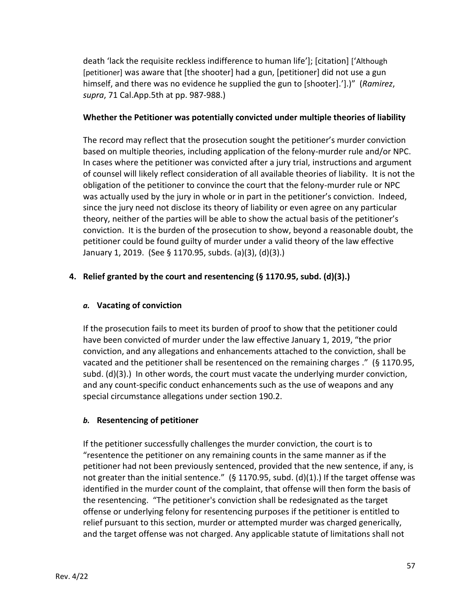death 'lack the requisite reckless indifference to human life']; [citation] ['Although [petitioner] was aware that [the shooter] had a gun, [petitioner] did not use a gun himself, and there was no evidence he supplied the gun to [shooter].'].)" (*Ramirez*, *supra*, 71 Cal.App.5th at pp. 987-988.)

#### **Whether the Petitioner was potentially convicted under multiple theories of liability**

The record may reflect that the prosecution sought the petitioner's murder conviction based on multiple theories, including application of the felony-murder rule and/or NPC. In cases where the petitioner was convicted after a jury trial, instructions and argument of counsel will likely reflect consideration of all available theories of liability. It is not the obligation of the petitioner to convince the court that the felony-murder rule or NPC was actually used by the jury in whole or in part in the petitioner's conviction. Indeed, since the jury need not disclose its theory of liability or even agree on any particular theory, neither of the parties will be able to show the actual basis of the petitioner's conviction. It is the burden of the prosecution to show, beyond a reasonable doubt, the petitioner could be found guilty of murder under a valid theory of the law effective January 1, 2019. (See § 1170.95, subds. (a)(3), (d)(3).)

# **4. Relief granted by the court and resentencing (§ 1170.95, subd. (d)(3).)**

### *a.* **Vacating of conviction**

If the prosecution fails to meet its burden of proof to show that the petitioner could have been convicted of murder under the law effective January 1, 2019, "the prior conviction, and any allegations and enhancements attached to the conviction, shall be vacated and the petitioner shall be resentenced on the remaining charges ." (§ 1170.95, subd. (d)(3).) In other words, the court must vacate the underlying murder conviction, and any count-specific conduct enhancements such as the use of weapons and any special circumstance allegations under section 190.2.

### *b.* **Resentencing of petitioner**

If the petitioner successfully challenges the murder conviction, the court is to "resentence the petitioner on any remaining counts in the same manner as if the petitioner had not been previously sentenced, provided that the new sentence, if any, is not greater than the initial sentence." (§ 1170.95, subd. (d)(1).) If the target offense was identified in the murder count of the complaint, that offense will then form the basis of the resentencing. "The petitioner's conviction shall be redesignated as the target offense or underlying felony for resentencing purposes if the petitioner is entitled to relief pursuant to this section, murder or attempted murder was charged generically, and the target offense was not charged. Any applicable statute of limitations shall not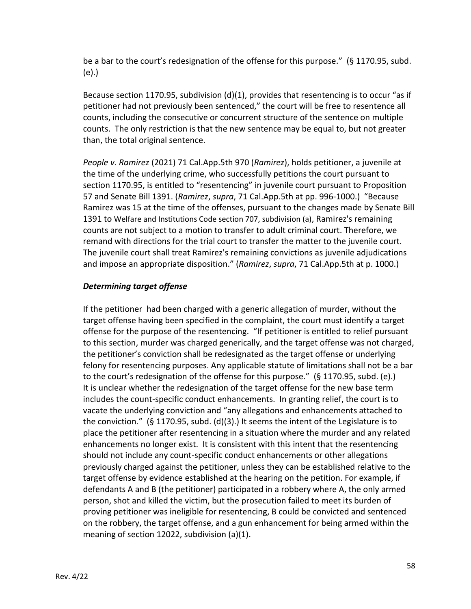be a bar to the court's redesignation of the offense for this purpose." (§ 1170.95, subd. (e).)

Because section 1170.95, subdivision (d)(1), provides that resentencing is to occur "as if petitioner had not previously been sentenced," the court will be free to resentence all counts, including the consecutive or concurrent structure of the sentence on multiple counts. The only restriction is that the new sentence may be equal to, but not greater than, the total original sentence.

*People v. Ramirez* (2021) 71 Cal.App.5th 970 (*Ramirez*), holds petitioner, a juvenile at the time of the underlying crime, who successfully petitions the court pursuant to section 1170.95, is entitled to "resentencing" in juvenile court pursuant to Proposition 57 and Senate Bill 1391. (*Ramirez*, *supra*, 71 Cal.App.5th at pp. 996-1000.) "Because Ramirez was 15 at the time of the offenses, pursuant to the changes made by Senate Bill 1391 to Welfare and Institutions Code section 707, subdivision (a), Ramirez's remaining counts are not subject to a motion to transfer to adult criminal court. Therefore, we remand with directions for the trial court to transfer the matter to the juvenile court. The juvenile court shall treat Ramirez's remaining convictions as juvenile adjudications and impose an appropriate disposition." (*Ramirez*, *supra*, 71 Cal.App.5th at p. 1000.)

### *Determining target offense*

If the petitioner had been charged with a generic allegation of murder, without the target offense having been specified in the complaint, the court must identify a target offense for the purpose of the resentencing. "If petitioner is entitled to relief pursuant to this section, murder was charged generically, and the target offense was not charged, the petitioner's conviction shall be redesignated as the target offense or underlying felony for resentencing purposes. Any applicable statute of limitations shall not be a bar to the court's redesignation of the offense for this purpose." (§ 1170.95, subd. (e).) It is unclear whether the redesignation of the target offense for the new base term includes the count-specific conduct enhancements. In granting relief, the court is to vacate the underlying conviction and "any allegations and enhancements attached to the conviction." (§ 1170.95, subd. (d)(3).) It seems the intent of the Legislature is to place the petitioner after resentencing in a situation where the murder and any related enhancements no longer exist. It is consistent with this intent that the resentencing should not include any count-specific conduct enhancements or other allegations previously charged against the petitioner, unless they can be established relative to the target offense by evidence established at the hearing on the petition. For example, if defendants A and B (the petitioner) participated in a robbery where A, the only armed person, shot and killed the victim, but the prosecution failed to meet its burden of proving petitioner was ineligible for resentencing, B could be convicted and sentenced on the robbery, the target offense, and a gun enhancement for being armed within the meaning of section 12022, subdivision (a)(1).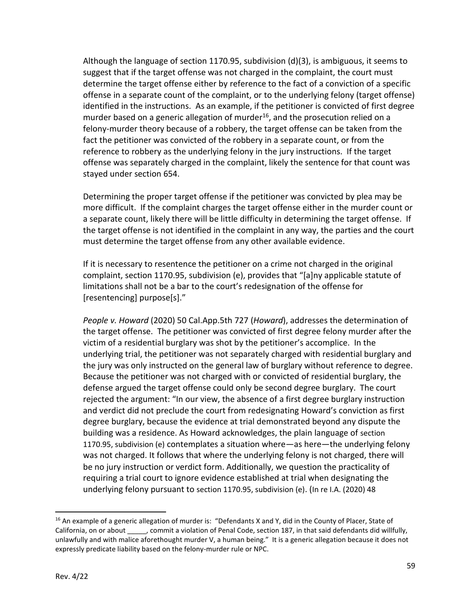Although the language of section 1170.95, subdivision (d)(3), is ambiguous, it seems to suggest that if the target offense was not charged in the complaint, the court must determine the target offense either by reference to the fact of a conviction of a specific offense in a separate count of the complaint, or to the underlying felony (target offense) identified in the instructions. As an example, if the petitioner is convicted of first degree murder based on a generic allegation of murder<sup>16</sup>, and the prosecution relied on a felony-murder theory because of a robbery, the target offense can be taken from the fact the petitioner was convicted of the robbery in a separate count, or from the reference to robbery as the underlying felony in the jury instructions. If the target offense was separately charged in the complaint, likely the sentence for that count was stayed under section 654.

Determining the proper target offense if the petitioner was convicted by plea may be more difficult. If the complaint charges the target offense either in the murder count or a separate count, likely there will be little difficulty in determining the target offense. If the target offense is not identified in the complaint in any way, the parties and the court must determine the target offense from any other available evidence.

If it is necessary to resentence the petitioner on a crime not charged in the original complaint, section 1170.95, subdivision (e), provides that "[a]ny applicable statute of limitations shall not be a bar to the court's redesignation of the offense for [resentencing] purpose[s]."

*People v. Howard* (2020) 50 Cal.App.5th 727 (*Howard*), addresses the determination of the target offense. The petitioner was convicted of first degree felony murder after the victim of a residential burglary was shot by the petitioner's accomplice. In the underlying trial, the petitioner was not separately charged with residential burglary and the jury was only instructed on the general law of burglary without reference to degree. Because the petitioner was not charged with or convicted of residential burglary, the defense argued the target offense could only be second degree burglary. The court rejected the argument: "In our view, the absence of a first degree burglary instruction and verdict did not preclude the court from redesignating Howard's conviction as first degree burglary, because the evidence at trial demonstrated beyond any dispute the building was a residence. As Howard acknowledges, the plain language of section 1170.95, subdivision (e) contemplates a situation where—as here—the underlying felony was not charged. It follows that where the underlying felony is not charged, there will be no jury instruction or verdict form. Additionally, we question the practicality of requiring a trial court to ignore evidence established at trial when designating the underlying felony pursuant to section 1170.95, subdivision (e). (In re I.A. (2020) 48

<sup>&</sup>lt;sup>16</sup> An example of a generic allegation of murder is: "Defendants X and Y, did in the County of Placer, State of California, on or about , commit a violation of Penal Code, section 187, in that said defendants did willfully, unlawfully and with malice aforethought murder V, a human being." It is a generic allegation because it does not expressly predicate liability based on the felony-murder rule or NPC.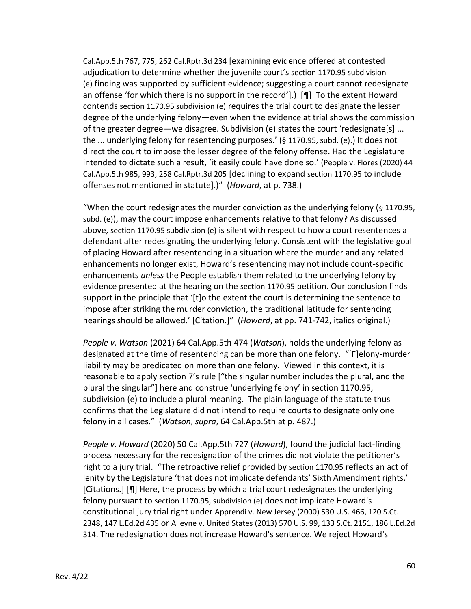Cal.App.5th 767, 775, 262 Cal.Rptr.3d 234 [examining evidence offered at contested adjudication to determine whether the juvenile court's section 1170.95 subdivision (e) finding was supported by sufficient evidence; suggesting a court cannot redesignate an offense 'for which there is no support in the record'].) [¶] To the extent Howard contends section 1170.95 subdivision (e) requires the trial court to designate the lesser degree of the underlying felony—even when the evidence at trial shows the commission of the greater degree—we disagree. Subdivision (e) states the court 'redesignate[s] ... the ... underlying felony for resentencing purposes.' (§ 1170.95, subd. (e).) It does not direct the court to impose the lesser degree of the felony offense. Had the Legislature intended to dictate such a result, 'it easily could have done so.' (People v. Flores (2020) 44 Cal.App.5th 985, 993, 258 Cal.Rptr.3d 205 [declining to expand section 1170.95 to include offenses not mentioned in statute].)" (*Howard*, at p. 738.)

"When the court redesignates the murder conviction as the underlying felony (§ 1170.95, subd. (e)), may the court impose enhancements relative to that felony? As discussed above, section 1170.95 subdivision (e) is silent with respect to how a court resentences a defendant after redesignating the underlying felony. Consistent with the legislative goal of placing Howard after resentencing in a situation where the murder and any related enhancements no longer exist, Howard's resentencing may not include count-specific enhancements *unless* the People establish them related to the underlying felony by evidence presented at the hearing on the section 1170.95 petition. Our conclusion finds support in the principle that '[t]o the extent the court is determining the sentence to impose after striking the murder conviction, the traditional latitude for sentencing hearings should be allowed.' [Citation.]" (*Howard*, at pp. 741-742, italics original.)

*People v. Watson* (2021) 64 Cal.App.5th 474 (*Watson*), holds the underlying felony as designated at the time of resentencing can be more than one felony. "[F]elony-murder liability may be predicated on more than one felony. Viewed in this context, it is reasonable to apply section 7's rule ["the singular number includes the plural, and the plural the singular"] here and construe 'underlying felony' in section 1170.95, subdivision (e) to include a plural meaning. The plain language of the statute thus confirms that the Legislature did not intend to require courts to designate only one felony in all cases." (*Watson*, *supra*, 64 Cal.App.5th at p. 487.)

*People v. Howard* (2020) 50 Cal.App.5th 727 (*Howard*), found the judicial fact-finding process necessary for the redesignation of the crimes did not violate the petitioner's right to a jury trial. "The retroactive relief provided by section 1170.95 reflects an act of lenity by the Legislature 'that does not implicate defendants' Sixth Amendment rights.' [Citations.] [¶] Here, the process by which a trial court redesignates the underlying felony pursuant to section 1170.95, subdivision (e) does not implicate Howard's constitutional jury trial right under Apprendi v. New Jersey (2000) 530 U.S. 466, 120 S.Ct. 2348, 147 L.Ed.2d 435 or Alleyne v. United States (2013) 570 U.S. 99, 133 S.Ct. 2151, 186 L.Ed.2d 314. The redesignation does not increase Howard's sentence. We reject Howard's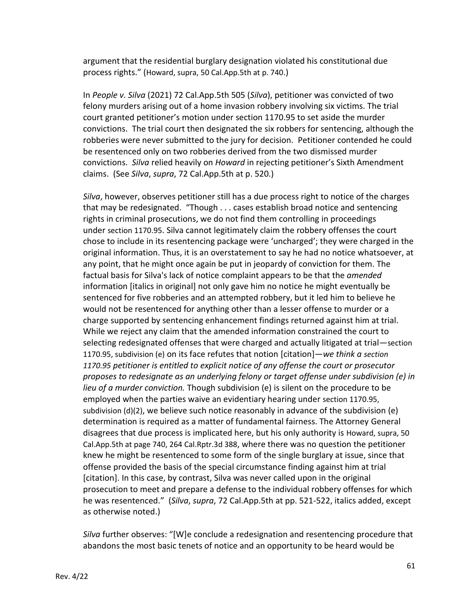argument that the residential burglary designation violated his constitutional due process rights." (Howard, supra, 50 Cal.App.5th at p. 740.)

In *People v. Silva* (2021) 72 Cal.App.5th 505 (*Silva*), petitioner was convicted of two felony murders arising out of a home invasion robbery involving six victims. The trial court granted petitioner's motion under section 1170.95 to set aside the murder convictions. The trial court then designated the six robbers for sentencing, although the robberies were never submitted to the jury for decision. Petitioner contended he could be resentenced only on two robberies derived from the two dismissed murder convictions. *Silva* relied heavily on *Howard* in rejecting petitioner's Sixth Amendment claims. (See *Silva*, *supra*, 72 Cal.App.5th at p. 520.)

*Silva*, however, observes petitioner still has a due process right to notice of the charges that may be redesignated. "Though . . . cases establish broad notice and sentencing rights in criminal prosecutions, we do not find them controlling in proceedings under section 1170.95. Silva cannot legitimately claim the robbery offenses the court chose to include in its resentencing package were 'uncharged'; they were charged in the original information. Thus, it is an overstatement to say he had no notice whatsoever, at any point, that he might once again be put in jeopardy of conviction for them. The factual basis for Silva's lack of notice complaint appears to be that the *amended* information [italics in original] not only gave him no notice he might eventually be sentenced for five robberies and an attempted robbery, but it led him to believe he would not be resentenced for anything other than a lesser offense to murder or a charge supported by sentencing enhancement findings returned against him at trial. While we reject any claim that the amended information constrained the court to selecting redesignated offenses that were charged and actually litigated at trial—section 1170.95, subdivision (e) on its face refutes that notion [citation]—*we think a section 1170.95 petitioner is entitled to explicit notice of any offense the court or prosecutor proposes to redesignate as an underlying felony or target offense under subdivision (e) in lieu of a murder conviction.* Though subdivision (e) is silent on the procedure to be employed when the parties waive an evidentiary hearing under section 1170.95, subdivision (d)(2), we believe such notice reasonably in advance of the subdivision (e) determination is required as a matter of fundamental fairness. The Attorney General disagrees that due process is implicated here, but his only authority is Howard, supra, 50 Cal.App.5th at page 740, 264 Cal.Rptr.3d 388, where there was no question the petitioner knew he might be resentenced to some form of the single burglary at issue, since that offense provided the basis of the special circumstance finding against him at trial [citation]. In this case, by contrast, Silva was never called upon in the original prosecution to meet and prepare a defense to the individual robbery offenses for which he was resentenced." (*Silva*, *supra*, 72 Cal.App.5th at pp. 521-522, italics added, except as otherwise noted.)

*Silva* further observes: "[W]e conclude a redesignation and resentencing procedure that abandons the most basic tenets of notice and an opportunity to be heard would be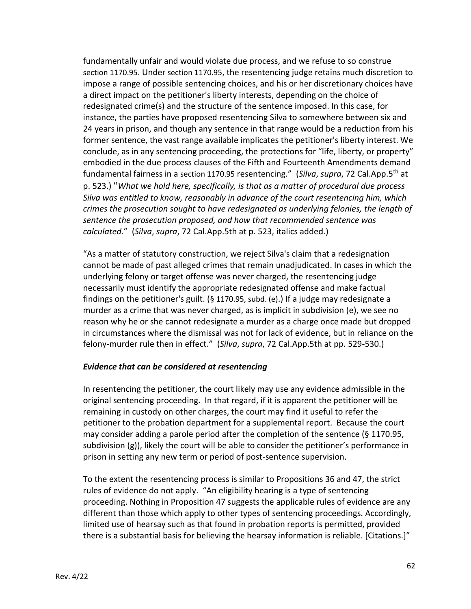fundamentally unfair and would violate due process, and we refuse to so construe section 1170.95. Under section 1170.95, the resentencing judge retains much discretion to impose a range of possible sentencing choices, and his or her discretionary choices have a direct impact on the petitioner's liberty interests, depending on the choice of redesignated crime(s) and the structure of the sentence imposed. In this case, for instance, the parties have proposed resentencing Silva to somewhere between six and 24 years in prison, and though any sentence in that range would be a reduction from his former sentence, the vast range available implicates the petitioner's liberty interest. We conclude, as in any sentencing proceeding, the protections for "life, liberty, or property" embodied in the due process clauses of the Fifth and Fourteenth Amendments demand fundamental fairness in a section 1170.95 resentencing." (*Silva*, *supra*, 72 Cal.App.5th at p. 523.) "*What we hold here, specifically, is that as a matter of procedural due process Silva was entitled to know, reasonably in advance of the court resentencing him, which crimes the prosecution sought to have redesignated as underlying felonies, the length of sentence the prosecution proposed, and how that recommended sentence was calculated*." (*Silva*, *supra*, 72 Cal.App.5th at p. 523, italics added.)

"As a matter of statutory construction, we reject Silva's claim that a redesignation cannot be made of past alleged crimes that remain unadjudicated. In cases in which the underlying felony or target offense was never charged, the resentencing judge necessarily must identify the appropriate redesignated offense and make factual findings on the petitioner's guilt. (§ 1170.95, subd. (e).) If a judge may redesignate a murder as a crime that was never charged, as is implicit in subdivision (e), we see no reason why he or she cannot redesignate a murder as a charge once made but dropped in circumstances where the dismissal was not for lack of evidence, but in reliance on the felony-murder rule then in effect." (*Silva*, *supra*, 72 Cal.App.5th at pp. 529-530.)

#### *Evidence that can be considered at resentencing*

In resentencing the petitioner, the court likely may use any evidence admissible in the original sentencing proceeding. In that regard, if it is apparent the petitioner will be remaining in custody on other charges, the court may find it useful to refer the petitioner to the probation department for a supplemental report. Because the court may consider adding a parole period after the completion of the sentence (§ 1170.95, subdivision (g)), likely the court will be able to consider the petitioner's performance in prison in setting any new term or period of post-sentence supervision.

To the extent the resentencing process is similar to Propositions 36 and 47, the strict rules of evidence do not apply. "An eligibility hearing is a type of sentencing proceeding. Nothing in Proposition 47 suggests the applicable rules of evidence are any different than those which apply to other types of sentencing proceedings. Accordingly, limited use of hearsay such as that found in probation reports is permitted, provided there is a substantial basis for believing the hearsay information is reliable. [Citations.]"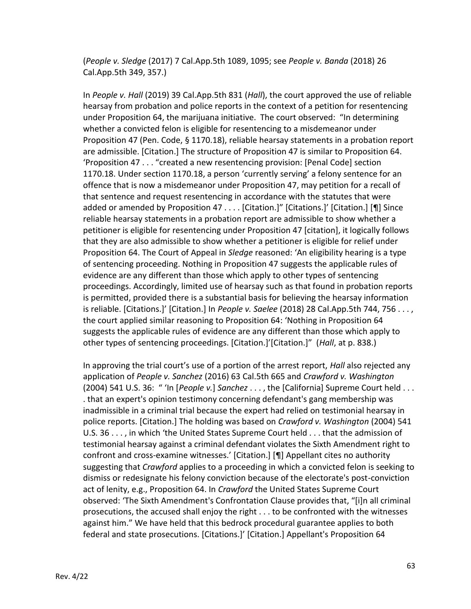(*People v. Sledge* (2017) 7 Cal.App.5th 1089, 1095; see *People v. Banda* (2018) 26 Cal.App.5th 349, 357.)

In *People v. Hall* (2019) 39 Cal.App.5th 831 (*Hall*), the court approved the use of reliable hearsay from probation and police reports in the context of a petition for resentencing under Proposition 64, the marijuana initiative. The court observed: "In determining whether a convicted felon is eligible for resentencing to a misdemeanor under Proposition 47 (Pen. Code, § 1170.18), reliable hearsay statements in a probation report are admissible. [Citation.] The structure of Proposition 47 is similar to Proposition 64. 'Proposition 47 . . . "created a new resentencing provision: [Penal Code] section 1170.18. Under section 1170.18, a person 'currently serving' a felony sentence for an offence that is now a misdemeanor under Proposition 47, may petition for a recall of that sentence and request resentencing in accordance with the statutes that were added or amended by Proposition 47 . . . . [Citation.]" [Citations.]' [Citation.] [¶] Since reliable hearsay statements in a probation report are admissible to show whether a petitioner is eligible for resentencing under Proposition 47 [citation], it logically follows that they are also admissible to show whether a petitioner is eligible for relief under Proposition 64. The Court of Appeal in *Sledge* reasoned: 'An eligibility hearing is a type of sentencing proceeding. Nothing in Proposition 47 suggests the applicable rules of evidence are any different than those which apply to other types of sentencing proceedings. Accordingly, limited use of hearsay such as that found in probation reports is permitted, provided there is a substantial basis for believing the hearsay information is reliable. [Citations.]' [Citation.] In *People v. Saelee* (2018) 28 Cal.App.5th 744, 756 . . . , the court applied similar reasoning to Proposition 64: 'Nothing in Proposition 64 suggests the applicable rules of evidence are any different than those which apply to other types of sentencing proceedings. [Citation.]'[Citation.]" (*Hall*, at p. 838.)

In approving the trial court's use of a portion of the arrest report, *Hall* also rejected any application of *People v. Sanchez* (2016) 63 Cal.5th 665 and *Crawford v. Washington* (2004) 541 U.S. 36: " 'In [*People v.*] *Sanchez* . . . , the [California] Supreme Court held . . . . that an expert's opinion testimony concerning defendant's gang membership was inadmissible in a criminal trial because the expert had relied on testimonial hearsay in police reports. [Citation.] The holding was based on *Crawford v. Washington* (2004) 541 U.S. 36 . . . , in which 'the United States Supreme Court held . . . that the admission of testimonial hearsay against a criminal defendant violates the Sixth Amendment right to confront and cross-examine witnesses.' [Citation.] [¶] Appellant cites no authority suggesting that *Crawford* applies to a proceeding in which a convicted felon is seeking to dismiss or redesignate his felony conviction because of the electorate's post-conviction act of lenity, e.g., Proposition 64. In *Crawford* the United States Supreme Court observed: 'The Sixth Amendment's Confrontation Clause provides that, "[i]n all criminal prosecutions, the accused shall enjoy the right . . . to be confronted with the witnesses against him." We have held that this bedrock procedural guarantee applies to both federal and state prosecutions. [Citations.]' [Citation.] Appellant's Proposition 64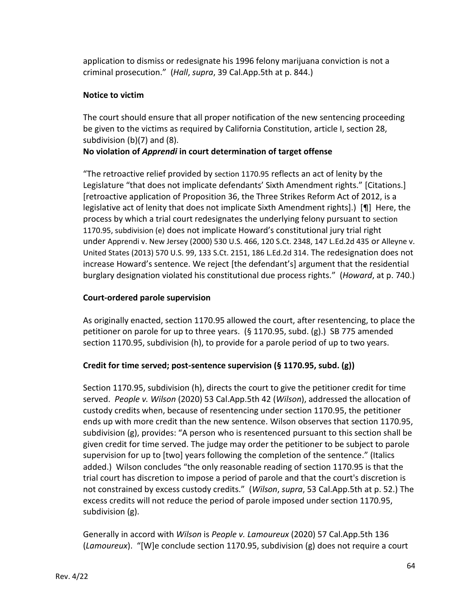application to dismiss or redesignate his 1996 felony marijuana conviction is not a criminal prosecution." (*Hall*, *supra*, 39 Cal.App.5th at p. 844.)

## **Notice to victim**

The court should ensure that all proper notification of the new sentencing proceeding be given to the victims as required by California Constitution, article I, section 28, subdivision (b)(7) and (8).

# **No violation of** *Apprendi* **in court determination of target offense**

"The retroactive relief provided by section 1170.95 reflects an act of lenity by the Legislature "that does not implicate defendants' Sixth Amendment rights." [Citations.] [retroactive application of Proposition 36, the Three Strikes Reform Act of 2012, is a legislative act of lenity that does not implicate Sixth Amendment rights].) [¶] Here, the process by which a trial court redesignates the underlying felony pursuant to section 1170.95, subdivision (e) does not implicate Howard's constitutional jury trial right under Apprendi v. New Jersey (2000) 530 U.S. 466, 120 S.Ct. 2348, 147 L.Ed.2d 435 or Alleyne v. United States (2013) 570 U.S. 99, 133 S.Ct. 2151, 186 L.Ed.2d 314. The redesignation does not increase Howard's sentence. We reject [the defendant's] argument that the residential burglary designation violated his constitutional due process rights." (*Howard*, at p. 740.)

# **Court-ordered parole supervision**

As originally enacted, section 1170.95 allowed the court, after resentencing, to place the petitioner on parole for up to three years. (§ 1170.95, subd. (g).) SB 775 amended section 1170.95, subdivision (h), to provide for a parole period of up to two years.

# **Credit for time served; post-sentence supervision (§ 1170.95, subd. (g))**

Section 1170.95, subdivision (h), directs the court to give the petitioner credit for time served. *People v. Wilson* (2020) 53 Cal.App.5th 42 (*Wilson*), addressed the allocation of custody credits when, because of resentencing under section 1170.95, the petitioner ends up with more credit than the new sentence. Wilson observes that section 1170.95, subdivision (g), provides: "A person who is resentenced pursuant to this section shall be given credit for time served. The judge may order the petitioner to be subject to parole supervision for up to [two] years following the completion of the sentence." (Italics added.) Wilson concludes "the only reasonable reading of section 1170.95 is that the trial court has discretion to impose a period of parole and that the court's discretion is not constrained by excess custody credits." (*Wilson*, *supra*, 53 Cal.App.5th at p. 52.) The excess credits will not reduce the period of parole imposed under section 1170.95, subdivision (g).

Generally in accord with *Wilson* is *People v. Lamoureux* (2020) 57 Cal.App.5th 136 (*Lamoureux*). "[W]e conclude section 1170.95, subdivision (g) does not require a court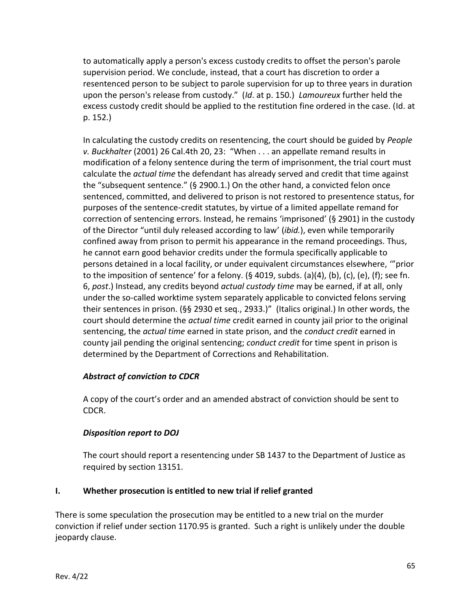to automatically apply a person's excess custody credits to offset the person's parole supervision period. We conclude, instead, that a court has discretion to order a resentenced person to be subject to parole supervision for up to three years in duration upon the person's release from custody." (*Id*. at p. 150.) *Lamoureux* further held the excess custody credit should be applied to the restitution fine ordered in the case. (Id. at p. 152.)

In calculating the custody credits on resentencing, the court should be guided by *People v. Buckhalter* (2001) 26 Cal.4th 20, 23: "When . . . an appellate remand results in modification of a felony sentence during the term of imprisonment, the trial court must calculate the *actual time* the defendant has already served and credit that time against the "subsequent sentence." (§ 2900.1.) On the other hand, a convicted felon once sentenced, committed, and delivered to prison is not restored to presentence status, for purposes of the sentence-credit statutes, by virtue of a limited appellate remand for correction of sentencing errors. Instead, he remains 'imprisoned' (§ 2901) in the custody of the Director "until duly released according to law' (*ibid.*), even while temporarily confined away from prison to permit his appearance in the remand proceedings. Thus, he cannot earn good behavior credits under the formula specifically applicable to persons detained in a local facility, or under equivalent circumstances elsewhere, '"prior to the imposition of sentence' for a felony. (§ 4019, subds. (a)(4), (b), (c), (e), (f); see fn. 6, *post*.) Instead, any credits beyond *actual custody time* may be earned, if at all, only under the so-called worktime system separately applicable to convicted felons serving their sentences in prison. (§§ 2930 et seq., 2933.)" (Italics original.) In other words, the court should determine the *actual time* credit earned in county jail prior to the original sentencing, the *actual time* earned in state prison, and the *conduct credit* earned in county jail pending the original sentencing; *conduct credit* for time spent in prison is determined by the Department of Corrections and Rehabilitation.

### *Abstract of conviction to CDCR*

A copy of the court's order and an amended abstract of conviction should be sent to CDCR.

### *Disposition report to DOJ*

The court should report a resentencing under SB 1437 to the Department of Justice as required by section 13151.

### **I. Whether prosecution is entitled to new trial if relief granted**

There is some speculation the prosecution may be entitled to a new trial on the murder conviction if relief under section 1170.95 is granted. Such a right is unlikely under the double jeopardy clause.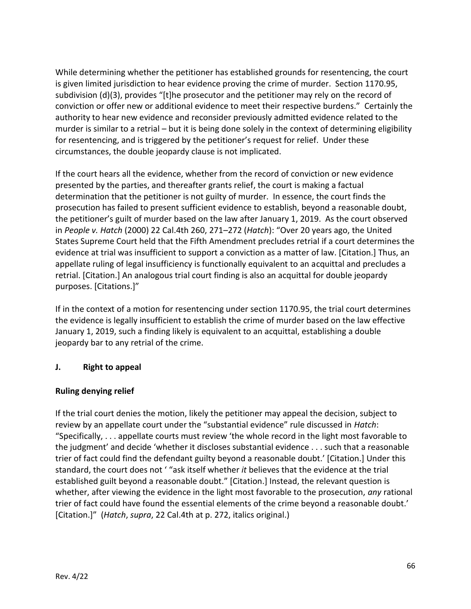While determining whether the petitioner has established grounds for resentencing, the court is given limited jurisdiction to hear evidence proving the crime of murder. Section 1170.95, subdivision (d)(3), provides "[t]he prosecutor and the petitioner may rely on the record of conviction or offer new or additional evidence to meet their respective burdens." Certainly the authority to hear new evidence and reconsider previously admitted evidence related to the murder is similar to a retrial – but it is being done solely in the context of determining eligibility for resentencing, and is triggered by the petitioner's request for relief. Under these circumstances, the double jeopardy clause is not implicated.

If the court hears all the evidence, whether from the record of conviction or new evidence presented by the parties, and thereafter grants relief, the court is making a factual determination that the petitioner is not guilty of murder. In essence, the court finds the prosecution has failed to present sufficient evidence to establish, beyond a reasonable doubt, the petitioner's guilt of murder based on the law after January 1, 2019. As the court observed in *People v. Hatch* (2000) 22 Cal.4th 260, 271–272 (*Hatch*): "Over 20 years ago, the United States Supreme Court held that the Fifth Amendment precludes retrial if a court determines the evidence at trial was insufficient to support a conviction as a matter of law. [Citation.] Thus, an appellate ruling of legal insufficiency is functionally equivalent to an acquittal and precludes a retrial. [Citation.] An analogous trial court finding is also an acquittal for double jeopardy purposes. [Citations.]"

If in the context of a motion for resentencing under section 1170.95, the trial court determines the evidence is legally insufficient to establish the crime of murder based on the law effective January 1, 2019, such a finding likely is equivalent to an acquittal, establishing a double jeopardy bar to any retrial of the crime.

### **J. Right to appeal**

### **Ruling denying relief**

If the trial court denies the motion, likely the petitioner may appeal the decision, subject to review by an appellate court under the "substantial evidence" rule discussed in *Hatch*: "Specifically, . . . appellate courts must review 'the whole record in the light most favorable to the judgment' and decide 'whether it discloses substantial evidence . . . such that a reasonable trier of fact could find the defendant guilty beyond a reasonable doubt.' [Citation.] Under this standard, the court does not ' "ask itself whether *it* believes that the evidence at the trial established guilt beyond a reasonable doubt." [Citation.] Instead, the relevant question is whether, after viewing the evidence in the light most favorable to the prosecution, *any* rational trier of fact could have found the essential elements of the crime beyond a reasonable doubt.' [Citation.]" (*Hatch*, *supra*, 22 Cal.4th at p. 272, italics original.)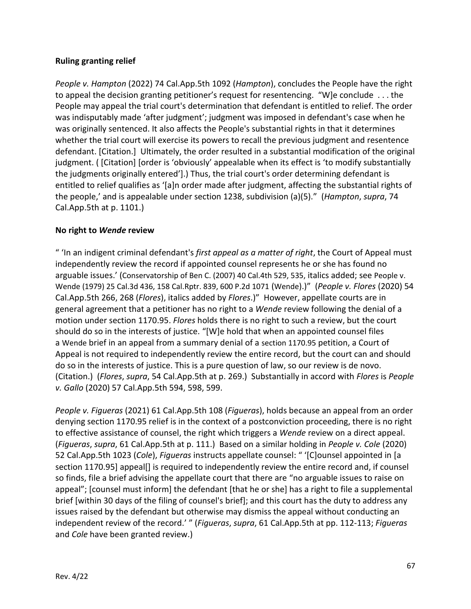#### **Ruling granting relief**

*People v. Hampton* (2022) 74 Cal.App.5th 1092 (*Hampton*), concludes the People have the right to appeal the decision granting petitioner's request for resentencing. "W]e conclude . . . the People may appeal the trial court's determination that defendant is entitled to relief. The order was indisputably made 'after judgment'; judgment was imposed in defendant's case when he was originally sentenced. It also affects the People's substantial rights in that it determines whether the trial court will exercise its powers to recall the previous judgment and resentence defendant. [Citation.] Ultimately, the order resulted in a substantial modification of the original judgment. ( [Citation] [order is 'obviously' appealable when its effect is 'to modify substantially the judgments originally entered'].) Thus, the trial court's order determining defendant is entitled to relief qualifies as '[a]n order made after judgment, affecting the substantial rights of the people,' and is appealable under section 1238, subdivision (a)(5)." (*Hampton*, *supra*, 74 Cal.App.5th at p. 1101.)

#### **[No](https://1.next.westlaw.com/Document/Id02b6580ee2f11eaac1bf54738486b58/View/FullText.html?transitionType=UniqueDocItem&contextData=(sc.UserEnteredCitation)&userEnteredCitation=54+Cal.App.5th+266#co_anchor_F12051782756) right to** *Wende* **review**

" 'In an indigent criminal defendant's *first appeal as a matter of right*, the Court of Appeal must independently review the record if appointed counsel represents he or she has found no arguable issues.' (Conservatorship of Ben C. (2007) 40 Cal.4th 529, 535, italics added; see People v. Wende (1979) 25 Cal.3d 436, 158 Cal.Rptr. 839, 600 P.2d 1071 (Wende).)" (*People v. Flores* (2020) 54 Cal.App.5th 266, 268 (*Flores*), italics added by *Flores*.)" However, appellate courts are in general agreement that a petitioner has no right to a *Wende* review following the denial of a motion under section 1170.95. *Flores* holds there is no right to such a review, but the court should do so in the interests of justice. "[W]e hold that when an appointed counsel files a Wende brief in an appeal from a summary denial of a section 1170.95 petition, a Court of Appeal is not required to independently review the entire record, but the court can and should do so in the interests of justice. This is a pure question of law, so our review is de novo. (Citation.) (*Flores*, *supra*, 54 Cal.App.5th at p. 269.) Substantially in accord with *Flores* is *People v. Gallo* (2020) 57 Cal.App.5th 594, 598, 599.

*People v. Figueras* (2021) 61 Cal.App.5th 108 (*Figueras*), holds because an appeal from an order denying section 1170.95 relief is in the context of a postconviction proceeding, there is no right to effective assistance of counsel, the right which triggers a *Wende* review on a direct appeal. (*Figueras*, *supra*, 61 Cal.App.5th at p. 111.) Based on a similar holding in *People v. Cole* (2020) 52 Cal.App.5th 1023 (*Cole*), *Figueras* instructs appellate counsel: " '[C]ounsel appointed in [a section 1170.95] appeal[] is required to independently review the entire record and, if counsel so finds, file a brief advising the appellate court that there are "no arguable issues to raise on appeal"; [counsel must inform] the defendant [that he or she] has a right to file a supplemental brief [within 30 days of the filing of counsel's brief]; and this court has the duty to address any issues raised by the defendant but otherwise may dismiss the appeal without conducting an independent review of the record.' " (*Figueras*, *supra*, 61 Cal.App.5th at pp. 112-113; *Figueras* and *Cole* have been granted review.)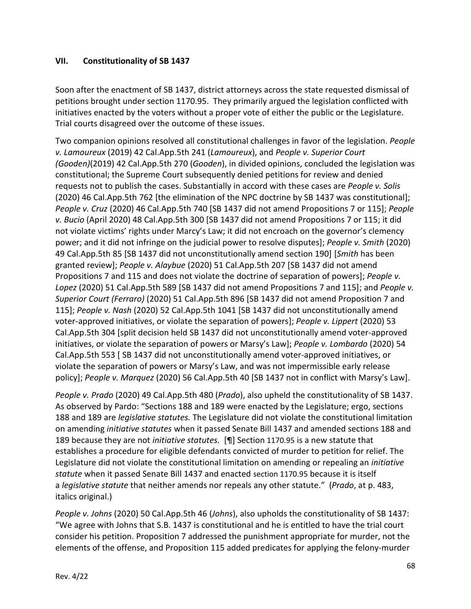#### **VII. Constitutionality of SB 1437**

Soon after the enactment of SB 1437, district attorneys across the state requested dismissal of petitions brought under section 1170.95. They primarily argued the legislation conflicted with initiatives enacted by the voters without a proper vote of either the public or the Legislature. Trial courts disagreed over the outcome of these issues.

Two companion opinions resolved all constitutional challenges in favor of the legislation. *People v. Lamoureux* (2019) 42 Cal.App.5th 241 (*Lamoureux*), and *People v. Superior Court (Gooden)*(2019) 42 Cal.App.5th 270 (*Gooden*), in divided opinions, concluded the legislation was constitutional; the Supreme Court subsequently denied petitions for review and denied requests not to publish the cases. Substantially in accord with these cases are *People v. Solis* (2020) 46 Cal.App.5th 762 [the elimination of the NPC doctrine by SB 1437 was constitutional]; *People v. Cruz* (2020) 46 Cal.App.5th 740 [SB 1437 did not amend Propositions 7 or 115]; *People v. Bucio* (April 2020) 48 Cal.App.5th 300 [SB 1437 did not amend Propositions 7 or 115; it did not violate victims' rights under Marcy's Law; it did not encroach on the governor's clemency power; and it did not infringe on the judicial power to resolve disputes]; *People v. Smith* (2020) 49 Cal.App.5th 85 [SB 1437 did not unconstitutionally amend section 190] [*Smith* has been granted review]; *People v. Alaybue* (2020) 51 Cal.App.5th 207 [SB 1437 did not amend Propositions 7 and 115 and does not violate the doctrine of separation of powers]; *People v. Lopez* (2020) 51 Cal.App.5th 589 [SB 1437 did not amend Propositions 7 and 115]; and *People v. Superior Court (Ferraro)* (2020) 51 Cal.App.5th 896 [SB 1437 did not amend Proposition 7 and 115]; *People v. Nash* (2020) 52 Cal.App.5th 1041 [SB 1437 did not unconstitutionally amend voter-approved initiatives, or violate the separation of powers]; *People v. Lippert* (2020) 53 Cal.App.5th 304 [split decision held SB 1437 did not unconstitutionally amend voter-approved initiatives, or violate the separation of powers or Marsy's Law]; *People v. Lombardo* (2020) 54 Cal.App.5th 553 [ SB 1437 did not unconstitutionally amend voter-approved initiatives, or violate the separation of powers or Marsy's Law, and was not impermissible early release policy]; *People v. Marquez* (2020) 56 Cal.App.5th 40 [SB 1437 not in conflict with Marsy's Law].

*People v. Prado* (2020) 49 Cal.App.5th 480 (*Prado*), also upheld the constitutionality of SB 1437. As observed by Pardo: "Sections 188 and 189 were enacted by the Legislature; ergo, sections 188 and 189 are *legislative statutes.* The Legislature did not violate the constitutional limitation on amending *initiative statutes* when it passed Senate Bill 1437 and amended sections 188 and 189 because they are not *initiative statutes.* [¶] Section 1170.95 is a new statute that establishes a procedure for eligible defendants convicted of murder to petition for relief. The Legislature did not violate the constitutional limitation on amending or repealing an *initiative statute* when it passed Senate Bill 1437 and enacted section 1170.95 because it is itself a *legislative statute* that neither amends nor repeals any other statute." (*Prado*, at p. 483, italics original.)

*People v. Johns* (2020) 50 Cal.App.5th 46 (*Johns*), also upholds the constitutionality of SB 1437: "We agree with Johns that S.B. 1437 is constitutional and he is entitled to have the trial court consider his petition. Proposition 7 addressed the punishment appropriate for murder, not the elements of the offense, and Proposition 115 added predicates for applying the felony-murder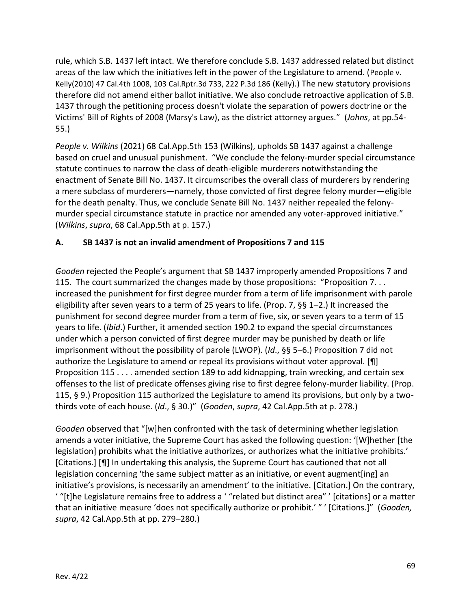rule, which S.B. 1437 left intact. We therefore conclude S.B. 1437 addressed related but distinct areas of the law which the initiatives left in the power of the Legislature to amend. (People v. Kelly(2010) 47 Cal.4th 1008, 103 Cal.Rptr.3d 733, 222 P.3d 186 (Kelly).) The new statutory provisions therefore did not amend either ballot initiative. We also conclude retroactive application of S.B. 1437 through the petitioning process doesn't violate the separation of powers doctrine or the Victims' Bill of Rights of 2008 (Marsy's Law), as the district attorney argues." (*Johns*, at pp.54- 55.)

*People v. Wilkins* (2021) 68 Cal.App.5th 153 (Wilkins), upholds SB 1437 against a challenge based on cruel and unusual punishment. "We conclude the felony-murder special circumstance statute continues to narrow the class of death-eligible murderers notwithstanding the enactment of Senate Bill No. 1437. It circumscribes the overall class of murderers by rendering a mere subclass of murderers—namely, those convicted of first degree felony murder—eligible for the death penalty. Thus, we conclude Senate Bill No. 1437 neither repealed the felonymurder special circumstance statute in practice nor amended any voter-approved initiative." (*Wilkins*, *supra*, 68 Cal.App.5th at p. 157.)

### **A. SB 1437 is not an invalid amendment of Propositions 7 and 115**

*Gooden* rejected the People's argument that SB 1437 improperly amended Propositions 7 and 115. The court summarized the changes made by those propositions: "Proposition 7. . . increased the punishment for first degree murder from a term of life imprisonment with parole eligibility after seven years to a term of 25 years to life. (Prop. 7, §§ 1–2.) It increased the punishment for second degree murder from a term of five, six, or seven years to a term of 15 years to life. (*Ibid*.) Further, it amended section 190.2 to expand the special circumstances under which a person convicted of first degree murder may be punished by death or life imprisonment without the possibility of parole (LWOP). (*Id*., §§ 5–6.) Proposition 7 did not authorize the Legislature to amend or repeal its provisions without voter approval. [¶] Proposition 115 . . . . amended section 189 to add kidnapping, train wrecking, and certain sex offenses to the list of predicate offenses giving rise to first degree felony-murder liability. (Prop. 115, § 9.) Proposition 115 authorized the Legislature to amend its provisions, but only by a twothirds vote of each house. (*Id*., § 30.)"(*Gooden*, *supra*, 42 Cal.App.5th at p. 278.)

*Gooden* observed that "[w]hen confronted with the task of determining whether legislation amends a voter initiative, the Supreme Court has asked the following question: '[W]hether [the legislation] prohibits what the initiative authorizes, or authorizes what the initiative prohibits.' [Citations.] [¶] In undertaking this analysis, the Supreme Court has cautioned that not all legislation concerning 'the same subject matter as an initiative, or event augment[ing] an initiative's provisions, is necessarily an amendment' to the initiative. [Citation.] On the contrary, ' "[t]he Legislature remains free to address a ' "related but distinct area" ' [citations] or a matter that an initiative measure 'does not specifically authorize or prohibit.' " ' [Citations.]" (*Gooden, supra*, 42 Cal.App.5th at pp. 279–280.)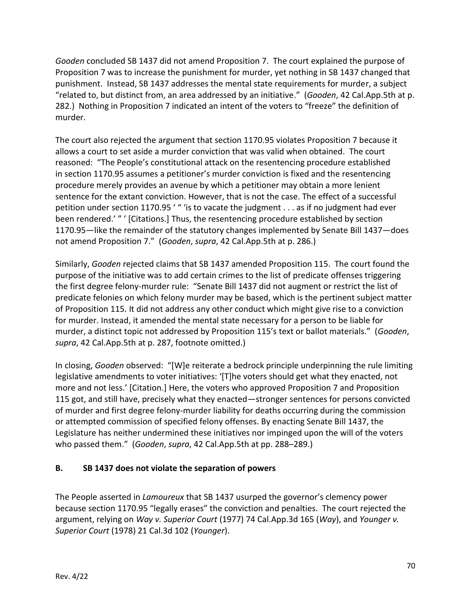*Gooden* concluded SB 1437 did not amend Proposition 7. The court explained the purpose of Proposition 7 was to increase the punishment for murder, yet nothing in SB 1437 changed that punishment. Instead, SB 1437 addresses the mental state requirements for murder, a subject "related to, but distinct from, an area addressed by an initiative." (*Gooden*, 42 Cal.App.5th at p. 282.) Nothing in Proposition 7 indicated an intent of the voters to "freeze" the definition of murder.

The court also rejected the argument that section 1170.95 violates Proposition 7 because it allows a court to set aside a murder conviction that was valid when obtained. The court reasoned: "The People's constitutional attack on the resentencing procedure established in section 1170.95 assumes a petitioner's murder conviction is fixed and the resentencing procedure merely provides an avenue by which a petitioner may obtain a more lenient sentence for the extant conviction. However, that is not the case. The effect of a successful petition under section 1170.95 ' " 'is to vacate the judgment . . . as if no judgment had ever been rendered.' " ' [Citations.] Thus, the resentencing procedure established by section 1170.95—like the remainder of the statutory changes implemented by Senate Bill 1437—does not amend Proposition 7." (*Gooden*, *supra*, 42 Cal.App.5th at p. 286.)

Similarly, *Gooden* rejected claims that SB 1437 amended Proposition 115. The court found the purpose of the initiative was to add certain crimes to the list of predicate offenses triggering the first degree felony-murder rule: "Senate Bill 1437 did not augment or restrict the list of predicate felonies on which felony murder may be based, which is the pertinent subject matter of Proposition 115. It did not address any other conduct which might give rise to a conviction for murder. Instead, it amended the mental state necessary for a person to be liable for murder, a distinct topic not addressed by Proposition 115's text or ballot materials." (*Gooden*, *supra*, 42 Cal.App.5th at p. 287, footnote omitted.)

In closing, *Gooden* observed: "[W]e reiterate a bedrock principle underpinning the rule limiting legislative amendments to voter initiatives: '[T]he voters should get what they enacted, not more and not less.' [Citation.] Here, the voters who approved Proposition 7 and Proposition 115 got, and still have, precisely what they enacted—stronger sentences for persons convicted of murder and first degree felony-murder liability for deaths occurring during the commission or attempted commission of specified felony offenses. By enacting Senate Bill 1437, the Legislature has neither undermined these initiatives nor impinged upon the will of the voters who passed them." (*Gooden*, *supra*, 42 Cal.App.5th at pp. 288–289.)

### **B. SB 1437 does not violate the separation of powers**

The People asserted in *Lamoureux* that SB 1437 usurped the governor's clemency power because section 1170.95 "legally erases" the conviction and penalties. The court rejected the argument, relying on *Way v. Superior Court* (1977) 74 Cal.App.3d 165 (*Way*), and *Younger v. Superior Court* (1978) 21 Cal.3d 102 (*Younger*).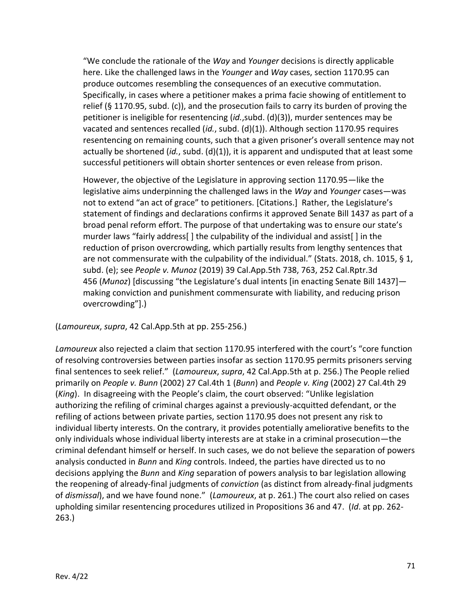"We conclude the rationale of the *Way* and *Younger* decisions is directly applicable here. Like the challenged laws in the *Younger* and *Way* cases, section 1170.95 can produce outcomes resembling the consequences of an executive commutation. Specifically, in cases where a petitioner makes a prima facie showing of entitlement to relief (§ 1170.95, subd. (c)), and the prosecution fails to carry its burden of proving the petitioner is ineligible for resentencing (*id.*,subd. (d)(3)), murder sentences may be vacated and sentences recalled (*[id.](https://1.next.westlaw.com/Link/Document/FullText?findType=Y&serNum=1978109237&pubNum=0000233&originatingDoc=I71cfb1e00b4411ea8d9494c64d4c96f1&refType=RP&originationContext=document&transitionType=DocumentItem&contextData=(sc.UserEnteredCitation))*, subd. (d)(1)). Although section 1170.95 requires resentencing on remaining counts, such that a given prisoner's overall sentence may not actually be shortened (*[id.](https://1.next.westlaw.com/Link/Document/FullText?findType=Y&serNum=1978109237&pubNum=0000233&originatingDoc=I71cfb1e00b4411ea8d9494c64d4c96f1&refType=RP&originationContext=document&transitionType=DocumentItem&contextData=(sc.UserEnteredCitation))*, subd. (d)(1)), it is apparent and undisputed that at least some successful petitioners will obtain shorter sentences or even release from prison.

However, the objective of the Legislature in approving section 1170.95—like the legislative aims underpinning the challenged laws in the *Way* and *Younger* cases—was not to extend "an act of grace" to petitioners. [Citations.] Rather, the Legislature's statement of findings and declarations confirms it approved Senate Bill 1437 as part of a broad penal reform effort. The purpose of that undertaking was to ensure our state's murder laws "fairly address[ ] the culpability of the individual and assist[ ] in the reduction of prison overcrowding, which partially results from lengthy sentences that are not commensurate with the culpability of the individual." (Stats. 2018, ch. 1015, § 1, subd. (e); see *People v. Munoz* (2019) 39 Cal.App.5th 738, 763, 252 Cal.Rptr.3d 456 (*[Munoz](https://1.next.westlaw.com/Link/Document/FullText?findType=Y&serNum=2049127491&pubNum=0007053&originatingDoc=I71cfb1e00b4411ea8d9494c64d4c96f1&refType=RP&originationContext=document&transitionType=DocumentItem&contextData=(sc.UserEnteredCitation))*) [discussing "the Legislature's dual intents [in enacting Senate Bill 1437] making conviction and punishment commensurate with liability, and reducing prison overcrowding"].)

(*Lamoureux*, *supra*, 42 Cal.App.5th at pp. 255-256.)

*Lamoureux* also rejected a claim that section 1170.95 interfered with the court's "core function of resolving controversies between parties insofar as section 1170.95 permits prisoners serving final sentences to seek relief." (*Lamoureux*, *supra*, 42 Cal.App.5th at p. 256.) The People relied primarily on *People v. Bunn* (2002) 27 Cal.4th 1 (*Bunn*) and *People v. King* (2002) 27 Cal.4th 29 (*King*). In disagreeing with the People's claim, the court observed: "Unlike legislation authorizing the refiling of criminal charges against a previously-acquitted defendant, or the refiling of actions between private parties, section 1170.95 does not present any risk to individual liberty interests. On the contrary, it provides potentially ameliorative benefits to the only individuals whose individual liberty interests are at stake in a criminal prosecution—the criminal defendant himself or herself. In such cases, we do not believe the separation of powers analysis conducted in *[Bunn](https://1.next.westlaw.com/Link/Document/FullText?findType=Y&serNum=2002051098&pubNum=0004040&originatingDoc=I71cfb1e00b4411ea8d9494c64d4c96f1&refType=RP&originationContext=document&transitionType=DocumentItem&contextData=(sc.UserEnteredCitation))* and *[King](https://1.next.westlaw.com/Link/Document/FullText?findType=Y&serNum=2002051242&pubNum=0004040&originatingDoc=I71cfb1e00b4411ea8d9494c64d4c96f1&refType=RP&originationContext=document&transitionType=DocumentItem&contextData=(sc.UserEnteredCitation))* controls. Indeed, the parties have directed us to no decisions applying the *[Bunn](https://1.next.westlaw.com/Link/Document/FullText?findType=Y&serNum=2002051098&pubNum=0004040&originatingDoc=I71cfb1e00b4411ea8d9494c64d4c96f1&refType=RP&originationContext=document&transitionType=DocumentItem&contextData=(sc.UserEnteredCitation))* and *[King](https://1.next.westlaw.com/Link/Document/FullText?findType=Y&serNum=2002051242&pubNum=0004040&originatingDoc=I71cfb1e00b4411ea8d9494c64d4c96f1&refType=RP&originationContext=document&transitionType=DocumentItem&contextData=(sc.UserEnteredCitation))* separation of powers analysis to bar legislation allowing the reopening of already-final judgments of *conviction* (as distinct from already-final judgments of *dismissal*), and we have found none." (*Lamoureux*, at p. 261.) The court also relied on cases upholding similar resentencing procedures utilized in Propositions 36 and 47. (*Id*. at pp. 262- 263.)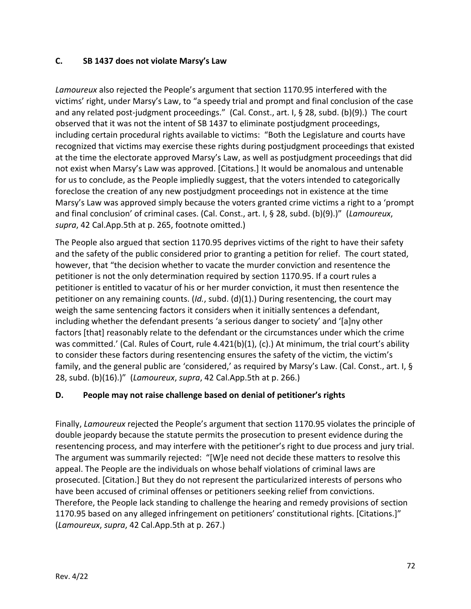#### **C. SB 1437 does not violate Marsy's Law**

*Lamoureux* also rejected the People's argument that section 1170.95 interfered with the victims' right, under Marsy's Law, to "a speedy trial and prompt and final conclusion of the case and any related post-judgment proceedings." (Cal. Const., art. I, § 28, subd. (b)(9).) The court observed that it was not the intent of SB 1437 to eliminate postjudgment proceedings, including certain procedural rights available to victims: "Both the Legislature and courts have recognized that victims may exercise these rights during postjudgment proceedings that existed at the time the electorate approved Marsy's Law, as well as postjudgment proceedings that did not exist when Marsy's Law was approved. [Citations.] It would be anomalous and untenable for us to conclude, as the People impliedly suggest, that the voters intended to categorically foreclose the creation of any new postjudgment proceedings not in existence at the time Marsy's Law was approved simply because the voters granted crime victims a right to a 'prompt and final conclusion' of criminal cases. (Cal. Const., art. I, § 28, subd. (b)(9).)" (*Lamoureux*, *supra*, 42 Cal.App.5th at p. 265, footnote omitted.)

The People also argued that section 1170.95 deprives victims of the right to have their safety and the safety of the public considered prior to granting a petition for relief. The court stated, however, that "the decision whether to vacate the murder conviction and resentence the petitioner is not the only determination required by section 1170.95. If a court rules a petitioner is entitled to vacatur of his or her murder conviction, it must then resentence the petitioner on any remaining counts. (*Id.*, subd. (d)(1).) During resentencing, the court may weigh the same sentencing factors it considers when it initially sentences a defendant, including whether the defendant presents 'a serious danger to society' and '[a]ny other factors [that] reasonably relate to the defendant or the circumstances under which the crime was committed.' (Cal. Rules of Court, rule 4.421(b)(1), (c).) At minimum, the trial court's ability to consider these factors during resentencing ensures the safety of the victim, the victim's family, and the general public are 'considered,' as required by Marsy's Law. (Cal. Const., art. I, § 28, subd. (b)(16).)" (*Lamoureux*, *supra*, 42 Cal.App.5th at p. 266.)

#### **D. People may not raise challenge based on denial of petitioner's rights**

Finally, *Lamoureux* rejected the People's argument that section 1170.95 violates the principle of double jeopardy because the statute permits the prosecution to present evidence during the resentencing process, and may interfere with the petitioner's right to due process and jury trial. The argument was summarily rejected: "[W]e need not decide these matters to resolve this appeal. The People are the individuals on whose behalf violations of criminal laws are prosecuted. [Citation.] But they do not represent the particularized interests of persons who have been accused of criminal offenses or petitioners seeking relief from convictions. Therefore, the People lack standing to challenge the hearing and remedy provisions of section 1170.95 based on any alleged infringement on petitioners' constitutional rights. [Citations.]" (*Lamoureux*, *supra*, 42 Cal.App.5th at p. 267.)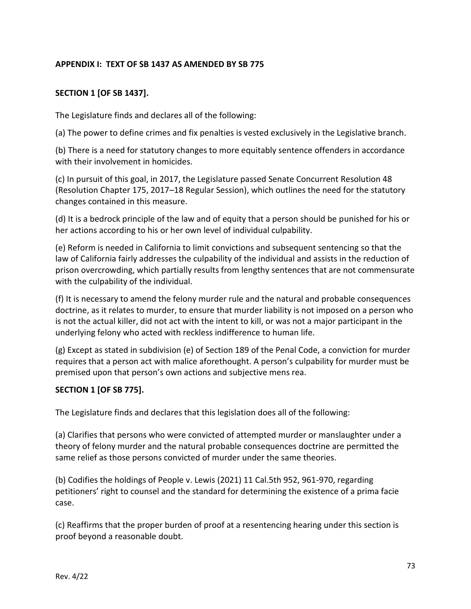#### **APPENDIX I: TEXT OF SB 1437 AS AMENDED BY SB 775**

## **SECTION 1 [OF SB 1437].**

The Legislature finds and declares all of the following:

(a) The power to define crimes and fix penalties is vested exclusively in the Legislative branch.

(b) There is a need for statutory changes to more equitably sentence offenders in accordance with their involvement in homicides.

(c) In pursuit of this goal, in 2017, the Legislature passed Senate Concurrent Resolution 48 (Resolution Chapter 175, 2017–18 Regular Session), which outlines the need for the statutory changes contained in this measure.

(d) It is a bedrock principle of the law and of equity that a person should be punished for his or her actions according to his or her own level of individual culpability.

(e) Reform is needed in California to limit convictions and subsequent sentencing so that the law of California fairly addresses the culpability of the individual and assists in the reduction of prison overcrowding, which partially results from lengthy sentences that are not commensurate with the culpability of the individual.

(f) It is necessary to amend the felony murder rule and the natural and probable consequences doctrine, as it relates to murder, to ensure that murder liability is not imposed on a person who is not the actual killer, did not act with the intent to kill, or was not a major participant in the underlying felony who acted with reckless indifference to human life.

(g) Except as stated in subdivision (e) of Section 189 of the Penal Code, a conviction for murder requires that a person act with malice aforethought. A person's culpability for murder must be premised upon that person's own actions and subjective mens rea.

#### **SECTION 1 [OF SB 775].**

The Legislature finds and declares that this legislation does all of the following:

(a) Clarifies that persons who were convicted of attempted murder or manslaughter under a theory of felony murder and the natural probable consequences doctrine are permitted the same relief as those persons convicted of murder under the same theories.

(b) Codifies the holdings of People v. Lewis (2021) 11 Cal.5th 952, 961-970, regarding petitioners' right to counsel and the standard for determining the existence of a prima facie case.

(c) Reaffirms that the proper burden of proof at a resentencing hearing under this section is proof beyond a reasonable doubt.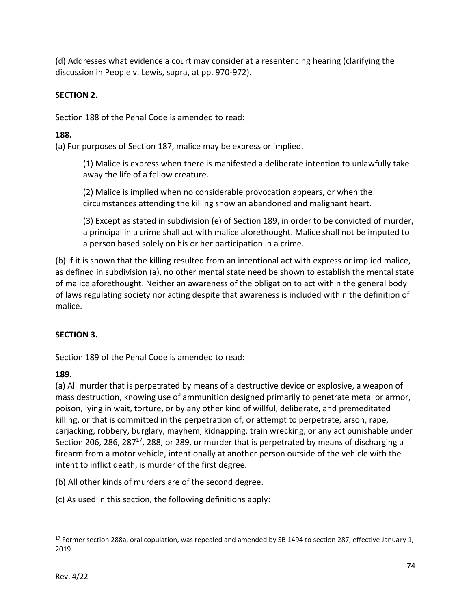(d) Addresses what evidence a court may consider at a resentencing hearing (clarifying the discussion in People v. Lewis, supra, at pp. 970-972).

# **SECTION 2.**

Section 188 of the Penal Code is amended to read:

# **188.**

(a) For purposes of Section 187, malice may be express or implied.

(1) Malice is express when there is manifested a deliberate intention to unlawfully take away the life of a fellow creature.

(2) Malice is implied when no considerable provocation appears, or when the circumstances attending the killing show an abandoned and malignant heart.

(3) Except as stated in subdivision (e) of Section 189, in order to be convicted of murder, a principal in a crime shall act with malice aforethought. Malice shall not be imputed to a person based solely on his or her participation in a crime.

(b) If it is shown that the killing resulted from an intentional act with express or implied malice, as defined in subdivision (a), no other mental state need be shown to establish the mental state of malice aforethought. Neither an awareness of the obligation to act within the general body of laws regulating society nor acting despite that awareness is included within the definition of malice.

# **SECTION 3.**

Section 189 of the Penal Code is amended to read:

## **189.**

(a) All murder that is perpetrated by means of a destructive device or explosive, a weapon of mass destruction, knowing use of ammunition designed primarily to penetrate metal or armor, poison, lying in wait, torture, or by any other kind of willful, deliberate, and premeditated killing, or that is committed in the perpetration of, or attempt to perpetrate, arson, rape, carjacking, robbery, burglary, mayhem, kidnapping, train wrecking, or any act punishable under Section 206, 286, 287<sup>17</sup>, 288, or 289, or murder that is perpetrated by means of discharging a firearm from a motor vehicle, intentionally at another person outside of the vehicle with the intent to inflict death, is murder of the first degree.

(b) All other kinds of murders are of the second degree.

(c) As used in this section, the following definitions apply:

<sup>&</sup>lt;sup>17</sup> Former section 288a, oral copulation, was repealed and amended by SB 1494 to section 287, effective January 1, 2019.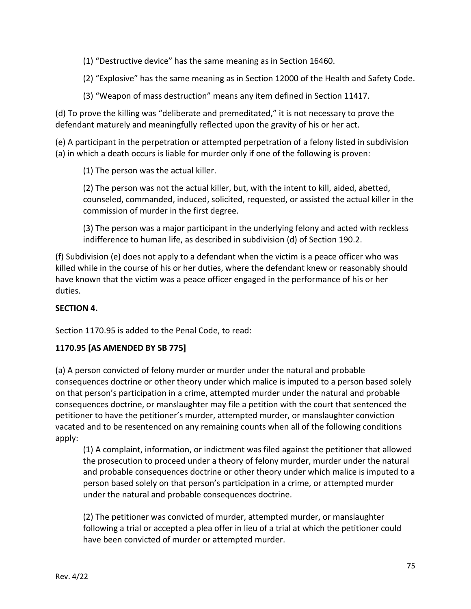(1) "Destructive device" has the same meaning as in Section 16460.

(2) "Explosive" has the same meaning as in Section 12000 of the Health and Safety Code.

(3) "Weapon of mass destruction" means any item defined in Section 11417.

(d) To prove the killing was "deliberate and premeditated," it is not necessary to prove the defendant maturely and meaningfully reflected upon the gravity of his or her act.

(e) A participant in the perpetration or attempted perpetration of a felony listed in subdivision (a) in which a death occurs is liable for murder only if one of the following is proven:

(1) The person was the actual killer.

(2) The person was not the actual killer, but, with the intent to kill, aided, abetted, counseled, commanded, induced, solicited, requested, or assisted the actual killer in the commission of murder in the first degree.

(3) The person was a major participant in the underlying felony and acted with reckless indifference to human life, as described in subdivision (d) of Section 190.2.

(f) Subdivision (e) does not apply to a defendant when the victim is a peace officer who was killed while in the course of his or her duties, where the defendant knew or reasonably should have known that the victim was a peace officer engaged in the performance of his or her duties.

## **SECTION 4.**

Section 1170.95 is added to the Penal Code, to read:

#### **1170.95 [AS AMENDED BY SB 775]**

(a) A person convicted of felony murder or murder under the natural and probable consequences doctrine or other theory under which malice is imputed to a person based solely on that person's participation in a crime, attempted murder under the natural and probable consequences doctrine, or manslaughter may file a petition with the court that sentenced the petitioner to have the petitioner's murder, attempted murder, or manslaughter conviction vacated and to be resentenced on any remaining counts when all of the following conditions apply:

(1) A complaint, information, or indictment was filed against the petitioner that allowed the prosecution to proceed under a theory of felony murder, murder under the natural and probable consequences doctrine or other theory under which malice is imputed to a person based solely on that person's participation in a crime, or attempted murder under the natural and probable consequences doctrine.

(2) The petitioner was convicted of murder, attempted murder, or manslaughter following a trial or accepted a plea offer in lieu of a trial at which the petitioner could have been convicted of murder or attempted murder.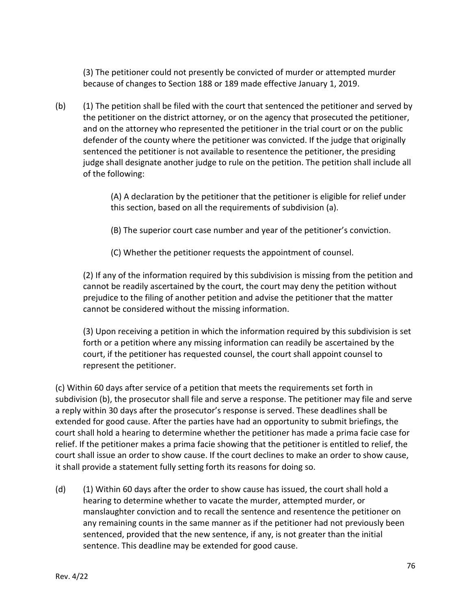(3) The petitioner could not presently be convicted of murder or attempted murder because of changes to Section 188 or 189 made effective January 1, 2019.

(b) (1) The petition shall be filed with the court that sentenced the petitioner and served by the petitioner on the district attorney, or on the agency that prosecuted the petitioner, and on the attorney who represented the petitioner in the trial court or on the public defender of the county where the petitioner was convicted. If the judge that originally sentenced the petitioner is not available to resentence the petitioner, the presiding judge shall designate another judge to rule on the petition. The petition shall include all of the following:

> (A) A declaration by the petitioner that the petitioner is eligible for relief under this section, based on all the requirements of subdivision (a).

(B) The superior court case number and year of the petitioner's conviction.

(C) Whether the petitioner requests the appointment of counsel.

(2) If any of the information required by this subdivision is missing from the petition and cannot be readily ascertained by the court, the court may deny the petition without prejudice to the filing of another petition and advise the petitioner that the matter cannot be considered without the missing information.

(3) Upon receiving a petition in which the information required by this subdivision is set forth or a petition where any missing information can readily be ascertained by the court, if the petitioner has requested counsel, the court shall appoint counsel to represent the petitioner.

(c) Within 60 days after service of a petition that meets the requirements set forth in subdivision (b), the prosecutor shall file and serve a response. The petitioner may file and serve a reply within 30 days after the prosecutor's response is served. These deadlines shall be extended for good cause. After the parties have had an opportunity to submit briefings, the court shall hold a hearing to determine whether the petitioner has made a prima facie case for relief. If the petitioner makes a prima facie showing that the petitioner is entitled to relief, the court shall issue an order to show cause. If the court declines to make an order to show cause, it shall provide a statement fully setting forth its reasons for doing so.

(d) (1) Within 60 days after the order to show cause has issued, the court shall hold a hearing to determine whether to vacate the murder, attempted murder, or manslaughter conviction and to recall the sentence and resentence the petitioner on any remaining counts in the same manner as if the petitioner had not previously been sentenced, provided that the new sentence, if any, is not greater than the initial sentence. This deadline may be extended for good cause.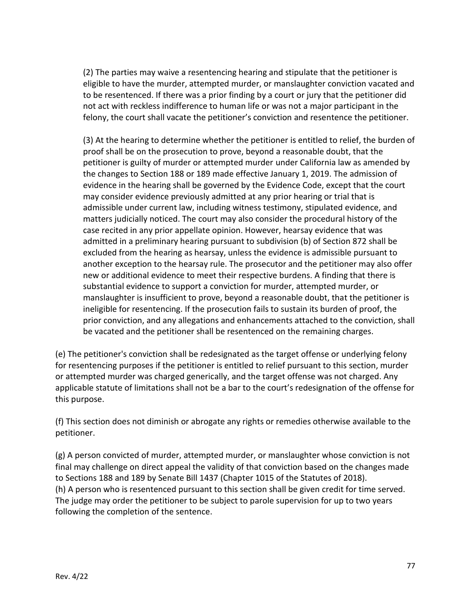(2) The parties may waive a resentencing hearing and stipulate that the petitioner is eligible to have the murder, attempted murder, or manslaughter conviction vacated and to be resentenced. If there was a prior finding by a court or jury that the petitioner did not act with reckless indifference to human life or was not a major participant in the felony, the court shall vacate the petitioner's conviction and resentence the petitioner.

(3) At the hearing to determine whether the petitioner is entitled to relief, the burden of proof shall be on the prosecution to prove, beyond a reasonable doubt, that the petitioner is guilty of murder or attempted murder under California law as amended by the changes to Section 188 or 189 made effective January 1, 2019. The admission of evidence in the hearing shall be governed by the Evidence Code, except that the court may consider evidence previously admitted at any prior hearing or trial that is admissible under current law, including witness testimony, stipulated evidence, and matters judicially noticed. The court may also consider the procedural history of the case recited in any prior appellate opinion. However, hearsay evidence that was admitted in a preliminary hearing pursuant to subdivision (b) of Section 872 shall be excluded from the hearing as hearsay, unless the evidence is admissible pursuant to another exception to the hearsay rule. The prosecutor and the petitioner may also offer new or additional evidence to meet their respective burdens. A finding that there is substantial evidence to support a conviction for murder, attempted murder, or manslaughter is insufficient to prove, beyond a reasonable doubt, that the petitioner is ineligible for resentencing. If the prosecution fails to sustain its burden of proof, the prior conviction, and any allegations and enhancements attached to the conviction, shall be vacated and the petitioner shall be resentenced on the remaining charges.

(e) The petitioner's conviction shall be redesignated as the target offense or underlying felony for resentencing purposes if the petitioner is entitled to relief pursuant to this section, murder or attempted murder was charged generically, and the target offense was not charged. Any applicable statute of limitations shall not be a bar to the court's redesignation of the offense for this purpose.

(f) This section does not diminish or abrogate any rights or remedies otherwise available to the petitioner.

(g) A person convicted of murder, attempted murder, or manslaughter whose conviction is not final may challenge on direct appeal the validity of that conviction based on the changes made to Sections 188 and 189 by Senate Bill 1437 (Chapter 1015 of the Statutes of 2018). (h) A person who is resentenced pursuant to this section shall be given credit for time served. The judge may order the petitioner to be subject to parole supervision for up to two years following the completion of the sentence.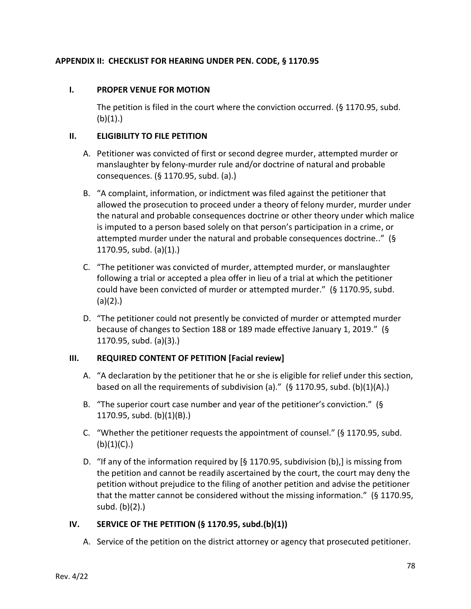#### **APPENDIX II: CHECKLIST FOR HEARING UNDER PEN. CODE, § 1170.95**

#### **I. PROPER VENUE FOR MOTION**

The petition is filed in the court where the conviction occurred. (§ 1170.95, subd.  $(b)(1).$ 

### **II. ELIGIBILITY TO FILE PETITION**

- A. Petitioner was convicted of first or second degree murder, attempted murder or manslaughter by felony-murder rule and/or doctrine of natural and probable consequences. (§ 1170.95, subd. (a).)
- B. "A complaint, information, or indictment was filed against the petitioner that allowed the prosecution to proceed under a theory of felony murder, murder under the natural and probable consequences doctrine or other theory under which malice is imputed to a person based solely on that person's participation in a crime, or attempted murder under the natural and probable consequences doctrine.." (§ 1170.95, subd. (a)(1).)
- C. "The petitioner was convicted of murder, attempted murder, or manslaughter following a trial or accepted a plea offer in lieu of a trial at which the petitioner could have been convicted of murder or attempted murder." (§ 1170.95, subd. (a)(2).)
- D. "The petitioner could not presently be convicted of murder or attempted murder because of changes to Section 188 or 189 made effective January 1, 2019." (§ 1170.95, subd. (a)(3).)

#### **III. REQUIRED CONTENT OF PETITION [Facial review]**

- A. "A declaration by the petitioner that he or she is eligible for relief under this section, based on all the requirements of subdivision (a)." (§ 1170.95, subd. (b)(1)(A).)
- B. "The superior court case number and year of the petitioner's conviction." (§ 1170.95, subd. (b)(1)(B).)
- C. "Whether the petitioner requests the appointment of counsel." (§ 1170.95, subd.  $(b)(1)(C).$
- D. "If any of the information required by [§ 1170.95, subdivision (b),] is missing from the petition and cannot be readily ascertained by the court, the court may deny the petition without prejudice to the filing of another petition and advise the petitioner that the matter cannot be considered without the missing information." (§ 1170.95, subd. (b)(2).)

## **IV. SERVICE OF THE PETITION (§ 1170.95, subd.(b)(1))**

A. Service of the petition on the district attorney or agency that prosecuted petitioner.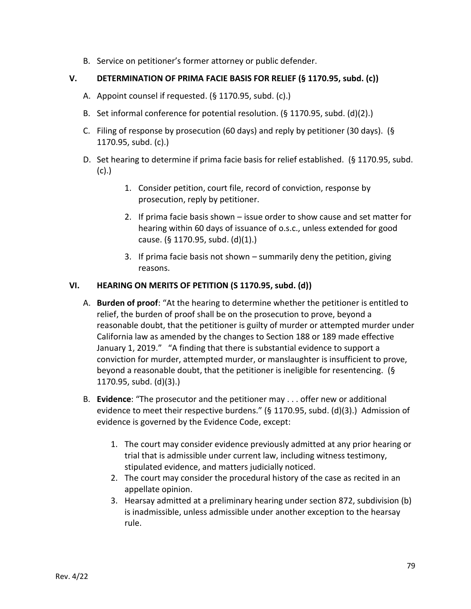B. Service on petitioner's former attorney or public defender.

### **V. DETERMINATION OF PRIMA FACIE BASIS FOR RELIEF (§ 1170.95, subd. (c))**

- A. Appoint counsel if requested. (§ 1170.95, subd. (c).)
- B. Set informal conference for potential resolution. (§ 1170.95, subd. (d)(2).)
- C. Filing of response by prosecution (60 days) and reply by petitioner (30 days). (§ 1170.95, subd. (c).)
- D. Set hearing to determine if prima facie basis for relief established. (§ 1170.95, subd. (c).)
	- 1. Consider petition, court file, record of conviction, response by prosecution, reply by petitioner.
	- 2. If prima facie basis shown issue order to show cause and set matter for hearing within 60 days of issuance of o.s.c., unless extended for good cause. (§ 1170.95, subd. (d)(1).)
	- 3. If prima facie basis not shown summarily deny the petition, giving reasons.

#### **VI. HEARING ON MERITS OF PETITION (S 1170.95, subd. (d))**

- A. **Burden of proof**: "At the hearing to determine whether the petitioner is entitled to relief, the burden of proof shall be on the prosecution to prove, beyond a reasonable doubt, that the petitioner is guilty of murder or attempted murder under California law as amended by the changes to Section 188 or 189 made effective January 1, 2019." "A finding that there is substantial evidence to support a conviction for murder, attempted murder, or manslaughter is insufficient to prove, beyond a reasonable doubt, that the petitioner is ineligible for resentencing. (§ 1170.95, subd. (d)(3).)
- B. **Evidence**: "The prosecutor and the petitioner may . . . offer new or additional evidence to meet their respective burdens." (§ 1170.95, subd. (d)(3).) Admission of evidence is governed by the Evidence Code, except:
	- 1. The court may consider evidence previously admitted at any prior hearing or trial that is admissible under current law, including witness testimony, stipulated evidence, and matters judicially noticed.
	- 2. The court may consider the procedural history of the case as recited in an appellate opinion.
	- 3. Hearsay admitted at a preliminary hearing under section 872, subdivision (b) is inadmissible, unless admissible under another exception to the hearsay rule.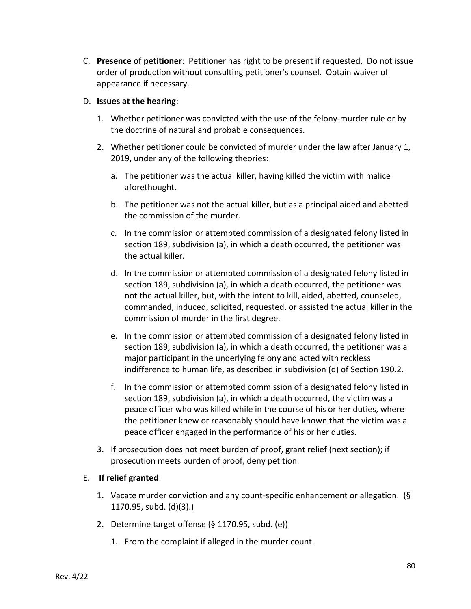C. **Presence of petitioner**: Petitioner has right to be present if requested. Do not issue order of production without consulting petitioner's counsel. Obtain waiver of appearance if necessary.

#### D. **Issues at the hearing**:

- 1. Whether petitioner was convicted with the use of the felony-murder rule or by the doctrine of natural and probable consequences.
- 2. Whether petitioner could be convicted of murder under the law after January 1, 2019, under any of the following theories:
	- a. The petitioner was the actual killer, having killed the victim with malice aforethought.
	- b. The petitioner was not the actual killer, but as a principal aided and abetted the commission of the murder.
	- c. In the commission or attempted commission of a designated felony listed in section 189, subdivision (a), in which a death occurred, the petitioner was the actual killer.
	- d. In the commission or attempted commission of a designated felony listed in section 189, subdivision (a), in which a death occurred, the petitioner was not the actual killer, but, with the intent to kill, aided, abetted, counseled, commanded, induced, solicited, requested, or assisted the actual killer in the commission of murder in the first degree.
	- e. In the commission or attempted commission of a designated felony listed in section 189, subdivision (a), in which a death occurred, the petitioner was a major participant in the underlying felony and acted with reckless indifference to human life, as described in subdivision (d) of Section 190.2.
	- f. In the commission or attempted commission of a designated felony listed in section 189, subdivision (a), in which a death occurred, the victim was a peace officer who was killed while in the course of his or her duties, where the petitioner knew or reasonably should have known that the victim was a peace officer engaged in the performance of his or her duties.
- 3. If prosecution does not meet burden of proof, grant relief (next section); if prosecution meets burden of proof, deny petition.

## E. **If relief granted**:

- 1. Vacate murder conviction and any count-specific enhancement or allegation. (§ 1170.95, subd. (d)(3).)
- 2. Determine target offense (§ 1170.95, subd. (e))
	- 1. From the complaint if alleged in the murder count.